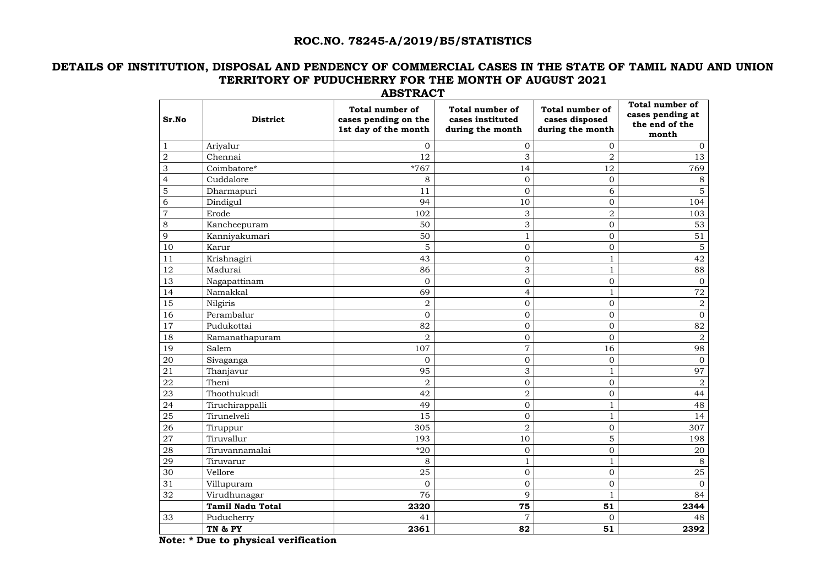#### **ROC.NO. 78245-A/2019/B5/STATISTICS**

### **DETAILS OF INSTITUTION, DISPOSAL AND PENDENCY OF COMMERCIAL CASES IN THE STATE OF TAMIL NADU AND UNION TERRITORY OF PUDUCHERRY FOR THE MONTH OF AUGUST 2021 ABSTRACT**

| Sr.No          | <b>District</b>         | <b>Total number of</b><br>cases pending on the<br>1st day of the month | <b>Total number of</b><br>cases instituted<br>during the month | <b>Total number of</b><br>cases disposed<br>during the month | <b>Total number of</b><br>cases pending at<br>the end of the<br>month |
|----------------|-------------------------|------------------------------------------------------------------------|----------------------------------------------------------------|--------------------------------------------------------------|-----------------------------------------------------------------------|
| $\mathbf{1}$   | Ariyalur                | $\Omega$                                                               | $\overline{0}$                                                 | $\Omega$                                                     | $\theta$                                                              |
| $\sqrt{2}$     | Chennai                 | 12                                                                     | 3                                                              | $\overline{2}$                                               | 13                                                                    |
| $\mathfrak{Z}$ | Coimbatore*             | *767                                                                   | 14                                                             | 12                                                           | 769                                                                   |
| $\overline{4}$ | Cuddalore               | 8                                                                      | $\overline{0}$                                                 | $\overline{0}$                                               | 8                                                                     |
| $\overline{5}$ | Dharmapuri              | 11                                                                     | $\overline{0}$                                                 | 6                                                            | 5                                                                     |
| $\sqrt{6}$     | Dindigul                | 94                                                                     | 10                                                             | $\overline{0}$                                               | 104                                                                   |
| $\overline{7}$ | Erode                   | 102                                                                    | 3                                                              | $\overline{2}$                                               | 103                                                                   |
| $8\,$          | Kancheepuram            | 50                                                                     | 3                                                              | $\overline{0}$                                               | 53                                                                    |
| $\overline{9}$ | Kanniyakumari           | 50                                                                     |                                                                | $\overline{0}$                                               | 51                                                                    |
| 10             | Karur                   | 5                                                                      | $\mathbf{0}$                                                   | $\overline{0}$                                               | $\overline{5}$                                                        |
| 11             | Krishnagiri             | 43                                                                     | $\overline{0}$                                                 | $\mathbf{1}$                                                 | 42                                                                    |
| 12             | Madurai                 | 86                                                                     | 3                                                              |                                                              | 88                                                                    |
| 13             | Nagapattinam            | $\overline{0}$                                                         | $\overline{0}$                                                 | $\mathbf{0}$                                                 | $\overline{0}$                                                        |
| 14             | Namakkal                | 69                                                                     | $\overline{4}$                                                 | $\mathbf{1}$                                                 | 72                                                                    |
| 15             | Nilgiris                | $\overline{2}$                                                         | $\mathbf{0}$                                                   | $\overline{0}$                                               | 2                                                                     |
| 16             | Perambalur              | $\overline{0}$                                                         | $\mathbf{0}$                                                   | $\overline{0}$                                               | $\mathbf{0}$                                                          |
| 17             | Pudukottai              | 82                                                                     | $\mathbf{0}$                                                   | $\mathbf 0$                                                  | 82                                                                    |
| 18             | Ramanathapuram          | $\overline{2}$                                                         | $\overline{0}$                                                 | $\overline{0}$                                               | $\overline{2}$                                                        |
| 19             | Salem                   | 107                                                                    | $\overline{7}$                                                 | 16                                                           | 98                                                                    |
| $20\,$         | Sivaganga               | $\overline{0}$                                                         | $\overline{0}$                                                 | $\overline{0}$                                               | $\overline{0}$                                                        |
| 21             | Thanjavur               | 95                                                                     | 3                                                              | $\mathbf{1}$                                                 | 97                                                                    |
| ${\bf 22}$     | Theni                   | $\overline{2}$                                                         | $\mathbf{0}$                                                   | $\overline{0}$                                               | $\overline{2}$                                                        |
| 23             | Thoothukudi             | 42                                                                     | $\overline{2}$                                                 | $\overline{0}$                                               | 44                                                                    |
| 24             | Tiruchirappalli         | 49                                                                     | $\overline{O}$                                                 | $\mathbf{1}$                                                 | 48                                                                    |
| $25\,$         | Tirunelveli             | 15                                                                     | $\mathbf{0}$                                                   | $\mathbf{1}$                                                 | 14                                                                    |
| 26             | Tiruppur                | 305                                                                    | $\overline{2}$                                                 | $\overline{0}$                                               | 307                                                                   |
| 27             | Tiruvallur              | 193                                                                    | 10                                                             | $\overline{5}$                                               | 198                                                                   |
| 28             | Tiruvannamalai          | $*20$                                                                  | $\boldsymbol{0}$                                               | $\mathbf 0$                                                  | 20                                                                    |
| $\sqrt{29}$    | Tiruvarur               | 8                                                                      |                                                                |                                                              | 8                                                                     |
| $30\,$         | Vellore                 | 25                                                                     | $\overline{0}$                                                 | $\mathbf 0$                                                  | $25\,$                                                                |
| 31             | Villupuram              | $\mathbf{0}$                                                           | $\boldsymbol{0}$                                               | $\boldsymbol{0}$                                             | $\overline{0}$                                                        |
| 32             | Virudhunagar            | 76                                                                     | 9                                                              | $\mathbf{1}$                                                 | 84                                                                    |
|                | <b>Tamil Nadu Total</b> | 2320                                                                   | 75                                                             | 51                                                           | 2344                                                                  |
| 33             | Puducherry              | 41                                                                     | $\overline{7}$                                                 | $\overline{0}$                                               | 48                                                                    |
|                | TN & PY                 | 2361                                                                   | 82                                                             | 51                                                           | 2392                                                                  |

 **Note: \* Due to physical verification**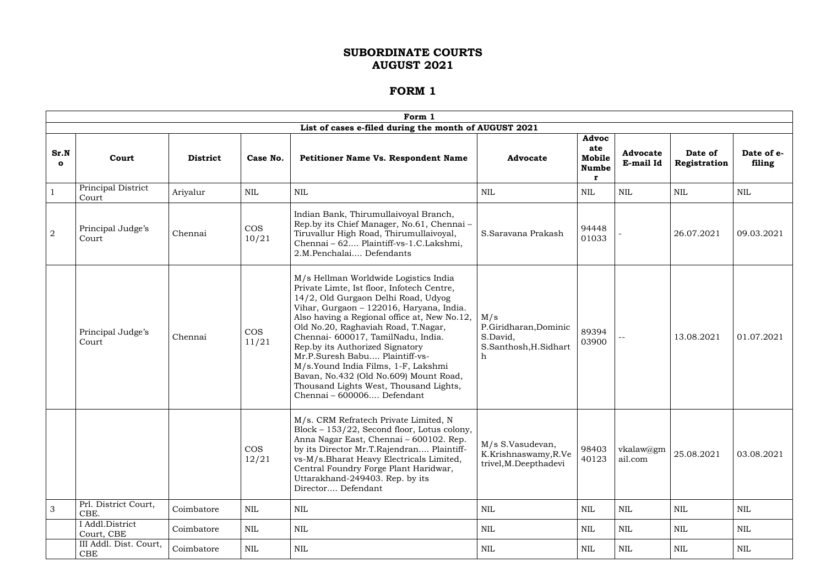|                     |                               |                 |                     | Form 1                                                                                                                                                                                                                                                                                                                                                                                                                                                                                                                            |                                                                              |                                        |                              |                         |                      |
|---------------------|-------------------------------|-----------------|---------------------|-----------------------------------------------------------------------------------------------------------------------------------------------------------------------------------------------------------------------------------------------------------------------------------------------------------------------------------------------------------------------------------------------------------------------------------------------------------------------------------------------------------------------------------|------------------------------------------------------------------------------|----------------------------------------|------------------------------|-------------------------|----------------------|
|                     |                               |                 |                     | List of cases e-filed during the month of AUGUST 2021                                                                                                                                                                                                                                                                                                                                                                                                                                                                             |                                                                              |                                        |                              |                         |                      |
| Sr.N<br>$\mathbf o$ | Court                         | <b>District</b> | Case No.            | <b>Petitioner Name Vs. Respondent Name</b>                                                                                                                                                                                                                                                                                                                                                                                                                                                                                        | <b>Advocate</b>                                                              | Advoc<br>ate<br>Mobile<br><b>Numbe</b> | <b>Advocate</b><br>E-mail Id | Date of<br>Registration | Date of e-<br>filing |
|                     | Principal District<br>Court   | Ariyalur        | <b>NIL</b>          | <b>NIL</b>                                                                                                                                                                                                                                                                                                                                                                                                                                                                                                                        | <b>NIL</b>                                                                   | NIL                                    | <b>NIL</b>                   | <b>NIL</b>              | NIL                  |
| $\overline{2}$      | Principal Judge's<br>Court    | Chennai         | <b>COS</b><br>10/21 | Indian Bank, Thirumullaivoyal Branch,<br>Rep.by its Chief Manager, No.61, Chennai-<br>Tiruvallur High Road, Thirumullaivoyal,<br>Chennai - 62 Plaintiff-vs-1.C.Lakshmi,<br>2.M.Penchalai Defendants                                                                                                                                                                                                                                                                                                                               | S.Saravana Prakash                                                           | 94448<br>01033                         |                              | 26.07.2021              | 09.03.2021           |
|                     | Principal Judge's<br>Court    | Chennai         | <b>COS</b><br>11/21 | M/s Hellman Worldwide Logistics India<br>Private Limte, Ist floor, Infotech Centre,<br>14/2, Old Gurgaon Delhi Road, Udyog<br>Vihar, Gurgaon - 122016, Haryana, India.<br>Also having a Regional office at, New No.12,<br>Old No.20, Raghaviah Road, T.Nagar,<br>Chennai- 600017, TamilNadu, India.<br>Rep.by its Authorized Signatory<br>Mr.P.Suresh Babu Plaintiff-vs-<br>M/s.Yound India Films, 1-F, Lakshmi<br>Bavan, No.432 (Old No.609) Mount Road,<br>Thousand Lights West, Thousand Lights,<br>Chennai - 600006 Defendant | M/s<br>P.Giridharan, Dominic<br>S.David,<br>S.Santhosh, H.Sidhart<br>$\hbar$ | 89394<br>03900                         |                              | 13.08.2021              | 01.07.2021           |
|                     |                               |                 | <b>COS</b><br>12/21 | M/s. CRM Refratech Private Limited, N<br>Block - 153/22, Second floor, Lotus colony,<br>Anna Nagar East, Chennai - 600102. Rep.<br>by its Director Mr.T.Rajendran Plaintiff-<br>vs-M/s.Bharat Heavy Electricals Limited,<br>Central Foundry Forge Plant Haridwar,<br>Uttarakhand-249403. Rep. by its<br>Director Defendant                                                                                                                                                                                                        | M/s S.Vasudevan,<br>K.Krishnaswamy, R.Ve<br>trivel, M.Deepthadevi            | 98403<br>40123                         | vkalaw@gm<br>ail.com         | 25.08.2021              | 03.08.2021           |
| 3                   | Prl. District Court,<br>CBE.  | Coimbatore      | NIL                 | NIL                                                                                                                                                                                                                                                                                                                                                                                                                                                                                                                               | NIL                                                                          | NIL                                    | NIL                          | NIL                     | NIL                  |
|                     | I Addl.District<br>Court, CBE | Coimbatore      | $\mbox{NIL}$        | NIL                                                                                                                                                                                                                                                                                                                                                                                                                                                                                                                               | NIL                                                                          | <b>NIL</b>                             | $\mbox{NIL}$                 | NIL                     | NIL                  |
|                     | III Addl. Dist. Court,<br>CBE | Coimbatore      | <b>NIL</b>          | <b>NIL</b>                                                                                                                                                                                                                                                                                                                                                                                                                                                                                                                        | NIL                                                                          | NIL                                    | NIL                          | NIL                     | NIL                  |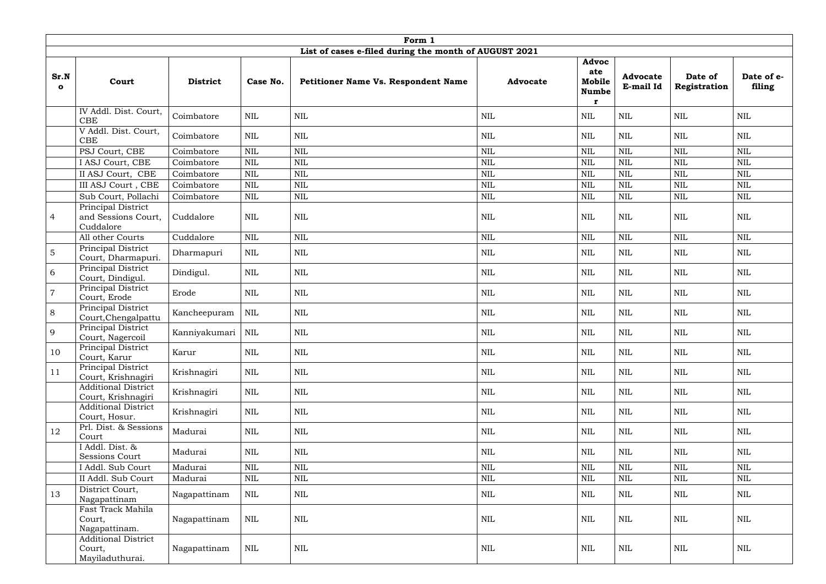|                      | Form 1                                                  |                 |              |                                                       |                 |                                             |                              |                         |                      |  |  |  |
|----------------------|---------------------------------------------------------|-----------------|--------------|-------------------------------------------------------|-----------------|---------------------------------------------|------------------------------|-------------------------|----------------------|--|--|--|
|                      |                                                         |                 |              | List of cases e-filed during the month of AUGUST 2021 |                 |                                             |                              |                         |                      |  |  |  |
| Sr.N<br>$\mathbf{o}$ | Court                                                   | <b>District</b> | Case No.     | <b>Petitioner Name Vs. Respondent Name</b>            | <b>Advocate</b> | Advoc<br>ate<br>Mobile<br><b>Numbe</b><br>r | <b>Advocate</b><br>E-mail Id | Date of<br>Registration | Date of e-<br>filing |  |  |  |
|                      | IV Addl. Dist. Court,<br><b>CBE</b>                     | Coimbatore      | <b>NIL</b>   | NIL                                                   | $\mbox{NIL}$    | $\mbox{NIL}$                                | $\mbox{NIL}$                 | $\mbox{NIL}$            | NIL                  |  |  |  |
|                      | V Addl. Dist. Court,<br>CBE                             | Coimbatore      | <b>NIL</b>   | <b>NIL</b>                                            | $\mbox{NIL}$    | $\mbox{NIL}$                                | $\mbox{NIL}$                 | <b>NIL</b>              | <b>NIL</b>           |  |  |  |
|                      | PSJ Court, CBE                                          | Coimbatore      | <b>NIL</b>   | <b>NIL</b>                                            | <b>NIL</b>      | <b>NIL</b>                                  | $\mbox{NIL}$                 | <b>NIL</b>              | <b>NIL</b>           |  |  |  |
|                      | I ASJ Court, CBE                                        | Coimbatore      | <b>NIL</b>   | <b>NIL</b>                                            | <b>NIL</b>      | <b>NIL</b>                                  | $\mbox{NIL}$                 | <b>NIL</b>              | NIL                  |  |  |  |
|                      | II ASJ Court, CBE                                       | Coimbatore      | <b>NIL</b>   | $\mbox{NIL}$                                          | $\mbox{NIL}$    | $\mbox{NIL}$                                | $\mbox{NIL}$                 | $\text{NIL}$            | <b>NIL</b>           |  |  |  |
|                      | III ASJ Court , CBE                                     | Coimbatore      | <b>NIL</b>   | $\mbox{NIL}$                                          | $\mbox{NIL}$    | $\mbox{NIL}$                                | $\mbox{NIL}$                 | $\text{NIL}$            | $\mbox{NIL}$         |  |  |  |
|                      | Sub Court, Pollachi                                     | Coimbatore      | <b>NIL</b>   | NIL                                                   | <b>NIL</b>      | $\mbox{NIL}$                                | $\mbox{NIL}$                 | <b>NIL</b>              | <b>NIL</b>           |  |  |  |
| $\overline{4}$       | Principal District<br>and Sessions Court,<br>Cuddalore  | Cuddalore       | <b>NIL</b>   | $\mbox{NIL}$                                          | NIL             | <b>NIL</b>                                  | $\mbox{NIL}$                 | <b>NIL</b>              | <b>NIL</b>           |  |  |  |
|                      | All other Courts                                        | Cuddalore       | <b>NIL</b>   | $\mbox{NIL}$                                          | $\mbox{NIL}$    | $\mbox{NIL}$                                | $\mbox{NIL}$                 | <b>NIL</b>              | <b>NIL</b>           |  |  |  |
| $\overline{5}$       | Principal District<br>Court, Dharmapuri.                | Dharmapuri      | <b>NIL</b>   | <b>NIL</b>                                            | <b>NIL</b>      | <b>NIL</b>                                  | $\mbox{NIL}$                 | <b>NIL</b>              | <b>NIL</b>           |  |  |  |
| 6                    | Principal District<br>Court, Dindigul.                  | Dindigul.       | <b>NIL</b>   | <b>NIL</b>                                            | $\mbox{NIL}$    | $\mbox{NIL}$                                | $\mbox{NIL}$                 | $\mbox{NIL}$            | <b>NIL</b>           |  |  |  |
| $\overline{7}$       | Principal District<br>Court, Erode                      | Erode           | <b>NIL</b>   | <b>NIL</b>                                            | <b>NIL</b>      | NIL                                         | $\mbox{NIL}$                 | <b>NIL</b>              | <b>NIL</b>           |  |  |  |
| 8                    | Principal District<br>Court, Chengalpattu               | Kancheepuram    | $\mbox{NIL}$ | $\mbox{NIL}$                                          | $\mbox{NIL}$    | $\mbox{NIL}$                                | $\mbox{NIL}$                 | $\text{NIL}$            | <b>NIL</b>           |  |  |  |
| 9                    | Principal District<br>Court, Nagercoil                  | Kanniyakumari   | NIL          | $\mbox{NIL}$                                          | <b>NIL</b>      | $\mbox{NIL}$                                | $\mbox{NIL}$                 | $\text{NIL}$            | <b>NIL</b>           |  |  |  |
| 10                   | Principal District<br>Court, Karur                      | Karur           | <b>NIL</b>   | NIL                                                   | $\mbox{NIL}$    | $\mbox{NIL}$                                | $\mbox{NIL}$                 | $\mbox{NIL}$            | NIL                  |  |  |  |
| 11                   | Principal District<br>Court, Krishnagiri                | Krishnagiri     | $\mbox{NIL}$ | NIL                                                   | $\mbox{NIL}$    | <b>NIL</b>                                  | $\mbox{NIL}$                 | $\mbox{NIL}$            | <b>NIL</b>           |  |  |  |
|                      | <b>Additional District</b><br>Court, Krishnagiri        | Krishnagiri     | $\mbox{NIL}$ | NIL                                                   | NIL             | NIL                                         | $\mbox{NIL}$                 | NIL                     | NIL                  |  |  |  |
|                      | <b>Additional District</b><br>Court, Hosur.             | Krishnagiri     | <b>NIL</b>   | <b>NIL</b>                                            | $\mbox{NIL}$    | NIL                                         | $\mbox{NIL}$                 | $\mbox{NIL}$            | NIL                  |  |  |  |
| 12                   | Prl. Dist. & Sessions<br>Court                          | Madurai         | <b>NIL</b>   | NIL                                                   | $\mbox{NIL}$    | $\mbox{NIL}$                                | $\mbox{NIL}$                 | $\mbox{NIL}$            | <b>NIL</b>           |  |  |  |
|                      | I Addl. Dist. &<br>Sessions Court                       | Madurai         | <b>NIL</b>   | <b>NIL</b>                                            | $\mbox{NIL}$    | $\mbox{NIL}$                                | $\mbox{NIL}$                 | $\mbox{NIL}$            | <b>NIL</b>           |  |  |  |
|                      | I Addl. Sub Court                                       | Madurai         | <b>NIL</b>   | $\mbox{NIL}$                                          | <b>NIL</b>      | $\mbox{NIL}$                                | $\mbox{NIL}$                 | $\text{NIL}$            | $\mbox{NIL}$         |  |  |  |
|                      | II Addl. Sub Court                                      | Madurai         | <b>NIL</b>   | $\mbox{NIL}$                                          | $\mbox{NIL}$    | $\mbox{NIL}$                                | $\mbox{NIL}$                 | $\mbox{NIL}$            | <b>NIL</b>           |  |  |  |
| 13                   | District Court,<br>Nagapattinam                         | Nagapattinam    | $\mbox{NIL}$ | <b>NIL</b>                                            | <b>NIL</b>      | $\mbox{NIL}$                                | <b>NIL</b>                   | $\mbox{NIL}$            | <b>NIL</b>           |  |  |  |
|                      | Fast Track Mahila<br>Court,<br>Nagapattinam.            | Nagapattinam    | <b>NIL</b>   | NIL                                                   | NIL             | <b>NIL</b>                                  | $\mbox{NIL}$                 | <b>NIL</b>              | NIL                  |  |  |  |
|                      | <b>Additional District</b><br>Court,<br>Mayiladuthurai. | Nagapattinam    | $\mbox{NIL}$ | NIL                                                   | NIL             | $\mbox{NIL}$                                | $\mbox{NIL}$                 | $\mbox{NIL}$            | NIL                  |  |  |  |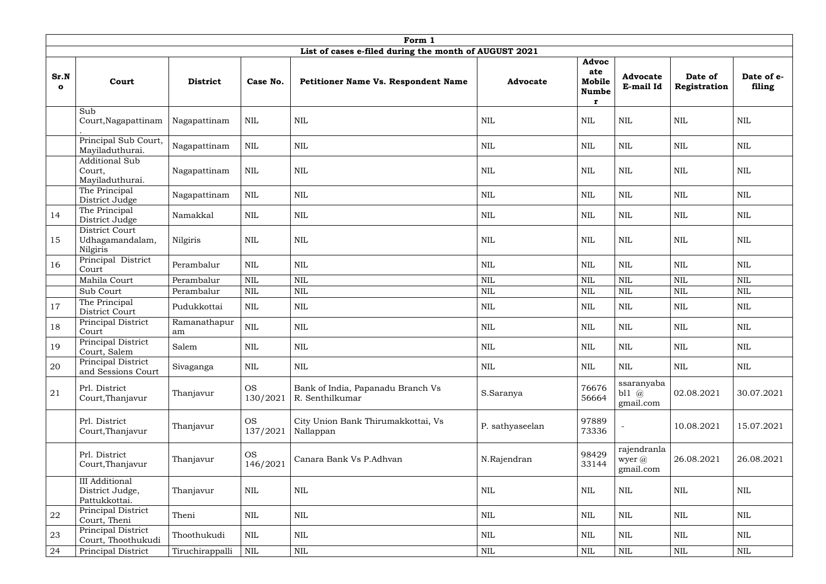|                      | Form 1                                                    |                    |                       |                                                       |                 |                                             |                                    |                         |                      |  |  |
|----------------------|-----------------------------------------------------------|--------------------|-----------------------|-------------------------------------------------------|-----------------|---------------------------------------------|------------------------------------|-------------------------|----------------------|--|--|
|                      |                                                           |                    |                       | List of cases e-filed during the month of AUGUST 2021 |                 |                                             |                                    |                         |                      |  |  |
| Sr.N<br>$\mathbf{o}$ | Court                                                     | <b>District</b>    | Case No.              | <b>Petitioner Name Vs. Respondent Name</b>            | <b>Advocate</b> | Advoc<br>ate<br>Mobile<br><b>Numbe</b><br>r | <b>Advocate</b><br>E-mail Id       | Date of<br>Registration | Date of e-<br>filing |  |  |
|                      | Sub<br>Court, Nagapattinam                                | Nagapattinam       | <b>NIL</b>            | $\mbox{NIL}$                                          | <b>NIL</b>      | $\mbox{NIL}$                                | $\text{NIL}$                       | <b>NIL</b>              | <b>NIL</b>           |  |  |
|                      | Principal Sub Court,<br>Mayiladuthurai.                   | Nagapattinam       | $\mbox{NIL}$          | $\mbox{NIL}$                                          | $\mbox{NIL}$    | <b>NIL</b>                                  | $\text{NIL}$                       | <b>NIL</b>              | <b>NIL</b>           |  |  |
|                      | <b>Additional Sub</b><br>Court,<br>Mayiladuthurai.        | Nagapattinam       | $\mbox{NIL}$          | $\mbox{NIL}$                                          | $\mbox{NIL}$    | $\mbox{NIL}$                                | $\mbox{NIL}$                       | $\mbox{NIL}$            | NIL                  |  |  |
|                      | The Principal<br>District Judge                           | Nagapattinam       | <b>NIL</b>            | $\mbox{NIL}$                                          | $\mbox{NIL}$    | <b>NIL</b>                                  | $\text{NIL}$                       | $\mbox{NIL}$            | NIL                  |  |  |
| 14                   | The Principal<br>District Judge                           | Namakkal           | <b>NIL</b>            | $\mbox{NIL}$                                          | $\mbox{NIL}$    | <b>NIL</b>                                  | $\mbox{NIL}$                       | $\mbox{NIL}$            | <b>NIL</b>           |  |  |
| 15                   | District Court<br>Udhagamandalam,<br>Nilgiris             | Nilgiris           | <b>NIL</b>            | <b>NIL</b>                                            | $\mbox{NIL}$    | $\text{NIL}$                                | <b>NIL</b>                         | <b>NIL</b>              | <b>NIL</b>           |  |  |
| 16                   | Principal District<br>Court                               | Perambalur         | <b>NIL</b>            | $\mbox{NIL}$                                          | $\mbox{NIL}$    | $\text{NIL}$                                | <b>NIL</b>                         | $\mbox{NIL}$            | <b>NIL</b>           |  |  |
|                      | Mahila Court                                              | Perambalur         | <b>NIL</b>            | <b>NIL</b>                                            | <b>NIL</b>      | $\text{NIL}$                                | <b>NIL</b>                         | <b>NIL</b>              | <b>NIL</b>           |  |  |
|                      | Sub Court                                                 | Perambalur         | <b>NIL</b>            | $\mbox{NIL}$                                          | $\mbox{NIL}$    | NIL                                         | $\mbox{NIL}$                       | $\mbox{NIL}$            | <b>NIL</b>           |  |  |
| 17                   | The Principal<br>District Court                           | Pudukkottai        | <b>NIL</b>            | $\mbox{NIL}$                                          | <b>NIL</b>      | NIL                                         | $\mbox{NIL}$                       | <b>NIL</b>              | NIL                  |  |  |
| 18                   | Principal District<br>Court                               | Ramanathapur<br>am | $\mbox{NIL}$          | $\mbox{NIL}$                                          | $\mbox{NIL}$    | $\mbox{NIL}$                                | $\mbox{NIL}$                       | $\mbox{NIL}$            | $\mbox{NIL}$         |  |  |
| 19                   | Principal District<br>Court, Salem                        | Salem              | NIL                   | NIL                                                   | <b>NIL</b>      | NIL                                         | NIL                                | NIL                     | NIL                  |  |  |
| 20                   | Principal District<br>and Sessions Court                  | Sivaganga          | <b>NIL</b>            | $\mbox{NIL}$                                          | <b>NIL</b>      | NIL                                         | $\mbox{NIL}$                       | $\mbox{NIL}$            | NIL                  |  |  |
| 21                   | Prl. District<br>Court, Thanjavur                         | Thanjavur          | <b>OS</b><br>130/2021 | Bank of India, Papanadu Branch Vs<br>R. Senthilkumar  | S.Saranya       | 76676<br>56664                              | ssaranyaba<br>bl1 $@$<br>gmail.com | 02.08.2021              | 30.07.2021           |  |  |
|                      | Prl. District<br>Court, Thanjavur                         | Thanjavur          | <b>OS</b><br>137/2021 | City Union Bank Thirumakkottai, Vs<br>Nallappan       | P. sathyaseelan | 97889<br>73336                              |                                    | 10.08.2021              | 15.07.2021           |  |  |
|                      | Prl. District<br>Court, Thanjavur                         | Thanjavur          | <b>OS</b><br>146/2021 | Canara Bank Vs P.Adhvan                               | N.Rajendran     | 98429<br>33144                              | rajendranla<br>wyer @<br>gmail.com | 26.08.2021              | 26.08.2021           |  |  |
|                      | <b>III</b> Additional<br>District Judge,<br>Pattukkottai. | Thanjavur          | <b>NIL</b>            | $\mbox{NIL}$                                          | <b>NIL</b>      | NIL                                         | $\mbox{NIL}$                       | $\mbox{NIL}$            | NIL                  |  |  |
| 22                   | Principal District<br>Court, Theni                        | Theni              | <b>NIL</b>            | $\mbox{NIL}$                                          | $\mbox{NIL}$    | $\mbox{NIL}$                                | $\mbox{NIL}$                       | $\mbox{NIL}$            | NIL                  |  |  |
| 23                   | Principal District<br>Court, Thoothukudi                  | Thoothukudi        | <b>NIL</b>            | $\mbox{NIL}$                                          | $\mbox{NIL}$    | $\mbox{NIL}$                                | $\mbox{NIL}$                       | $\mbox{NIL}$            | NIL                  |  |  |
| 24                   | Principal District                                        | Tiruchirappalli    | $\mbox{NIL}$          | $\mbox{NIL}$                                          | $\mbox{NIL}$    | $\mbox{NIL}$                                | $\mbox{NIL}$                       | $\mbox{NIL}$            | $\mbox{NIL}$         |  |  |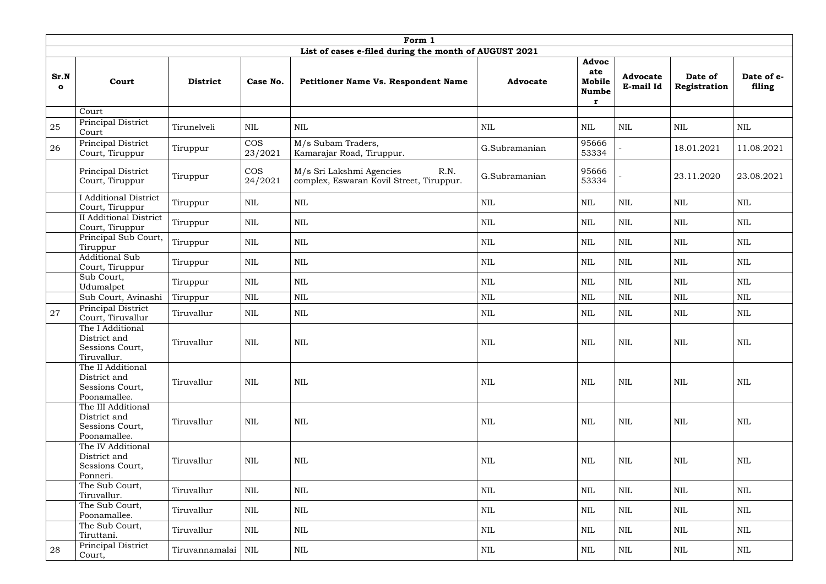|                      |                                                                       |                 |                       | Form 1                                                                       |                 |                                             |                              |                         |                      |
|----------------------|-----------------------------------------------------------------------|-----------------|-----------------------|------------------------------------------------------------------------------|-----------------|---------------------------------------------|------------------------------|-------------------------|----------------------|
|                      |                                                                       |                 |                       | List of cases e-filed during the month of AUGUST 2021                        |                 |                                             |                              |                         |                      |
| Sr.N<br>$\mathbf{o}$ | Court                                                                 | <b>District</b> | Case No.              | Petitioner Name Vs. Respondent Name                                          | <b>Advocate</b> | Advoc<br>ate<br>Mobile<br><b>Numbe</b><br>r | <b>Advocate</b><br>E-mail Id | Date of<br>Registration | Date of e-<br>filing |
|                      | Court                                                                 |                 |                       |                                                                              |                 |                                             |                              |                         |                      |
| 25                   | Principal District<br>Court                                           | Tirunelveli     | <b>NIL</b>            | $\mbox{NIL}$                                                                 | $\mbox{NIL}$    | <b>NIL</b>                                  | <b>NIL</b>                   | <b>NIL</b>              | <b>NIL</b>           |
| 26                   | Principal District<br>Court, Tiruppur                                 | Tiruppur        | <b>COS</b><br>23/2021 | M/s Subam Traders,<br>Kamarajar Road, Tiruppur.                              | G.Subramanian   | 95666<br>53334                              |                              | 18.01.2021              | 11.08.2021           |
|                      | Principal District<br>Court, Tiruppur                                 | Tiruppur        | <b>COS</b><br>24/2021 | R.N.<br>M/s Sri Lakshmi Agencies<br>complex, Eswaran Kovil Street, Tiruppur. | G.Subramanian   | 95666<br>53334                              |                              | 23.11.2020              | 23.08.2021           |
|                      | <b>I</b> Additional District<br>Court, Tiruppur                       | Tiruppur        | <b>NIL</b>            | <b>NIL</b>                                                                   | $\mbox{NIL}$    | $\text{NIL}$                                | <b>NIL</b>                   | <b>NIL</b>              | <b>NIL</b>           |
|                      | <b>II</b> Additional District<br>Court, Tiruppur                      | Tiruppur        | <b>NIL</b>            | <b>NIL</b>                                                                   | $\mbox{NIL}$    | <b>NIL</b>                                  | $\mbox{NIL}$                 | <b>NIL</b>              | NIL                  |
|                      | Principal Sub Court,<br>Tiruppur                                      | Tiruppur        | <b>NIL</b>            | <b>NIL</b>                                                                   | $\mbox{NIL}$    | <b>NIL</b>                                  | $\mbox{NIL}$                 | <b>NIL</b>              | NIL                  |
|                      | <b>Additional Sub</b><br>Court, Tiruppur                              | Tiruppur        | $\mbox{NIL}$          | $\mbox{NIL}$                                                                 | $\mbox{NIL}$    | $\mbox{NIL}$                                | <b>NIL</b>                   | $\mbox{NIL}$            | NIL                  |
|                      | Sub Court,<br>Udumalpet                                               | Tiruppur        | <b>NIL</b>            | <b>NIL</b>                                                                   | $\mbox{NIL}$    | $\mbox{NIL}$                                | $\mbox{NIL}$                 | $\text{NIL}$            | <b>NIL</b>           |
|                      | Sub Court, Avinashi                                                   | Tiruppur        | <b>NIL</b>            | <b>NIL</b>                                                                   | $\mbox{NIL}$    | <b>NIL</b>                                  | <b>NIL</b>                   | $\text{NIL}$            | <b>NIL</b>           |
| 27                   | Principal District<br>Court, Tiruvallur                               | Tiruvallur      | NIL                   | NIL                                                                          | <b>NIL</b>      | NIL                                         | NIL                          | NIL                     | NIL                  |
|                      | The I Additional<br>District and<br>Sessions Court,<br>Tiruvallur.    | Tiruvallur      | <b>NIL</b>            | <b>NIL</b>                                                                   | $\mbox{NIL}$    | <b>NIL</b>                                  | NIL                          | $\mbox{NIL}$            | $\mbox{NIL}$         |
|                      | The II Additional<br>District and<br>Sessions Court,<br>Poonamallee.  | Tiruvallur      | <b>NIL</b>            | NIL                                                                          | <b>NIL</b>      | NIL                                         | <b>NIL</b>                   | $\mbox{NIL}$            | NIL                  |
|                      | The III Additional<br>District and<br>Sessions Court,<br>Poonamallee. | Tiruvallur      | NIL                   | <b>NIL</b>                                                                   | <b>NIL</b>      | NIL                                         | <b>NIL</b>                   | NIL                     | NIL                  |
|                      | The IV Additional<br>District and<br>Sessions Court,<br>Ponneri.      | Tiruvallur      | <b>NIL</b>            | $\mbox{NIL}$                                                                 | <b>NIL</b>      | <b>NIL</b>                                  | <b>NIL</b>                   | $\mbox{NIL}$            | NIL                  |
|                      | The Sub Court,<br>Tiruvallur.                                         | Tiruvallur      | <b>NIL</b>            | <b>NIL</b>                                                                   | $\mbox{NIL}$    | <b>NIL</b>                                  | $\mbox{NIL}$                 | <b>NIL</b>              | <b>NIL</b>           |
|                      | The Sub Court,<br>Poonamallee.                                        | Tiruvallur      | <b>NIL</b>            | $\mbox{NIL}$                                                                 | $\mbox{NIL}$    | <b>NIL</b>                                  | $\mbox{NIL}$                 | $\mbox{NIL}$            | NIL                  |
|                      | The Sub Court,<br>Tiruttani.                                          | Tiruvallur      | <b>NIL</b>            | <b>NIL</b>                                                                   | <b>NIL</b>      | <b>NIL</b>                                  | $\mbox{NIL}$                 | <b>NIL</b>              | <b>NIL</b>           |
| 28                   | Principal District<br>Court,                                          | Tiruvannamalai  | NIL                   | NIL                                                                          | NIL             | NIL                                         | NIL                          | NIL                     | NIL                  |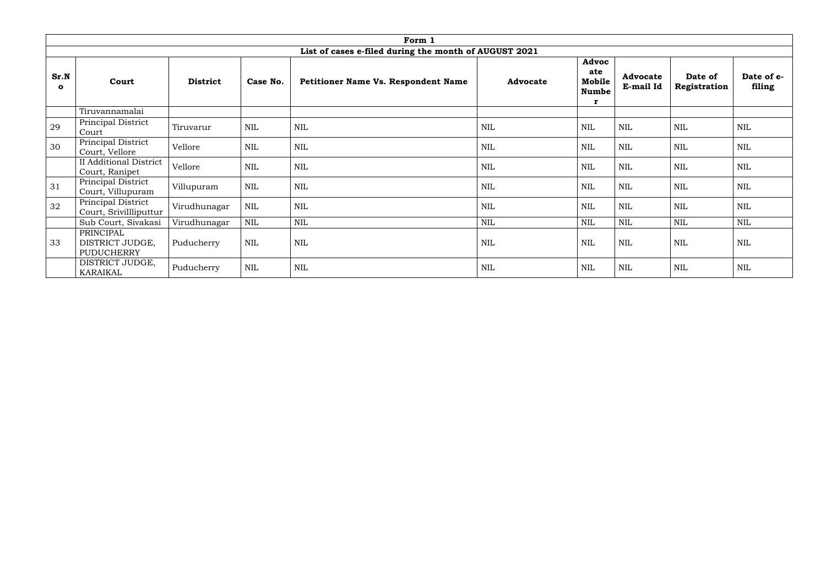|                      | Form 1                                                   |                 |              |                                                       |                 |                                             |                              |                         |                      |  |  |
|----------------------|----------------------------------------------------------|-----------------|--------------|-------------------------------------------------------|-----------------|---------------------------------------------|------------------------------|-------------------------|----------------------|--|--|
|                      |                                                          |                 |              | List of cases e-filed during the month of AUGUST 2021 |                 |                                             |                              |                         |                      |  |  |
| Sr.N<br>$\mathbf{o}$ | Court                                                    | <b>District</b> | Case No.     | <b>Petitioner Name Vs. Respondent Name</b>            | <b>Advocate</b> | Advoc<br>ate<br>Mobile<br><b>Numbe</b><br>r | <b>Advocate</b><br>E-mail Id | Date of<br>Registration | Date of e-<br>filing |  |  |
|                      | Tiruvannamalai                                           |                 |              |                                                       |                 |                                             |                              |                         |                      |  |  |
| 29                   | Principal District<br>Court                              | Tiruvarur       | <b>NIL</b>   | <b>NIL</b>                                            | <b>NIL</b>      | <b>NIL</b>                                  | <b>NIL</b>                   | <b>NIL</b>              | NIL                  |  |  |
| 30 <sup>°</sup>      | Principal District<br>Court, Vellore                     | Vellore         | $\mbox{NIL}$ | NIL                                                   | <b>NIL</b>      | <b>NIL</b>                                  | $\mbox{NIL}$                 | <b>NIL</b>              | <b>NIL</b>           |  |  |
|                      | <b>II Additional District</b><br>Court, Ranipet          | Vellore         | $\mbox{NIL}$ | <b>NIL</b>                                            | <b>NIL</b>      | <b>NIL</b>                                  | $\mbox{NIL}$                 | <b>NIL</b>              | NIL                  |  |  |
| 31                   | Principal District<br>Court, Villupuram                  | Villupuram      | $\mbox{NIL}$ | NIL                                                   | <b>NIL</b>      | NIL                                         | $\mbox{NIL}$                 | <b>NIL</b>              | NIL                  |  |  |
| 32                   | Principal District<br>Court, Srivillliputtur             | Virudhunagar    | $\text{NIL}$ | NIL                                                   | <b>NIL</b>      | <b>NIL</b>                                  | <b>NIL</b>                   | <b>NIL</b>              | NIL                  |  |  |
|                      | Sub Court, Sivakasi                                      | Virudhunagar    | $\mbox{NIL}$ | NIL                                                   | <b>NIL</b>      | <b>NIL</b>                                  | NIL                          | <b>NIL</b>              | <b>NIL</b>           |  |  |
| 33                   | <b>PRINCIPAL</b><br>DISTRICT JUDGE,<br><b>PUDUCHERRY</b> | Puducherry      | $\mbox{NIL}$ | <b>NIL</b>                                            | <b>NIL</b>      | $\mbox{NIL}$                                | $\mbox{NIL}$                 | <b>NIL</b>              | NIL                  |  |  |
|                      | DISTRICT JUDGE,<br><b>KARAIKAL</b>                       | Puducherry      | $\text{NIL}$ | NIL                                                   | <b>NIL</b>      | <b>NIL</b>                                  | <b>NIL</b>                   | <b>NIL</b>              | <b>NIL</b>           |  |  |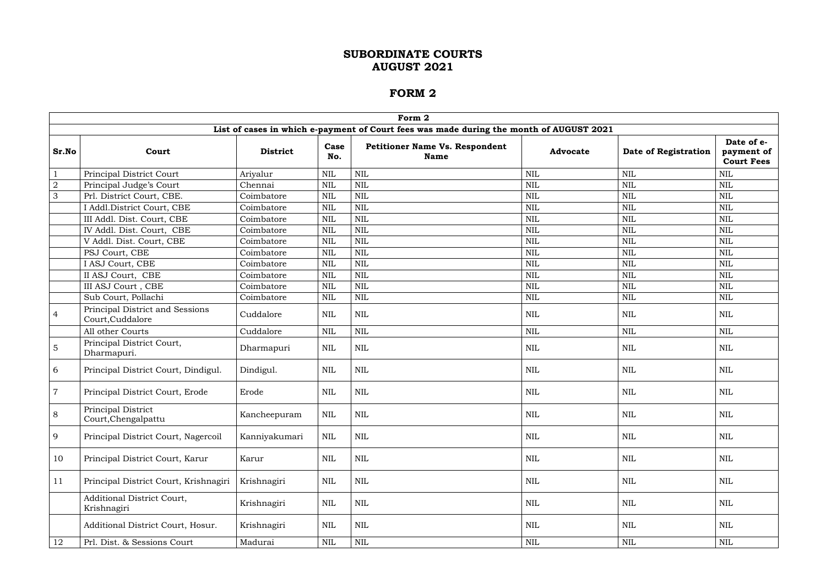|                |                                                          |                 |              | Form 2                                                                                  |                 |                      |                                               |
|----------------|----------------------------------------------------------|-----------------|--------------|-----------------------------------------------------------------------------------------|-----------------|----------------------|-----------------------------------------------|
|                |                                                          |                 |              | List of cases in which e-payment of Court fees was made during the month of AUGUST 2021 |                 |                      |                                               |
| Sr.No          | Court                                                    | <b>District</b> | Case<br>No.  | <b>Petitioner Name Vs. Respondent</b><br><b>Name</b>                                    | <b>Advocate</b> | Date of Registration | Date of e-<br>payment of<br><b>Court Fees</b> |
| $\mathbf{1}$   | Principal District Court                                 | Ariyalur        | <b>NIL</b>   | $\text{NIL}$                                                                            | <b>NIL</b>      | <b>NIL</b>           | <b>NIL</b>                                    |
| $\overline{2}$ | Principal Judge's Court                                  | Chennai         | <b>NIL</b>   | $\mbox{NIL}$                                                                            | $\mbox{NIL}$    | $\mbox{NIL}$         | <b>NIL</b>                                    |
| $\mathfrak{Z}$ | Prl. District Court, CBE.                                | Coimbatore      | <b>NIL</b>   | $\mbox{NIL}$                                                                            | $\mbox{NIL}$    | <b>NIL</b>           | <b>NIL</b>                                    |
|                | I Addl.District Court, CBE                               | Coimbatore      | <b>NIL</b>   | $\mbox{NIL}$                                                                            | $\mbox{NIL}$    | <b>NIL</b>           | <b>NIL</b>                                    |
|                | III Addl. Dist. Court, CBE                               | Coimbatore      | NIL          | $\text{NIL}$                                                                            | $\mbox{NIL}$    | $\mbox{NIL}$         | <b>NIL</b>                                    |
|                | IV Addl. Dist. Court, CBE                                | Coimbatore      | <b>NIL</b>   | $\text{NIL}$                                                                            | $\mbox{NIL}$    | <b>NIL</b>           | <b>NIL</b>                                    |
|                | V Addl. Dist. Court, CBE                                 | Coimbatore      | <b>NIL</b>   | $\mbox{NIL}$                                                                            | <b>NIL</b>      | NIL                  | NIL                                           |
|                | PSJ Court, CBE                                           | Coimbatore      | <b>NIL</b>   | $\text{NIL}$                                                                            | $\mbox{NIL}$    | <b>NIL</b>           | <b>NIL</b>                                    |
|                | I ASJ Court, CBE                                         | Coimbatore      | $\mbox{NIL}$ | $\mbox{NIL}$                                                                            | $\mbox{NIL}$    | $\mbox{NIL}$         | <b>NIL</b>                                    |
|                | II ASJ Court, CBE                                        | Coimbatore      | <b>NIL</b>   | $\mbox{NIL}$                                                                            | $\mbox{NIL}$    | <b>NIL</b>           | <b>NIL</b>                                    |
|                | III ASJ Court, CBE                                       | Coimbatore      | <b>NIL</b>   | $\mbox{NIL}$                                                                            | $\mbox{NIL}$    | <b>NIL</b>           | <b>NIL</b>                                    |
|                | Sub Court, Pollachi                                      | Coimbatore      | <b>NIL</b>   | $\mbox{NIL}$                                                                            | $\mbox{NIL}$    | $\mbox{NIL}$         | NIL                                           |
| $\overline{4}$ | Principal District and Sessions<br>Court, Cuddalore      | Cuddalore       | <b>NIL</b>   | <b>NIL</b>                                                                              | <b>NIL</b>      | <b>NIL</b>           | <b>NIL</b>                                    |
|                | All other Courts                                         | Cuddalore       | <b>NIL</b>   | $\text{NIL}$                                                                            | $\mbox{NIL}$    | <b>NIL</b>           | <b>NIL</b>                                    |
| $\overline{5}$ | Principal District Court,<br>Dharmapuri.                 | Dharmapuri      | <b>NIL</b>   | <b>NIL</b>                                                                              | <b>NIL</b>      | <b>NIL</b>           | <b>NIL</b>                                    |
| 6              | Principal District Court, Dindigul.                      | Dindigul.       | NIL          | $\mbox{NIL}$                                                                            | <b>NIL</b>      | NIL                  | NIL                                           |
| $\overline{7}$ | Principal District Court, Erode                          | Erode           | <b>NIL</b>   | $\text{NIL}$                                                                            | <b>NIL</b>      | NIL                  | <b>NIL</b>                                    |
| 8              | Principal District<br>$\mbox{Court},\mbox{Chengalpattu}$ | Kancheepuram    | $\mbox{NIL}$ | $\mbox{NIL}$                                                                            | $\mbox{NIL}$    | <b>NIL</b>           | <b>NIL</b>                                    |
| 9              | Principal District Court, Nagercoil                      | Kanniyakumari   | $\mbox{NIL}$ | $\mbox{NIL}$                                                                            | $\mbox{NIL}$    | NIL                  | NIL                                           |
| 10             | Principal District Court, Karur                          | Karur           | NIL          | $\mbox{NIL}$                                                                            | $\mbox{NIL}$    | NIL                  | NIL                                           |
| 11             | Principal District Court, Krishnagiri                    | Krishnagiri     | NIL          | $\mbox{NIL}$                                                                            | $\mbox{NIL}$    | <b>NIL</b>           | <b>NIL</b>                                    |
|                | Additional District Court,<br>Krishnagiri                | Krishnagiri     | NIL          | $\mbox{NIL}$                                                                            | $\mbox{NIL}$    | NIL                  | NIL                                           |
|                | Additional District Court, Hosur.                        | Krishnagiri     | NIL          | $\mbox{NIL}$                                                                            | $\mbox{NIL}$    | NIL                  | NIL                                           |
| 12             | Prl. Dist. & Sessions Court                              | Madurai         | $\mbox{NIL}$ | $\mbox{NIL}$                                                                            | $\mbox{NIL}$    | NIL                  | $\mbox{NIL}$                                  |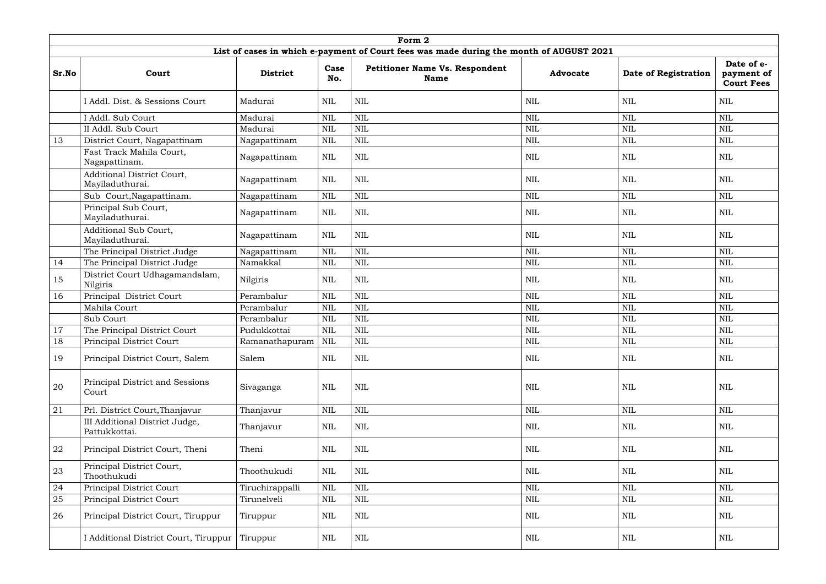|       |                                                      |                 |              | Form 2                                                                                  |                 |                             |                                               |
|-------|------------------------------------------------------|-----------------|--------------|-----------------------------------------------------------------------------------------|-----------------|-----------------------------|-----------------------------------------------|
|       |                                                      |                 |              | List of cases in which e-payment of Court fees was made during the month of AUGUST 2021 |                 |                             |                                               |
| Sr.No | Court                                                | <b>District</b> | Case<br>No.  | <b>Petitioner Name Vs. Respondent</b><br><b>Name</b>                                    | <b>Advocate</b> | <b>Date of Registration</b> | Date of e-<br>payment of<br><b>Court Fees</b> |
|       | I Addl. Dist. & Sessions Court                       | Madurai         | <b>NIL</b>   | <b>NIL</b>                                                                              | <b>NIL</b>      | NIL                         | NIL                                           |
|       | I Addl. Sub Court                                    | Madurai         | $\mbox{NIL}$ | <b>NIL</b>                                                                              | <b>NIL</b>      | <b>NIL</b>                  | <b>NIL</b>                                    |
|       | II Addl. Sub Court                                   | Madurai         | $\mbox{NIL}$ | $\text{NIL}$                                                                            | <b>NIL</b>      | NIL                         | <b>NIL</b>                                    |
| 13    | District Court, Nagapattinam                         | Nagapattinam    | <b>NIL</b>   | $\text{NIL}$                                                                            | <b>NIL</b>      | $\mbox{NIL}$                | <b>NIL</b>                                    |
|       | Fast Track Mahila Court,<br>Nagapattinam.            | Nagapattinam    | $\mbox{NIL}$ | <b>NIL</b>                                                                              | <b>NIL</b>      | <b>NIL</b>                  | <b>NIL</b>                                    |
|       | <b>Additional District Court,</b><br>Mayiladuthurai. | Nagapattinam    | $\mbox{NIL}$ | <b>NIL</b>                                                                              | <b>NIL</b>      | <b>NIL</b>                  | <b>NIL</b>                                    |
|       | Sub Court, Nagapattinam.                             | Nagapattinam    | $\mbox{NIL}$ | <b>NIL</b>                                                                              | <b>NIL</b>      | $\mbox{NIL}$                | <b>NIL</b>                                    |
|       | Principal Sub Court,<br>Mayiladuthurai.              | Nagapattinam    | $\mbox{NIL}$ | $\text{NIL}$                                                                            | <b>NIL</b>      | NIL                         | <b>NIL</b>                                    |
|       | Additional Sub Court,<br>Mayiladuthurai.             | Nagapattinam    | <b>NIL</b>   | <b>NIL</b>                                                                              | <b>NIL</b>      | <b>NIL</b>                  | NIL                                           |
|       | The Principal District Judge                         | Nagapattinam    | $\mbox{NIL}$ | <b>NIL</b>                                                                              | <b>NIL</b>      | <b>NIL</b>                  | <b>NIL</b>                                    |
| 14    | The Principal District Judge                         | Namakkal        | $\mbox{NIL}$ | <b>NIL</b>                                                                              | <b>NIL</b>      | <b>NIL</b>                  | <b>NIL</b>                                    |
| 15    | District Court Udhagamandalam,<br>Nilgiris           | Nilgiris        | <b>NIL</b>   | <b>NIL</b>                                                                              | <b>NIL</b>      | <b>NIL</b>                  | <b>NIL</b>                                    |
| 16    | Principal District Court                             | Perambalur      | $\mbox{NIL}$ | $\text{NIL}$                                                                            | <b>NIL</b>      | <b>NIL</b>                  | <b>NIL</b>                                    |
|       | Mahila Court                                         | Perambalur      | <b>NIL</b>   | <b>NIL</b>                                                                              | <b>NIL</b>      | <b>NIL</b>                  | <b>NIL</b>                                    |
|       | Sub Court                                            | Perambalur      | $\mbox{NIL}$ | $\text{NIL}$                                                                            | <b>NIL</b>      | <b>NIL</b>                  | <b>NIL</b>                                    |
| 17    | The Principal District Court                         | Pudukkottai     | <b>NIL</b>   | <b>NIL</b>                                                                              | <b>NIL</b>      | <b>NIL</b>                  | <b>NIL</b>                                    |
| 18    | Principal District Court                             | Ramanathapuram  | NIL          | <b>NIL</b>                                                                              | <b>NIL</b>      | <b>NIL</b>                  | NIL                                           |
| 19    | Principal District Court, Salem                      | Salem           | $\mbox{NIL}$ | $\mbox{NIL}$                                                                            | <b>NIL</b>      | NIL                         | <b>NIL</b>                                    |
| 20    | Principal District and Sessions<br>Court             | Sivaganga       | <b>NIL</b>   | <b>NIL</b>                                                                              | <b>NIL</b>      | NIL                         | <b>NIL</b>                                    |
| 21    | Prl. District Court, Thanjavur                       | Thanjavur       | $\mbox{NIL}$ | <b>NIL</b>                                                                              | $\mbox{NIL}$    | <b>NIL</b>                  | <b>NIL</b>                                    |
|       | III Additional District Judge,<br>Pattukkottai.      | Thanjavur       | $\mbox{NIL}$ | <b>NIL</b>                                                                              | <b>NIL</b>      | NIL                         | NIL                                           |
| 22    | Principal District Court, Theni                      | Theni           | $\mbox{NIL}$ | $\text{NIL}$                                                                            | <b>NIL</b>      | NIL                         | <b>NIL</b>                                    |
| 23    | Principal District Court,<br>Thoothukudi             | Thoothukudi     | <b>NIL</b>   | $\mbox{NIL}$                                                                            | $\mbox{NIL}$    | NIL                         | <b>NIL</b>                                    |
| 24    | Principal District Court                             | Tiruchirappalli | $\mbox{NIL}$ | <b>NIL</b>                                                                              | <b>NIL</b>      | NIL                         | <b>NIL</b>                                    |
| 25    | Principal District Court                             | Tirunelveli     | $\mbox{NIL}$ | $\text{NIL}$                                                                            | <b>NIL</b>      | NIL                         | <b>NIL</b>                                    |
| 26    | Principal District Court, Tiruppur                   | Tiruppur        | $\mbox{NIL}$ | <b>NIL</b>                                                                              | <b>NIL</b>      | NIL                         | <b>NIL</b>                                    |
|       | I Additional District Court, Tiruppur                | Tiruppur        | NIL          | <b>NIL</b>                                                                              | NIL             | NIL                         | NIL                                           |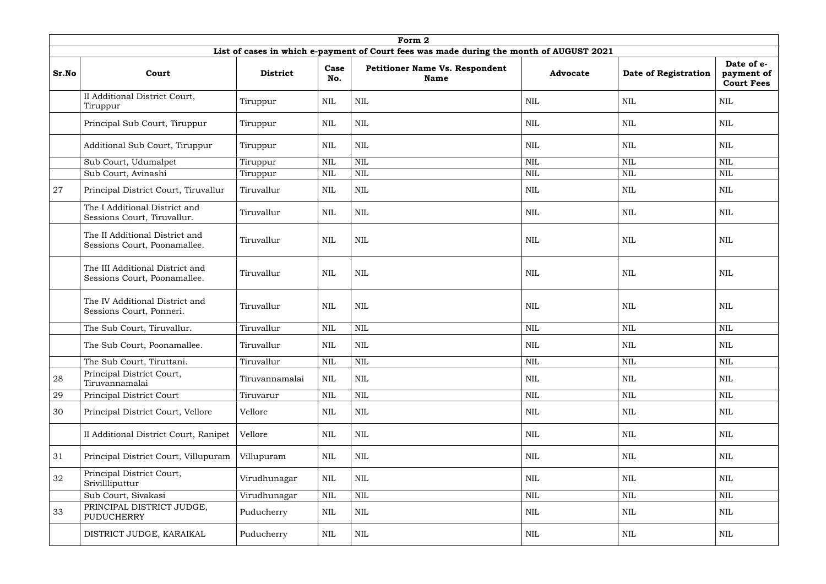|       |                                                                 |                 |              | Form 2                                                                                  |                 |                      |                                               |
|-------|-----------------------------------------------------------------|-----------------|--------------|-----------------------------------------------------------------------------------------|-----------------|----------------------|-----------------------------------------------|
|       |                                                                 |                 |              | List of cases in which e-payment of Court fees was made during the month of AUGUST 2021 |                 |                      |                                               |
| Sr.No | Court                                                           | <b>District</b> | Case<br>No.  | <b>Petitioner Name Vs. Respondent</b><br><b>Name</b>                                    | <b>Advocate</b> | Date of Registration | Date of e-<br>payment of<br><b>Court Fees</b> |
|       | II Additional District Court,<br>Tiruppur                       | Tiruppur        | <b>NIL</b>   | <b>NIL</b>                                                                              | <b>NIL</b>      | <b>NIL</b>           | <b>NIL</b>                                    |
|       | Principal Sub Court, Tiruppur                                   | Tiruppur        | <b>NIL</b>   | <b>NIL</b>                                                                              | NIL             | NIL                  | NIL                                           |
|       | Additional Sub Court, Tiruppur                                  | Tiruppur        | $\text{NIL}$ | <b>NIL</b>                                                                              | <b>NIL</b>      | <b>NIL</b>           | <b>NIL</b>                                    |
|       | Sub Court, Udumalpet                                            | Tiruppur        | <b>NIL</b>   | <b>NIL</b>                                                                              | <b>NIL</b>      | <b>NIL</b>           | <b>NIL</b>                                    |
|       | Sub Court, Avinashi                                             | Tiruppur        | $\mbox{NIL}$ | <b>NIL</b>                                                                              | <b>NIL</b>      | <b>NIL</b>           | <b>NIL</b>                                    |
| 27    | Principal District Court, Tiruvallur                            | Tiruvallur      | <b>NIL</b>   | <b>NIL</b>                                                                              | <b>NIL</b>      | <b>NIL</b>           | NIL                                           |
|       | The I Additional District and<br>Sessions Court, Tiruvallur.    | Tiruvallur      | $\text{NIL}$ | $\mbox{NIL}$                                                                            | <b>NIL</b>      | <b>NIL</b>           | <b>NIL</b>                                    |
|       | The II Additional District and<br>Sessions Court, Poonamallee.  | Tiruvallur      | <b>NIL</b>   | <b>NIL</b>                                                                              | <b>NIL</b>      | <b>NIL</b>           | NIL                                           |
|       | The III Additional District and<br>Sessions Court, Poonamallee. | Tiruvallur      | <b>NIL</b>   | <b>NIL</b>                                                                              | <b>NIL</b>      | <b>NIL</b>           | NIL                                           |
|       | The IV Additional District and<br>Sessions Court, Ponneri.      | Tiruvallur      | $\mbox{NIL}$ | <b>NIL</b>                                                                              | <b>NIL</b>      | NIL                  | NIL                                           |
|       | The Sub Court, Tiruvallur.                                      | Tiruvallur      | $\text{NIL}$ | <b>NIL</b>                                                                              | <b>NIL</b>      | <b>NIL</b>           | <b>NIL</b>                                    |
|       | The Sub Court, Poonamallee.                                     | Tiruvallur      | <b>NIL</b>   | $\mbox{NIL}$                                                                            | $\mbox{NIL}$    | $\mbox{NIL}$         | $\mbox{NIL}$                                  |
|       | The Sub Court, Tiruttani.                                       | Tiruvallur      | NIL          | $\mbox{NIL}$                                                                            | $\mbox{NIL}$    | NIL                  | <b>NIL</b>                                    |
| 28    | Principal District Court,<br>Tiruvannamalai                     | Tiruvannamalai  | <b>NIL</b>   | <b>NIL</b>                                                                              | $\mbox{NIL}$    | <b>NIL</b>           | <b>NIL</b>                                    |
| 29    | Principal District Court                                        | Tiruvarur       | <b>NIL</b>   | $\mbox{NIL}$                                                                            | $\mbox{NIL}$    | <b>NIL</b>           | <b>NIL</b>                                    |
| 30    | Principal District Court, Vellore                               | Vellore         | <b>NIL</b>   | $\mbox{NIL}$                                                                            | $\mbox{NIL}$    | <b>NIL</b>           | <b>NIL</b>                                    |
|       | II Additional District Court, Ranipet                           | Vellore         | <b>NIL</b>   | $\mbox{NIL}$                                                                            | <b>NIL</b>      | NIL                  | NIL                                           |
| 31    | Principal District Court, Villupuram                            | Villupuram      | <b>NIL</b>   | $\mbox{NIL}$                                                                            | $\mbox{NIL}$    | <b>NIL</b>           | NIL                                           |
| 32    | Principal District Court,<br>Srivillliputtur                    | Virudhunagar    | <b>NIL</b>   | $\mbox{NIL}$                                                                            | $\mbox{NIL}$    | <b>NIL</b>           | <b>NIL</b>                                    |
|       | Sub Court, Sivakasi                                             | Virudhunagar    | <b>NIL</b>   | $\mbox{NIL}$                                                                            | $\mbox{NIL}$    | <b>NIL</b>           | <b>NIL</b>                                    |
| 33    | PRINCIPAL DISTRICT JUDGE,<br><b>PUDUCHERRY</b>                  | Puducherry      | NIL          | $\mbox{NIL}$                                                                            | $\mbox{NIL}$    | NIL                  | NIL                                           |
|       | DISTRICT JUDGE, KARAIKAL                                        | Puducherry      | NIL          | <b>NIL</b>                                                                              | <b>NIL</b>      | NIL                  | NIL                                           |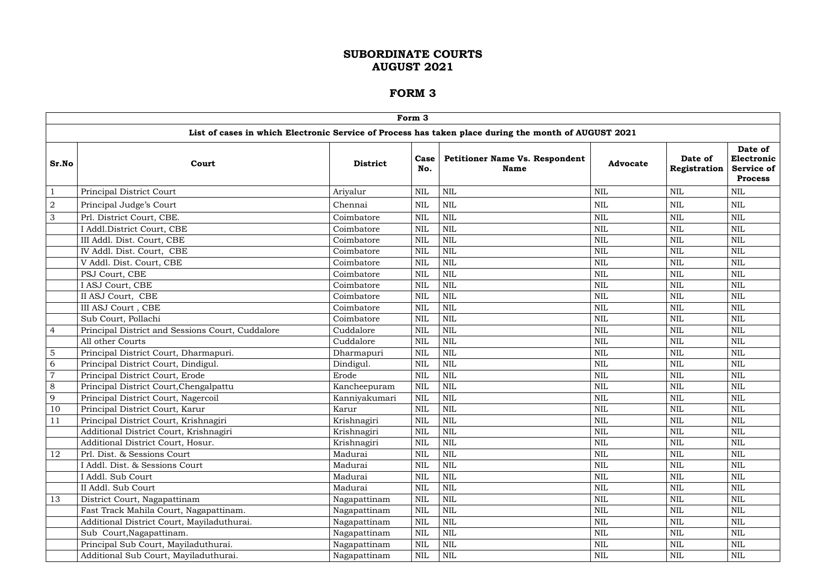|                |                                                  |                 | Form 3       |                                                                                                      |                 |                         |                                                              |
|----------------|--------------------------------------------------|-----------------|--------------|------------------------------------------------------------------------------------------------------|-----------------|-------------------------|--------------------------------------------------------------|
|                |                                                  |                 |              | List of cases in which Electronic Service of Process has taken place during the month of AUGUST 2021 |                 |                         |                                                              |
| Sr.No          | Court                                            | <b>District</b> | Case<br>No.  | <b>Petitioner Name Vs. Respondent</b><br><b>Name</b>                                                 | <b>Advocate</b> | Date of<br>Registration | Date of<br>Electronic<br><b>Service of</b><br><b>Process</b> |
|                | Principal District Court                         | Ariyalur        | <b>NIL</b>   | $\mbox{NIL}$                                                                                         | <b>NIL</b>      | <b>NIL</b>              | <b>NIL</b>                                                   |
| $\overline{2}$ | Principal Judge's Court                          | Chennai         | <b>NIL</b>   | <b>NIL</b>                                                                                           | <b>NIL</b>      | NIL                     | <b>NIL</b>                                                   |
| $\mathfrak{Z}$ | Prl. District Court, CBE.                        | Coimbatore      | <b>NIL</b>   | <b>NIL</b>                                                                                           | <b>NIL</b>      | <b>NIL</b>              | <b>NIL</b>                                                   |
|                | I Addl.District Court, CBE                       | Coimbatore      | <b>NIL</b>   | <b>NIL</b>                                                                                           | <b>NIL</b>      | <b>NIL</b>              | <b>NIL</b>                                                   |
|                | III Addl. Dist. Court, CBE                       | Coimbatore      | <b>NIL</b>   | <b>NIL</b>                                                                                           | <b>NIL</b>      | <b>NIL</b>              | <b>NIL</b>                                                   |
|                | IV Addl. Dist. Court, CBE                        | Coimbatore      | <b>NIL</b>   | <b>NIL</b>                                                                                           | <b>NIL</b>      | <b>NIL</b>              | <b>NIL</b>                                                   |
|                | V Addl. Dist. Court, CBE                         | Coimbatore      | <b>NIL</b>   | <b>NIL</b>                                                                                           | <b>NIL</b>      | <b>NIL</b>              | <b>NIL</b>                                                   |
|                | PSJ Court, CBE                                   | Coimbatore      | <b>NIL</b>   | <b>NIL</b>                                                                                           | <b>NIL</b>      | <b>NIL</b>              | <b>NIL</b>                                                   |
|                | I ASJ Court, CBE                                 | Coimbatore      | <b>NIL</b>   | <b>NIL</b>                                                                                           | <b>NIL</b>      | <b>NIL</b>              | <b>NIL</b>                                                   |
|                | II ASJ Court, CBE                                | Coimbatore      | <b>NIL</b>   | <b>NIL</b>                                                                                           | <b>NIL</b>      | <b>NIL</b>              | <b>NIL</b>                                                   |
|                | III ASJ Court, CBE                               | Coimbatore      | <b>NIL</b>   | <b>NIL</b>                                                                                           | <b>NIL</b>      | <b>NIL</b>              | <b>NIL</b>                                                   |
|                | Sub Court, Pollachi                              | Coimbatore      | <b>NIL</b>   | <b>NIL</b>                                                                                           | <b>NIL</b>      | <b>NIL</b>              | <b>NIL</b>                                                   |
| $\overline{4}$ | Principal District and Sessions Court, Cuddalore | Cuddalore       | <b>NIL</b>   | <b>NIL</b>                                                                                           | <b>NIL</b>      | <b>NIL</b>              | <b>NIL</b>                                                   |
|                | All other Courts                                 | Cuddalore       | <b>NIL</b>   | <b>NIL</b>                                                                                           | <b>NIL</b>      | <b>NIL</b>              | <b>NIL</b>                                                   |
| $\overline{5}$ | Principal District Court, Dharmapuri.            | Dharmapuri      | <b>NIL</b>   | <b>NIL</b>                                                                                           | <b>NIL</b>      | <b>NIL</b>              | <b>NIL</b>                                                   |
| 6              | Principal District Court, Dindigul.              | Dindigul.       | <b>NIL</b>   | <b>NIL</b>                                                                                           | <b>NIL</b>      | <b>NIL</b>              | <b>NIL</b>                                                   |
| $\overline{7}$ | Principal District Court, Erode                  | Erode           | <b>NIL</b>   | <b>NIL</b>                                                                                           | <b>NIL</b>      | <b>NIL</b>              | <b>NIL</b>                                                   |
| 8              | Principal District Court, Chengalpattu           | Kancheepuram    | <b>NIL</b>   | <b>NIL</b>                                                                                           | <b>NIL</b>      | <b>NIL</b>              | <b>NIL</b>                                                   |
| 9              | Principal District Court, Nagercoil              | Kanniyakumari   | <b>NIL</b>   | <b>NIL</b>                                                                                           | <b>NIL</b>      | <b>NIL</b>              | NIL                                                          |
| 10             | Principal District Court, Karur                  | Karur           | <b>NIL</b>   | <b>NIL</b>                                                                                           | <b>NIL</b>      | <b>NIL</b>              | <b>NIL</b>                                                   |
| <sup>11</sup>  | Principal District Court, Krishnagiri            | Krishnagiri     | <b>NIL</b>   | $\mbox{NIL}$                                                                                         | $\mbox{NIL}$    | $\mbox{NIL}$            | $\mbox{NIL}$                                                 |
|                | Additional District Court, Krishnagiri           | Krishnagiri     | <b>NIL</b>   | <b>NIL</b>                                                                                           | <b>NIL</b>      | <b>NIL</b>              | <b>NIL</b>                                                   |
|                | Additional District Court, Hosur.                | Krishnagiri     | <b>NIL</b>   | $\mbox{NIL}$                                                                                         | NIL             | <b>NIL</b>              | NIL                                                          |
| 12             | Prl. Dist. & Sessions Court                      | Madurai         | <b>NIL</b>   | $\mbox{NIL}$                                                                                         | <b>NIL</b>      | $\mbox{NIL}$            | <b>NIL</b>                                                   |
|                | I Addl. Dist. & Sessions Court                   | Madurai         | <b>NIL</b>   | NIL                                                                                                  | <b>NIL</b>      | <b>NIL</b>              | <b>NIL</b>                                                   |
|                | I Addl. Sub Court                                | Madurai         | <b>NIL</b>   | $\mbox{NIL}$                                                                                         | NIL             | <b>NIL</b>              | <b>NIL</b>                                                   |
|                | II Addl. Sub Court                               | Madurai         | <b>NIL</b>   | <b>NIL</b>                                                                                           | NIL             | <b>NIL</b>              | <b>NIL</b>                                                   |
| 13             | District Court, Nagapattinam                     | Nagapattinam    | <b>NIL</b>   | $\mbox{NIL}$                                                                                         | <b>NIL</b>      | <b>NIL</b>              | <b>NIL</b>                                                   |
|                | Fast Track Mahila Court, Nagapattinam.           | Nagapattinam    | <b>NIL</b>   | <b>NIL</b>                                                                                           | NIL             | <b>NIL</b>              | <b>NIL</b>                                                   |
|                | Additional District Court, Mayiladuthurai.       | Nagapattinam    | <b>NIL</b>   | $\mbox{NIL}$                                                                                         | NIL             | NIL                     | NIL                                                          |
|                | Sub Court, Nagapattinam.                         | Nagapattinam    | <b>NIL</b>   | $\mbox{NIL}$                                                                                         | <b>NIL</b>      | $\mbox{NIL}$            | NIL                                                          |
|                | Principal Sub Court, Mayiladuthurai.             | Nagapattinam    | <b>NIL</b>   | $\mbox{NIL}$                                                                                         | NIL             | <b>NIL</b>              | <b>NIL</b>                                                   |
|                | Additional Sub Court, Mayiladuthurai.            | Nagapattinam    | $\mbox{NIL}$ | NIL                                                                                                  | NIL             | $\rm NIL$               | NIL                                                          |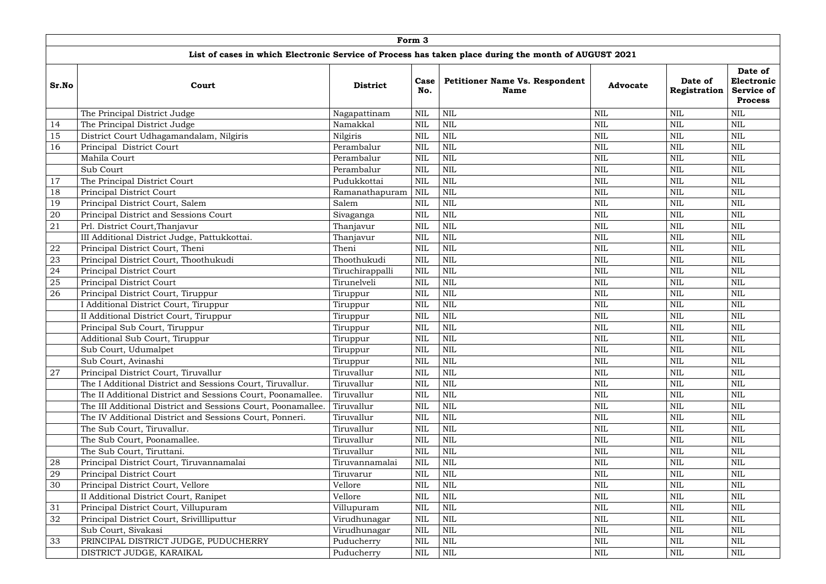|       |                                                              |                 | Form 3      |                                                                                                      |                 |                         |                                                              |
|-------|--------------------------------------------------------------|-----------------|-------------|------------------------------------------------------------------------------------------------------|-----------------|-------------------------|--------------------------------------------------------------|
|       |                                                              |                 |             | List of cases in which Electronic Service of Process has taken place during the month of AUGUST 2021 |                 |                         |                                                              |
| Sr.No | Court                                                        | <b>District</b> | Case<br>No. | <b>Petitioner Name Vs. Respondent</b><br><b>Name</b>                                                 | <b>Advocate</b> | Date of<br>Registration | Date of<br>Electronic<br><b>Service of</b><br><b>Process</b> |
|       | The Principal District Judge                                 | Nagapattinam    | <b>NIL</b>  | <b>NIL</b>                                                                                           | <b>NIL</b>      | <b>NIL</b>              | <b>NIL</b>                                                   |
| 14    | The Principal District Judge                                 | Namakkal        | <b>NIL</b>  | $\mbox{NIL}$                                                                                         | <b>NIL</b>      | <b>NIL</b>              | <b>NIL</b>                                                   |
| 15    | District Court Udhagamandalam, Nilgiris                      | Nilgiris        | <b>NIL</b>  | <b>NIL</b>                                                                                           | <b>NIL</b>      | <b>NIL</b>              | <b>NIL</b>                                                   |
| 16    | Principal District Court                                     | Perambalur      | <b>NIL</b>  | <b>NIL</b>                                                                                           | <b>NIL</b>      | <b>NIL</b>              | <b>NIL</b>                                                   |
|       | Mahila Court                                                 | Perambalur      | <b>NIL</b>  | <b>NIL</b>                                                                                           | <b>NIL</b>      | <b>NIL</b>              | <b>NIL</b>                                                   |
|       | Sub Court                                                    | Perambalur      | <b>NIL</b>  | <b>NIL</b>                                                                                           | <b>NIL</b>      | <b>NIL</b>              | <b>NIL</b>                                                   |
| 17    | The Principal District Court                                 | Pudukkottai     | <b>NIL</b>  | <b>NIL</b>                                                                                           | NIL             | NIL                     | <b>NIL</b>                                                   |
| 18    | Principal District Court                                     | Ramanathapuram  | <b>NIL</b>  | <b>NIL</b>                                                                                           | <b>NIL</b>      | <b>NIL</b>              | <b>NIL</b>                                                   |
| 19    | Principal District Court, Salem                              | Salem           | <b>NIL</b>  | <b>NIL</b>                                                                                           | NIL             | <b>NIL</b>              | <b>NIL</b>                                                   |
| 20    | Principal District and Sessions Court                        | Sivaganga       | <b>NIL</b>  | <b>NIL</b>                                                                                           | <b>NIL</b>      | <b>NIL</b>              | <b>NIL</b>                                                   |
| 21    | Prl. District Court, Thanjavur                               | Thanjavur       | <b>NIL</b>  | <b>NIL</b>                                                                                           | <b>NIL</b>      | <b>NIL</b>              | <b>NIL</b>                                                   |
|       | III Additional District Judge, Pattukkottai.                 | Thanjavur       | <b>NIL</b>  | <b>NIL</b>                                                                                           | NIL             | <b>NIL</b>              | <b>NIL</b>                                                   |
| 22    | Principal District Court, Theni                              | Theni           | <b>NIL</b>  | <b>NIL</b>                                                                                           | <b>NIL</b>      | <b>NIL</b>              | <b>NIL</b>                                                   |
| 23    | Principal District Court, Thoothukudi                        | Thoothukudi     | <b>NIL</b>  | <b>NIL</b>                                                                                           | NIL             | <b>NIL</b>              | <b>NIL</b>                                                   |
| 24    | Principal District Court                                     | Tiruchirappalli | <b>NIL</b>  | <b>NIL</b>                                                                                           | <b>NIL</b>      | <b>NIL</b>              | <b>NIL</b>                                                   |
| 25    | Principal District Court                                     | Tirunelveli     | <b>NIL</b>  | $\mbox{NIL}$                                                                                         | <b>NIL</b>      | <b>NIL</b>              | <b>NIL</b>                                                   |
| 26    | Principal District Court, Tiruppur                           | Tiruppur        | <b>NIL</b>  | <b>NIL</b>                                                                                           | NIL             | <b>NIL</b>              | <b>NIL</b>                                                   |
|       | I Additional District Court, Tiruppur                        | Tiruppur        | <b>NIL</b>  | <b>NIL</b>                                                                                           | <b>NIL</b>      | <b>NIL</b>              | <b>NIL</b>                                                   |
|       | II Additional District Court, Tiruppur                       | Tiruppur        | <b>NIL</b>  | $\mbox{NIL}$                                                                                         | <b>NIL</b>      | <b>NIL</b>              | <b>NIL</b>                                                   |
|       | Principal Sub Court, Tiruppur                                | Tiruppur        | <b>NIL</b>  | <b>NIL</b>                                                                                           | <b>NIL</b>      | <b>NIL</b>              | <b>NIL</b>                                                   |
|       | Additional Sub Court, Tiruppur                               | Tiruppur        | <b>NIL</b>  | <b>NIL</b>                                                                                           | NIL             | <b>NIL</b>              | <b>NIL</b>                                                   |
|       | Sub Court, Udumalpet                                         | Tiruppur        | <b>NIL</b>  | <b>NIL</b>                                                                                           | <b>NIL</b>      | <b>NIL</b>              | <b>NIL</b>                                                   |
|       | Sub Court, Avinashi                                          | Tiruppur        | <b>NIL</b>  | <b>NIL</b>                                                                                           | <b>NIL</b>      | <b>NIL</b>              | <b>NIL</b>                                                   |
| 27    | Principal District Court, Tiruvallur                         | Tiruvallur      | <b>NIL</b>  | <b>NIL</b>                                                                                           | NIL             | NIL                     | <b>NIL</b>                                                   |
|       | The I Additional District and Sessions Court, Tiruvallur.    | Tiruvallur      | <b>NIL</b>  | <b>NIL</b>                                                                                           | <b>NIL</b>      | <b>NIL</b>              | <b>NIL</b>                                                   |
|       | The II Additional District and Sessions Court, Poonamallee.  | Tiruvallur      | <b>NIL</b>  | <b>NIL</b>                                                                                           | <b>NIL</b>      | <b>NIL</b>              | <b>NIL</b>                                                   |
|       | The III Additional District and Sessions Court, Poonamallee. | Tiruvallur      | <b>NIL</b>  | <b>NIL</b>                                                                                           | NIL             | NIL                     | <b>NIL</b>                                                   |
|       | The IV Additional District and Sessions Court, Ponneri.      | Tiruvallur      | <b>NIL</b>  | <b>NIL</b>                                                                                           | <b>NIL</b>      | <b>NIL</b>              | <b>NIL</b>                                                   |
|       | The Sub Court, Tiruvallur.                                   | Tiruvallur      | <b>NIL</b>  | <b>NIL</b>                                                                                           | NIL             | <b>NIL</b>              | <b>NIL</b>                                                   |
|       | The Sub Court, Poonamallee.                                  | Tiruvallur      | <b>NIL</b>  | <b>NIL</b>                                                                                           | <b>NIL</b>      | <b>NIL</b>              | <b>NIL</b>                                                   |
|       | The Sub Court, Tiruttani.                                    | Tiruvallur      | <b>NIL</b>  | NIL                                                                                                  | NIL             | NIL                     | <b>NIL</b>                                                   |
| 28    | Principal District Court, Tiruvannamalai                     | Tiruvannamalai  | <b>NIL</b>  | <b>NIL</b>                                                                                           | <b>NIL</b>      | <b>NIL</b>              | <b>NIL</b>                                                   |
| 29    | Principal District Court                                     | Tiruvarur       | <b>NIL</b>  | <b>NIL</b>                                                                                           | NIL             | <b>NIL</b>              | <b>NIL</b>                                                   |
| 30    | Principal District Court, Vellore                            | Vellore         | <b>NIL</b>  | <b>NIL</b>                                                                                           | <b>NIL</b>      | <b>NIL</b>              | <b>NIL</b>                                                   |
|       | II Additional District Court, Ranipet                        | Vellore         | <b>NIL</b>  | <b>NIL</b>                                                                                           | <b>NIL</b>      | <b>NIL</b>              | <b>NIL</b>                                                   |
| 31    | Principal District Court, Villupuram                         | Villupuram      | <b>NIL</b>  | <b>NIL</b>                                                                                           | NIL             | <b>NIL</b>              | <b>NIL</b>                                                   |
| 32    | Principal District Court, Srivillliputtur                    | Virudhunagar    | <b>NIL</b>  | <b>NIL</b>                                                                                           | <b>NIL</b>      | <b>NIL</b>              | <b>NIL</b>                                                   |
|       | Sub Court, Sivakasi                                          | Virudhunagar    | <b>NIL</b>  | <b>NIL</b>                                                                                           | NIL             | NIL                     | <b>NIL</b>                                                   |
| 33    | PRINCIPAL DISTRICT JUDGE, PUDUCHERRY                         | Puducherry      | <b>NIL</b>  | <b>NIL</b>                                                                                           | <b>NIL</b>      | <b>NIL</b>              | <b>NIL</b>                                                   |
|       | DISTRICT JUDGE, KARAIKAL                                     | Puducherry      | <b>NIL</b>  | $\mbox{NIL}$                                                                                         | $\mbox{NIL}$    | <b>NIL</b>              | $\mbox{NIL}$                                                 |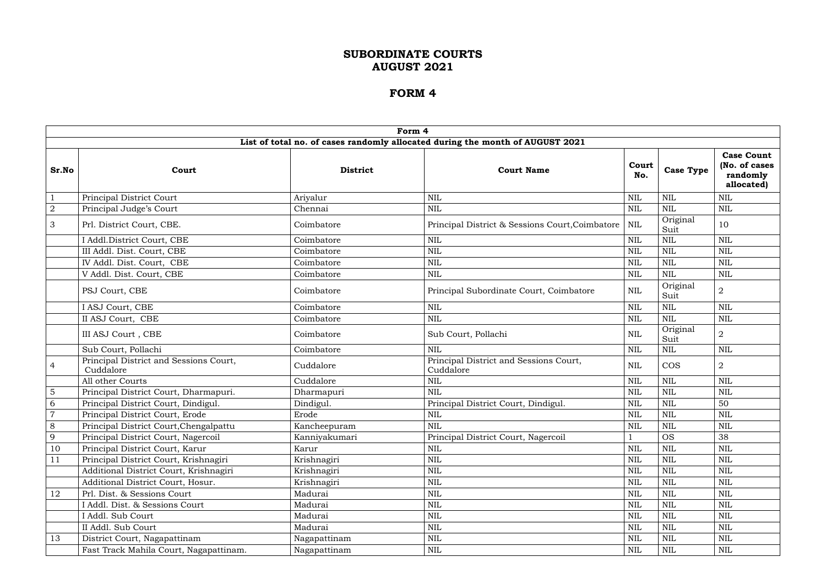|                |                                                     | Form 4          |                                                                               |              |                  |                                                              |
|----------------|-----------------------------------------------------|-----------------|-------------------------------------------------------------------------------|--------------|------------------|--------------------------------------------------------------|
|                |                                                     |                 | List of total no. of cases randomly allocated during the month of AUGUST 2021 |              |                  |                                                              |
| Sr.No          | Court                                               | <b>District</b> | <b>Court Name</b>                                                             | Court<br>No. | <b>Case Type</b> | <b>Case Count</b><br>(No. of cases<br>randomly<br>allocated) |
|                | <b>Principal District Court</b>                     | Ariyalur        | <b>NIL</b>                                                                    | $\text{NIL}$ | <b>NIL</b>       | <b>NIL</b>                                                   |
| $\sqrt{2}$     | Principal Judge's Court                             | Chennai         | $\mbox{NIL}$                                                                  | <b>NIL</b>   | NIL              | <b>NIL</b>                                                   |
| 3              | Prl. District Court, CBE.                           | Coimbatore      | Principal District & Sessions Court, Coimbatore                               | <b>NIL</b>   | Original<br>Suit | 10                                                           |
|                | I Addl.District Court, CBE                          | Coimbatore      | <b>NIL</b>                                                                    | $\text{NIL}$ | NIL              | <b>NIL</b>                                                   |
|                | III Addl. Dist. Court, CBE                          | Coimbatore      | $\mbox{NIL}$                                                                  | <b>NIL</b>   | <b>NIL</b>       | <b>NIL</b>                                                   |
|                | IV Addl. Dist. Court, CBE                           | Coimbatore      | $\mbox{NIL}$                                                                  | <b>NIL</b>   | NIL              | $\mbox{NIL}$                                                 |
|                | V Addl. Dist. Court, CBE                            | Coimbatore      | $\mbox{NIL}$                                                                  | $\text{NIL}$ | <b>NIL</b>       | <b>NIL</b>                                                   |
|                | PSJ Court, CBE                                      | Coimbatore      | Principal Subordinate Court, Coimbatore                                       | <b>NIL</b>   | Original<br>Suit | $\overline{2}$                                               |
|                | I ASJ Court, CBE                                    | Coimbatore      | $\mbox{NIL}$                                                                  | $\mbox{NIL}$ | <b>NIL</b>       | <b>NIL</b>                                                   |
|                | II ASJ Court, CBE                                   | Coimbatore      | $\mbox{NIL}$                                                                  | $\text{NIL}$ | <b>NIL</b>       | <b>NIL</b>                                                   |
|                | III ASJ Court, CBE                                  | Coimbatore      | Sub Court, Pollachi                                                           | <b>NIL</b>   | Original<br>Suit | $\overline{2}$                                               |
|                | Sub Court, Pollachi                                 | Coimbatore      | <b>NIL</b>                                                                    | $\text{NIL}$ | $\mbox{NIL}$     | <b>NIL</b>                                                   |
| $\overline{4}$ | Principal District and Sessions Court,<br>Cuddalore | Cuddalore       | Principal District and Sessions Court,<br>Cuddalore                           | <b>NIL</b>   | <b>COS</b>       | $\overline{2}$                                               |
|                | All other Courts                                    | Cuddalore       | $\mbox{NIL}$                                                                  | $\mbox{NIL}$ | $\mbox{NIL}$     | <b>NIL</b>                                                   |
| 5              | Principal District Court, Dharmapuri.               | Dharmapuri      | <b>NIL</b>                                                                    | $\text{NIL}$ | <b>NIL</b>       | <b>NIL</b>                                                   |
| 6              | Principal District Court, Dindigul.                 | Dindigul.       | Principal District Court, Dindigul.                                           | <b>NIL</b>   | <b>NIL</b>       | 50                                                           |
| $\overline{7}$ | Principal District Court, Erode                     | Erode           | <b>NIL</b>                                                                    | <b>NIL</b>   | <b>NIL</b>       | <b>NIL</b>                                                   |
| 8              | Principal District Court, Chengalpattu              | Kancheepuram    | <b>NIL</b>                                                                    | $\mbox{NIL}$ | <b>NIL</b>       | $\text{NIL}$                                                 |
| 9              | Principal District Court, Nagercoil                 | Kanniyakumari   | Principal District Court, Nagercoil                                           |              | <b>OS</b>        | 38                                                           |
| 10             | Principal District Court, Karur                     | Karur           | <b>NIL</b>                                                                    | <b>NIL</b>   | <b>NIL</b>       | <b>NIL</b>                                                   |
| 11             | Principal District Court, Krishnagiri               | Krishnagiri     | <b>NIL</b>                                                                    | $\text{NIL}$ | <b>NIL</b>       | <b>NIL</b>                                                   |
|                | Additional District Court, Krishnagiri              | Krishnagiri     | $\mbox{NIL}$                                                                  | $\mbox{NIL}$ | $\mbox{NIL}$     | <b>NIL</b>                                                   |
|                | Additional District Court, Hosur.                   | Krishnagiri     | $\mbox{NIL}$                                                                  | $\mbox{NIL}$ | <b>NIL</b>       | $\mbox{NIL}$                                                 |
| 12             | Prl. Dist. & Sessions Court                         | Madurai         | $\mbox{NIL}$                                                                  | <b>NIL</b>   | <b>NIL</b>       | <b>NIL</b>                                                   |
|                | I Addl. Dist. & Sessions Court                      | Madurai         | $\mbox{NIL}$                                                                  | $\text{NIL}$ | <b>NIL</b>       | $\mbox{NIL}$                                                 |
|                | I Addl. Sub Court                                   | Madurai         | $\mbox{NIL}$                                                                  | $\text{NIL}$ | <b>NIL</b>       | $\mbox{NIL}$                                                 |
|                | II Addl. Sub Court                                  | Madurai         | <b>NIL</b>                                                                    | $\text{NIL}$ | <b>NIL</b>       | $\text{NIL}$                                                 |
| 13             | District Court, Nagapattinam                        | Nagapattinam    | $\mbox{NIL}$                                                                  | $\mbox{NIL}$ | $\mbox{NIL}$     | $\mbox{NIL}$                                                 |
|                | Fast Track Mahila Court, Nagapattinam.              | Nagapattinam    | $\mbox{NIL}$                                                                  | $\mbox{NIL}$ | NIL              | $\mbox{NIL}$                                                 |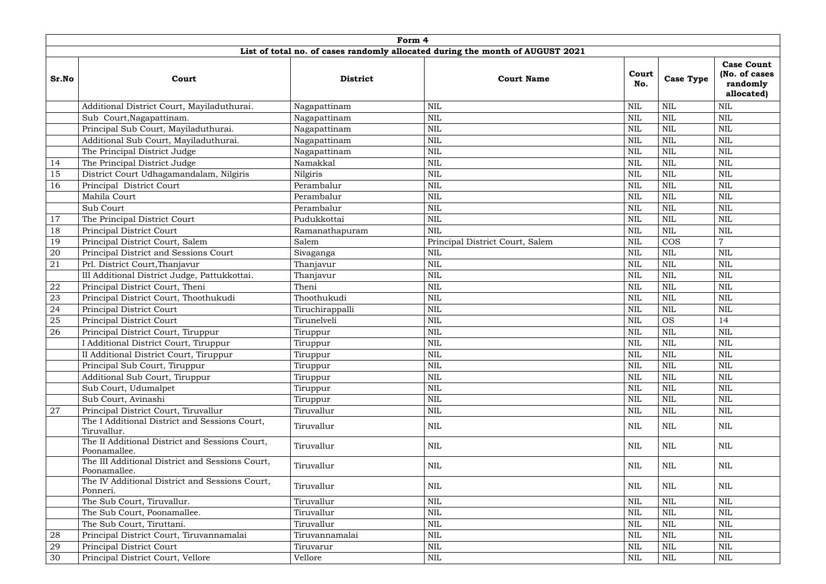|       | Form 4<br>List of total no. of cases randomly allocated during the month of AUGUST 2021 |                 |                                 |              |                  |                                                              |  |  |  |  |  |  |  |
|-------|-----------------------------------------------------------------------------------------|-----------------|---------------------------------|--------------|------------------|--------------------------------------------------------------|--|--|--|--|--|--|--|
| Sr.No | Court                                                                                   | <b>District</b> | <b>Court Name</b>               | Court<br>No. | <b>Case Type</b> | <b>Case Count</b><br>(No. of cases<br>randomly<br>allocated) |  |  |  |  |  |  |  |
|       | Additional District Court, Mayiladuthurai.                                              | Nagapattinam    | <b>NIL</b>                      | <b>NIL</b>   | <b>NIL</b>       | <b>NIL</b>                                                   |  |  |  |  |  |  |  |
|       | Sub Court, Nagapattinam.                                                                | Nagapattinam    | <b>NIL</b>                      | <b>NIL</b>   | $\mbox{NIL}$     | <b>NIL</b>                                                   |  |  |  |  |  |  |  |
|       | Principal Sub Court, Mayiladuthurai.                                                    | Nagapattinam    | <b>NIL</b>                      | <b>NIL</b>   | $\mbox{NIL}$     | <b>NIL</b>                                                   |  |  |  |  |  |  |  |
|       | Additional Sub Court, Mayiladuthurai.                                                   | Nagapattinam    | <b>NIL</b>                      | <b>NIL</b>   | $\mbox{NIL}$     | $\mbox{NIL}$                                                 |  |  |  |  |  |  |  |
|       | The Principal District Judge                                                            | Nagapattinam    | <b>NIL</b>                      | <b>NIL</b>   | $\mbox{NIL}$     | <b>NIL</b>                                                   |  |  |  |  |  |  |  |
| 14    | The Principal District Judge                                                            | Namakkal        | <b>NIL</b>                      | <b>NIL</b>   | <b>NIL</b>       | <b>NIL</b>                                                   |  |  |  |  |  |  |  |
| 15    | District Court Udhagamandalam, Nilgiris                                                 | Nilgiris        | NIL                             | <b>NIL</b>   | $\mbox{NIL}$     | <b>NIL</b>                                                   |  |  |  |  |  |  |  |
| 16    | Principal District Court                                                                | Perambalur      | <b>NIL</b>                      | <b>NIL</b>   | $\mbox{NIL}$     | NIL                                                          |  |  |  |  |  |  |  |
|       | Mahila Court                                                                            | Perambalur      | <b>NIL</b>                      | <b>NIL</b>   | $\mbox{NIL}$     | <b>NIL</b>                                                   |  |  |  |  |  |  |  |
|       | Sub Court                                                                               | Perambalur      | <b>NIL</b>                      | <b>NIL</b>   | $\mbox{NIL}$     | $\mbox{NIL}$                                                 |  |  |  |  |  |  |  |
| 17    | The Principal District Court                                                            | Pudukkottai     | <b>NIL</b>                      | <b>NIL</b>   | $\mbox{NIL}$     | NIL                                                          |  |  |  |  |  |  |  |
| 18    | Principal District Court                                                                | Ramanathapuram  | <b>NIL</b>                      | <b>NIL</b>   | $\mbox{NIL}$     | <b>NIL</b>                                                   |  |  |  |  |  |  |  |
| 19    | Principal District Court, Salem                                                         | Salem           | Principal District Court, Salem | <b>NIL</b>   | <b>COS</b>       | $\overline{7}$                                               |  |  |  |  |  |  |  |
| 20    | Principal District and Sessions Court                                                   | Sivaganga       | <b>NIL</b>                      | <b>NIL</b>   | $\mbox{NIL}$     | <b>NIL</b>                                                   |  |  |  |  |  |  |  |
| 21    | Prl. District Court, Thanjavur                                                          | Thanjavur       | <b>NIL</b>                      | <b>NIL</b>   | $\mbox{NIL}$     | <b>NIL</b>                                                   |  |  |  |  |  |  |  |
|       | III Additional District Judge, Pattukkottai.                                            | Thanjavur       | <b>NIL</b>                      | <b>NIL</b>   | $\mbox{NIL}$     | $\mbox{NIL}$                                                 |  |  |  |  |  |  |  |
| 22    | Principal District Court, Theni                                                         | Theni           | <b>NIL</b>                      | <b>NIL</b>   | $\mbox{NIL}$     | $\mbox{NIL}$                                                 |  |  |  |  |  |  |  |
| 23    | Principal District Court, Thoothukudi                                                   | Thoothukudi     | <b>NIL</b>                      | <b>NIL</b>   | $\mbox{NIL}$     | $\mbox{NIL}$                                                 |  |  |  |  |  |  |  |
| 24    | Principal District Court                                                                | Tiruchirappalli | <b>NIL</b>                      | <b>NIL</b>   | $\mbox{NIL}$     | <b>NIL</b>                                                   |  |  |  |  |  |  |  |
| 25    | Principal District Court                                                                | Tirunelveli     | <b>NIL</b>                      | <b>NIL</b>   | <b>OS</b>        | 14                                                           |  |  |  |  |  |  |  |
| 26    | Principal District Court, Tiruppur                                                      | Tiruppur        | <b>NIL</b>                      | <b>NIL</b>   | $\mbox{NIL}$     | $\mbox{NIL}$                                                 |  |  |  |  |  |  |  |
|       | I Additional District Court, Tiruppur                                                   | Tiruppur        | <b>NIL</b>                      | $\mbox{NIL}$ | $\mbox{NIL}$     | $\mbox{NIL}$                                                 |  |  |  |  |  |  |  |
|       | II Additional District Court, Tiruppur                                                  | Tiruppur        | <b>NIL</b>                      | <b>NIL</b>   | $\mbox{NIL}$     | $\mbox{NIL}$                                                 |  |  |  |  |  |  |  |
|       | Principal Sub Court, Tiruppur                                                           | Tiruppur        | <b>NIL</b>                      | $\mbox{NIL}$ | <b>NIL</b>       | $\mbox{NIL}$                                                 |  |  |  |  |  |  |  |
|       | Additional Sub Court, Tiruppur                                                          | Tiruppur        | $\mbox{NIL}$                    | $\mbox{NIL}$ | $\mbox{NIL}$     | $\mbox{NIL}$                                                 |  |  |  |  |  |  |  |
|       | Sub Court, Udumalpet                                                                    | Tiruppur        | <b>NIL</b>                      | $\text{NIL}$ | $\mbox{NIL}$     | $\mbox{NIL}$                                                 |  |  |  |  |  |  |  |
|       | Sub Court, Avinashi                                                                     | Tiruppur        | NIL                             | <b>NIL</b>   | $\mbox{NIL}$     | <b>NIL</b>                                                   |  |  |  |  |  |  |  |
| 27    | Principal District Court, Tiruvallur                                                    | Tiruvallur      | $\mbox{NIL}$                    | $\mbox{NIL}$ | $\mbox{NIL}$     | <b>NIL</b>                                                   |  |  |  |  |  |  |  |
|       | The I Additional District and Sessions Court,<br>Tiruvallur.                            | Tiruvallur      | NIL                             | <b>NIL</b>   | NIL              | NIL                                                          |  |  |  |  |  |  |  |
|       | The II Additional District and Sessions Court,<br>Poonamallee.                          | Tiruvallur      | NIL                             | NIL          | NIL              | NIL                                                          |  |  |  |  |  |  |  |
|       | The III Additional District and Sessions Court,<br>Poonamallee.                         | Tiruvallur      | <b>NIL</b>                      | $\mbox{NIL}$ | $\mbox{NIL}$     | NIL                                                          |  |  |  |  |  |  |  |
|       | The IV Additional District and Sessions Court,<br>Ponneri.                              | Tiruvallur      | NIL                             | <b>NIL</b>   | NIL              | NIL                                                          |  |  |  |  |  |  |  |
|       | The Sub Court, Tiruvallur.                                                              | Tiruvallur      | $\mbox{NIL}$                    | $\mbox{NIL}$ | $\text{NIL}$     | <b>NIL</b>                                                   |  |  |  |  |  |  |  |
|       | The Sub Court, Poonamallee.                                                             | Tiruvallur      | <b>NIL</b>                      | <b>NIL</b>   | $\mbox{NIL}$     | <b>NIL</b>                                                   |  |  |  |  |  |  |  |
|       | The Sub Court, Tiruttani.                                                               | Tiruvallur      | NIL                             | $\mbox{NIL}$ | $\mbox{NIL}$     | <b>NIL</b>                                                   |  |  |  |  |  |  |  |
| 28    | Principal District Court, Tiruvannamalai                                                | Tiruvannamalai  | $\mbox{NIL}$                    | <b>NIL</b>   | $\mbox{NIL}$     | $\mbox{NIL}$                                                 |  |  |  |  |  |  |  |
| 29    | Principal District Court                                                                | Tiruvarur       | <b>NIL</b>                      | $\mbox{NIL}$ | $\mbox{NIL}$     | <b>NIL</b>                                                   |  |  |  |  |  |  |  |
| 30    | Principal District Court, Vellore                                                       | Vellore         | NIL                             | $\mbox{NIL}$ | $\mbox{NIL}$     | $\mbox{NIL}$                                                 |  |  |  |  |  |  |  |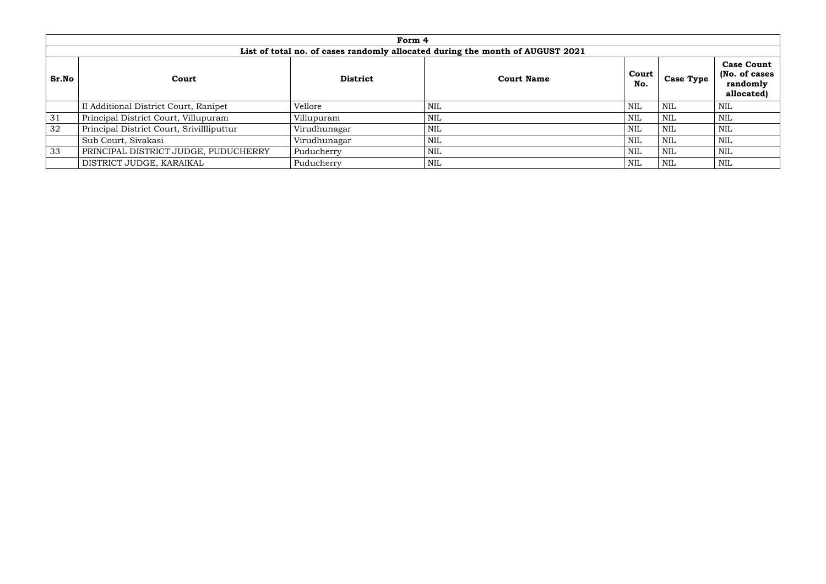|              |                                                                               | Form 4          |                   |              |                  |                                                              |  |  |  |  |  |  |  |
|--------------|-------------------------------------------------------------------------------|-----------------|-------------------|--------------|------------------|--------------------------------------------------------------|--|--|--|--|--|--|--|
|              | List of total no. of cases randomly allocated during the month of AUGUST 2021 |                 |                   |              |                  |                                                              |  |  |  |  |  |  |  |
| <b>Sr.No</b> | Court                                                                         | <b>District</b> | <b>Court Name</b> | Court<br>No. | <b>Case Type</b> | <b>Case Count</b><br>(No. of cases<br>randomly<br>allocated) |  |  |  |  |  |  |  |
|              | II Additional District Court, Ranipet                                         | Vellore         | <b>NIL</b>        | <b>NIL</b>   | <b>NIL</b>       | <b>NIL</b>                                                   |  |  |  |  |  |  |  |
| 31           | Principal District Court, Villupuram                                          | Villupuram      | NIL               | <b>NIL</b>   | NIL              | <b>NIL</b>                                                   |  |  |  |  |  |  |  |
| 32           | Principal District Court, Srivillliputtur                                     | Virudhunagar    | <b>NIL</b>        | <b>NIL</b>   | <b>NIL</b>       | <b>NIL</b>                                                   |  |  |  |  |  |  |  |
|              | Sub Court, Sivakasi                                                           | Virudhunagar    | <b>NIL</b>        | <b>NIL</b>   | <b>NIL</b>       | <b>NIL</b>                                                   |  |  |  |  |  |  |  |
| 33           | PRINCIPAL DISTRICT JUDGE, PUDUCHERRY                                          | Puducherry      | NIL               | <b>NIL</b>   | NIL              | <b>NIL</b>                                                   |  |  |  |  |  |  |  |
|              | DISTRICT JUDGE, KARAIKAL                                                      | Puducherry      | <b>NIL</b>        | <b>NIL</b>   | NIL              | NIL                                                          |  |  |  |  |  |  |  |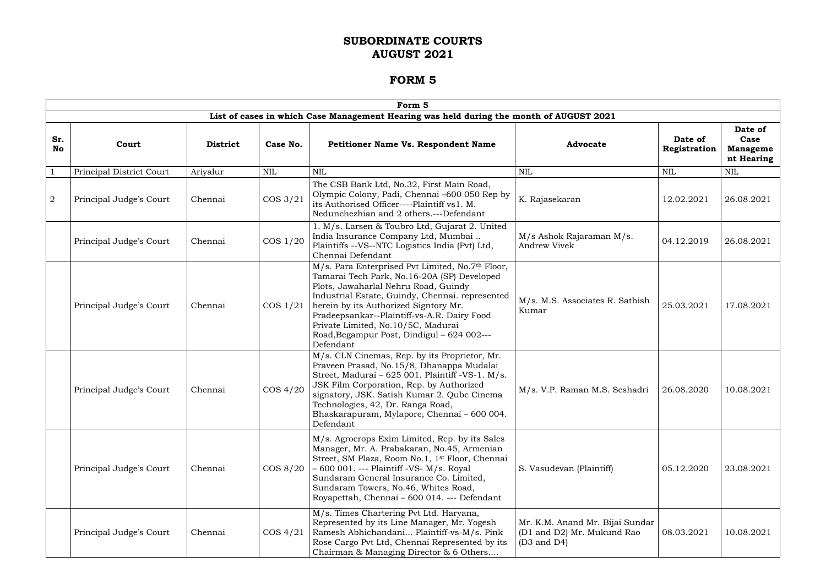|                  | Form 5                   |                 |             |                                                                                                                                                                                                                                                                                                                                                                                     |                                                                                         |                         |                                                  |  |  |  |
|------------------|--------------------------|-----------------|-------------|-------------------------------------------------------------------------------------------------------------------------------------------------------------------------------------------------------------------------------------------------------------------------------------------------------------------------------------------------------------------------------------|-----------------------------------------------------------------------------------------|-------------------------|--------------------------------------------------|--|--|--|
|                  |                          |                 |             | List of cases in which Case Management Hearing was held during the month of AUGUST 2021                                                                                                                                                                                                                                                                                             |                                                                                         |                         |                                                  |  |  |  |
| Sr.<br><b>No</b> | Court                    | <b>District</b> | Case No.    | <b>Petitioner Name Vs. Respondent Name</b>                                                                                                                                                                                                                                                                                                                                          | <b>Advocate</b>                                                                         | Date of<br>Registration | Date of<br>Case<br><b>Manageme</b><br>nt Hearing |  |  |  |
|                  | Principal District Court | Ariyalur        | <b>NIL</b>  | <b>NIL</b>                                                                                                                                                                                                                                                                                                                                                                          | <b>NIL</b>                                                                              | <b>NIL</b>              | <b>NIL</b>                                       |  |  |  |
| $\overline{2}$   | Principal Judge's Court  | Chennai         | COS 3/21    | The CSB Bank Ltd, No.32, First Main Road,<br>Olympic Colony, Padi, Chennai -600 050 Rep by<br>its Authorised Officer----Plaintiff vs1. M.<br>Nedunchezhian and 2 others.---Defendant                                                                                                                                                                                                | K. Rajasekaran                                                                          | 12.02.2021              | 26.08.2021                                       |  |  |  |
|                  | Principal Judge's Court  | Chennai         | COS 1/20    | 1. M/s. Larsen & Toubro Ltd, Gujarat 2. United<br>India Insurance Company Ltd, Mumbai<br>Plaintiffs --VS--NTC Logistics India (Pvt) Ltd,<br>Chennai Defendant                                                                                                                                                                                                                       | M/s Ashok Rajaraman M/s.<br>Andrew Vivek                                                | 04.12.2019              | 26.08.2021                                       |  |  |  |
|                  | Principal Judge's Court  | Chennai         | $\cos 1/21$ | M/s. Para Enterprised Pvt Limited, No.7th Floor,<br>Tamarai Tech Park, No.16-20A (SP) Developed<br>Plots, Jawaharlal Nehru Road, Guindy<br>Industrial Estate, Guindy, Chennai. represented<br>herein by its Authorized Signtory Mr.<br>Pradeepsankar--Plaintiff-vs-A.R. Dairy Food<br>Private Limited, No.10/5C, Madurai<br>Road, Begampur Post, Dindigul - 624 002---<br>Defendant | M/s. M.S. Associates R. Sathish<br>Kumar                                                | 25.03.2021              | 17.08.2021                                       |  |  |  |
|                  | Principal Judge's Court  | Chennai         | COS 4/20    | M/s. CLN Cinemas, Rep. by its Proprietor, Mr.<br>Praveen Prasad, No.15/8, Dhanappa Mudalai<br>Street, Madurai - 625 001. Plaintiff -VS-1. M/s.<br>JSK Film Corporation, Rep. by Authorized<br>signatory, JSK. Satish Kumar 2. Qube Cinema<br>Technologies, 42, Dr. Ranga Road,<br>Bhaskarapuram, Mylapore, Chennai - 600 004.<br>Defendant                                          | M/s. V.P. Raman M.S. Seshadri                                                           | 26.08.2020              | 10.08.2021                                       |  |  |  |
|                  | Principal Judge's Court  | Chennai         | $\cos 8/20$ | M/s. Agrocrops Exim Limited, Rep. by its Sales<br>Manager, Mr. A. Prabakaran, No.45, Armenian<br>Street, SM Plaza, Room No.1, 1 <sup>st</sup> Floor, Chennai<br>- 600 001. --- Plaintiff -VS- M/s. Royal<br>Sundaram General Insurance Co. Limited,<br>Sundaram Towers, No.46, Whites Road,<br>Royapettah, Chennai - 600 014. --- Defendant                                         | S. Vasudevan (Plaintiff)                                                                | 05.12.2020              | 23.08.2021                                       |  |  |  |
|                  | Principal Judge's Court  | Chennai         | COS 4/21    | M/s. Times Chartering Pvt Ltd. Haryana,<br>Represented by its Line Manager, Mr. Yogesh<br>Ramesh Abhichandani Plaintiff-vs-M/s. Pink<br>Rose Cargo Pvt Ltd, Chennai Represented by its<br>Chairman & Managing Director & 6 Others                                                                                                                                                   | Mr. K.M. Anand Mr. Bijai Sundar<br>(D1 and D2) Mr. Mukund Rao<br>$(D3 \text{ and } D4)$ | 08.03.2021              | 10.08.2021                                       |  |  |  |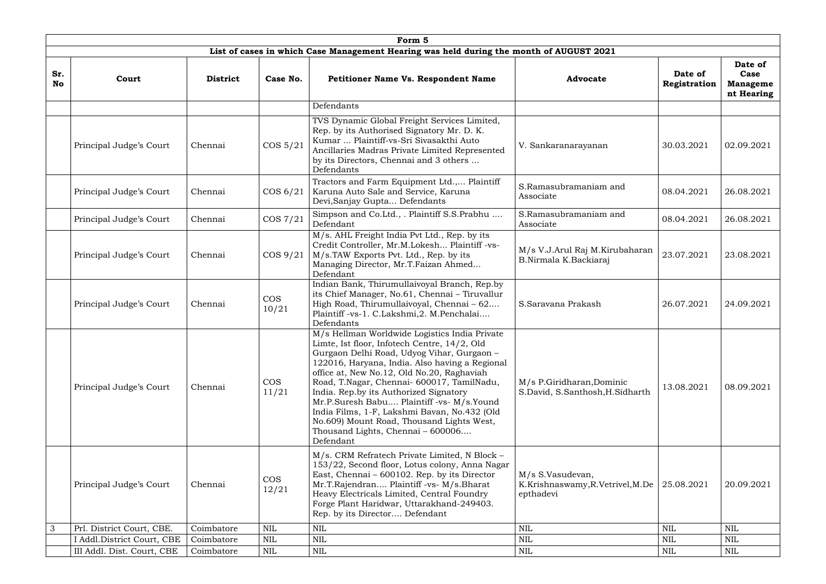|                  |                            |                 |                     | Form 5                                                                                                                                                                                                                                                                                                                                                                                                                                                                                                                          |                                                                   |                         |                                                  |
|------------------|----------------------------|-----------------|---------------------|---------------------------------------------------------------------------------------------------------------------------------------------------------------------------------------------------------------------------------------------------------------------------------------------------------------------------------------------------------------------------------------------------------------------------------------------------------------------------------------------------------------------------------|-------------------------------------------------------------------|-------------------------|--------------------------------------------------|
|                  |                            |                 |                     | List of cases in which Case Management Hearing was held during the month of AUGUST 2021                                                                                                                                                                                                                                                                                                                                                                                                                                         |                                                                   |                         |                                                  |
| Sr.<br><b>No</b> | Court                      | <b>District</b> | Case No.            | <b>Petitioner Name Vs. Respondent Name</b>                                                                                                                                                                                                                                                                                                                                                                                                                                                                                      | <b>Advocate</b>                                                   | Date of<br>Registration | Date of<br>Case<br><b>Manageme</b><br>nt Hearing |
|                  |                            |                 |                     | Defendants                                                                                                                                                                                                                                                                                                                                                                                                                                                                                                                      |                                                                   |                         |                                                  |
|                  | Principal Judge's Court    | Chennai         | $\cos 5/21$         | TVS Dynamic Global Freight Services Limited,<br>Rep. by its Authorised Signatory Mr. D. K.<br>Kumar  Plaintiff-vs-Sri Sivasakthi Auto<br>Ancillaries Madras Private Limited Represented<br>by its Directors, Chennai and 3 others<br>Defendants                                                                                                                                                                                                                                                                                 | V. Sankaranarayanan                                               | 30.03.2021              | 02.09.2021                                       |
|                  | Principal Judge's Court    | Chennai         | COS 6/21            | Tractors and Farm Equipment Ltd., Plaintiff<br>Karuna Auto Sale and Service, Karuna<br>Devi, Sanjay Gupta Defendants                                                                                                                                                                                                                                                                                                                                                                                                            | S.Ramasubramaniam and<br>Associate                                | 08.04.2021              | 26.08.2021                                       |
|                  | Principal Judge's Court    | Chennai         | COS 7/21            | Simpson and Co.Ltd., . Plaintiff S.S.Prabhu<br>Defendant                                                                                                                                                                                                                                                                                                                                                                                                                                                                        | S.Ramasubramaniam and<br>Associate                                | 08.04.2021              | 26.08.2021                                       |
|                  | Principal Judge's Court    | Chennai         | $\cos 9/21$         | M/s. AHL Freight India Pvt Ltd., Rep. by its<br>Credit Controller, Mr.M.Lokesh Plaintiff-vs-<br>M/s.TAW Exports Pvt. Ltd., Rep. by its<br>Managing Director, Mr.T.Faizan Ahmed<br>Defendant                                                                                                                                                                                                                                                                                                                                     | M/s V.J.Arul Raj M.Kirubaharan<br>B.Nirmala K.Backiaraj           | 23.07.2021              | 23.08.2021                                       |
|                  | Principal Judge's Court    | Chennai         | <b>COS</b><br>10/21 | Indian Bank, Thirumullaivoyal Branch, Rep.by<br>its Chief Manager, No.61, Chennai - Tiruvallur<br>High Road, Thirumullaivoyal, Chennai - 62<br>Plaintiff-vs-1. C.Lakshmi,2. M.Penchalai<br>Defendants                                                                                                                                                                                                                                                                                                                           | S.Saravana Prakash                                                | 26.07.2021              | 24.09.2021                                       |
|                  | Principal Judge's Court    | Chennai         | <b>COS</b><br>11/21 | M/s Hellman Worldwide Logistics India Private<br>Limte, Ist floor, Infotech Centre, 14/2, Old<br>Gurgaon Delhi Road, Udyog Vihar, Gurgaon -<br>122016, Haryana, India. Also having a Regional<br>office at, New No.12, Old No.20, Raghaviah<br>Road, T.Nagar, Chennai- 600017, TamilNadu,<br>India. Rep.by its Authorized Signatory<br>Mr.P.Suresh Babu Plaintiff -vs- M/s.Yound<br>India Films, 1-F, Lakshmi Bavan, No.432 (Old<br>No.609) Mount Road, Thousand Lights West,<br>Thousand Lights, Chennai - 600006<br>Defendant | M/s P.Giridharan, Dominic<br>S.David, S.Santhosh, H.Sidharth      | 13.08.2021              | 08.09.2021                                       |
|                  | Principal Judge's Court    | Chennai         | <b>COS</b><br>12/21 | M/s. CRM Refratech Private Limited, N Block -<br>153/22, Second floor, Lotus colony, Anna Nagar<br>East, Chennai – 600102. Rep. by its Director<br>Mr.T.Rajendran Plaintiff -vs- M/s.Bharat<br>Heavy Electricals Limited, Central Foundry<br>Forge Plant Haridwar, Uttarakhand-249403.<br>Rep. by its Director Defendant                                                                                                                                                                                                        | M/s S.Vasudevan,<br>K.Krishnaswamy, R.Vetrivel, M.De<br>epthadevi | 25.08.2021              | 20.09.2021                                       |
| 3                | Prl. District Court, CBE.  | Coimbatore      | <b>NIL</b>          | <b>NIL</b>                                                                                                                                                                                                                                                                                                                                                                                                                                                                                                                      | <b>NIL</b>                                                        | <b>NIL</b>              | <b>NIL</b>                                       |
|                  | Addl.District Court, CBE   | Coimbatore      | NIL                 | NIL                                                                                                                                                                                                                                                                                                                                                                                                                                                                                                                             | $\text{NIL}$                                                      | <b>NIL</b>              | NIL                                              |
|                  | III Addl. Dist. Court, CBE | Coimbatore      | <b>NIL</b>          | <b>NIL</b>                                                                                                                                                                                                                                                                                                                                                                                                                                                                                                                      | <b>NIL</b>                                                        | <b>NIL</b>              | <b>NIL</b>                                       |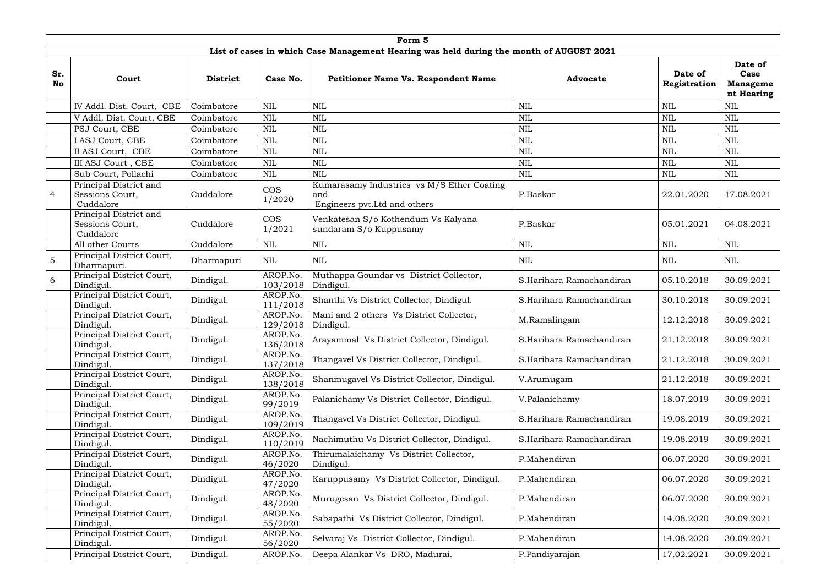|                  | Form 5                                                 |                 |                      |                                                                                         |                          |                         |                                                  |  |  |  |  |
|------------------|--------------------------------------------------------|-----------------|----------------------|-----------------------------------------------------------------------------------------|--------------------------|-------------------------|--------------------------------------------------|--|--|--|--|
|                  |                                                        |                 |                      | List of cases in which Case Management Hearing was held during the month of AUGUST 2021 |                          |                         |                                                  |  |  |  |  |
| Sr.<br><b>No</b> | Court                                                  | <b>District</b> | Case No.             | <b>Petitioner Name Vs. Respondent Name</b>                                              | <b>Advocate</b>          | Date of<br>Registration | Date of<br>Case<br><b>Manageme</b><br>nt Hearing |  |  |  |  |
|                  | IV Addl. Dist. Court, CBE                              | Coimbatore      | <b>NIL</b>           | <b>NIL</b>                                                                              | <b>NIL</b>               | <b>NIL</b>              | <b>NIL</b>                                       |  |  |  |  |
|                  | V Addl. Dist. Court, CBE                               | Coimbatore      | NIL                  | <b>NIL</b>                                                                              | <b>NIL</b>               | <b>NIL</b>              | <b>NIL</b>                                       |  |  |  |  |
|                  | PSJ Court, CBE                                         | Coimbatore      | <b>NIL</b>           | <b>NIL</b>                                                                              | <b>NIL</b>               | <b>NIL</b>              | <b>NIL</b>                                       |  |  |  |  |
|                  | I ASJ Court, CBE                                       | Coimbatore      | <b>NIL</b>           | <b>NIL</b>                                                                              | <b>NIL</b>               | <b>NIL</b>              | $\mbox{NIL}$                                     |  |  |  |  |
|                  | II ASJ Court, CBE                                      | Coimbatore      | <b>NIL</b>           | <b>NIL</b>                                                                              | <b>NIL</b>               | <b>NIL</b>              | <b>NIL</b>                                       |  |  |  |  |
|                  | III ASJ Court, CBE                                     | Coimbatore      | <b>NIL</b>           | <b>NIL</b>                                                                              | <b>NIL</b>               | <b>NIL</b>              | <b>NIL</b>                                       |  |  |  |  |
|                  | Sub Court, Pollachi                                    | Coimbatore      | NIL                  | <b>NIL</b>                                                                              | <b>NIL</b>               | <b>NIL</b>              | <b>NIL</b>                                       |  |  |  |  |
| $\overline{4}$   | Principal District and<br>Sessions Court,<br>Cuddalore | Cuddalore       | <b>COS</b><br>1/2020 | Kumarasamy Industries vs M/S Ether Coating<br>and<br>Engineers pvt. Ltd and others      | P.Baskar                 | 22.01.2020              | 17.08.2021                                       |  |  |  |  |
|                  | Principal District and<br>Sessions Court,<br>Cuddalore | Cuddalore       | <b>COS</b><br>1/2021 | Venkatesan S/o Kothendum Vs Kalyana<br>sundaram S/o Kuppusamy                           | P.Baskar                 | 05.01.2021              | 04.08.2021                                       |  |  |  |  |
|                  | All other Courts                                       | Cuddalore       | <b>NIL</b>           | $\mbox{NIL}$                                                                            | <b>NIL</b>               | <b>NIL</b>              | NIL                                              |  |  |  |  |
| $\overline{5}$   | Principal District Court,<br>Dharmapuri.               | Dharmapuri      | <b>NIL</b>           | <b>NIL</b>                                                                              | <b>NIL</b>               | NIL                     | <b>NIL</b>                                       |  |  |  |  |
| 6                | Principal District Court,<br>Dindigul.                 | Dindigul.       | AROP.No.<br>103/2018 | Muthappa Goundar vs District Collector,<br>Dindigul.                                    | S.Harihara Ramachandiran | 05.10.2018              | 30.09.2021                                       |  |  |  |  |
|                  | Principal District Court,<br>Dindigul.                 | Dindigul.       | AROP.No.<br>111/2018 | Shanthi Vs District Collector, Dindigul.                                                | S.Harihara Ramachandiran | 30.10.2018              | 30.09.2021                                       |  |  |  |  |
|                  | Principal District Court,<br>Dindigul.                 | Dindigul.       | AROP.No.<br>129/2018 | Mani and 2 others Vs District Collector,<br>Dindigul.                                   | M.Ramalingam             | 12.12.2018              | 30.09.2021                                       |  |  |  |  |
|                  | Principal District Court,<br>Dindigul.                 | Dindigul.       | AROP.No.<br>136/2018 | Arayammal Vs District Collector, Dindigul.                                              | S.Harihara Ramachandiran | 21.12.2018              | 30.09.2021                                       |  |  |  |  |
|                  | Principal District Court,<br>Dindigul.                 | Dindigul.       | AROP.No.<br>137/2018 | Thangavel Vs District Collector, Dindigul.                                              | S.Harihara Ramachandiran | 21.12.2018              | 30.09.2021                                       |  |  |  |  |
|                  | Principal District Court,<br>Dindigul.                 | Dindigul.       | AROP.No.<br>138/2018 | Shanmugavel Vs District Collector, Dindigul.                                            | V.Arumugam               | 21.12.2018              | 30.09.2021                                       |  |  |  |  |
|                  | Principal District Court,<br>Dindigul.                 | Dindigul.       | AROP.No.<br>99/2019  | Palanichamy Vs District Collector, Dindigul.                                            | V.Palanichamy            | 18.07.2019              | 30.09.2021                                       |  |  |  |  |
|                  | Principal District Court,<br>Dindigul.                 | Dindigul.       | AROP.No.<br>109/2019 | Thangavel Vs District Collector, Dindigul.                                              | S.Harihara Ramachandiran | 19.08.2019              | 30.09.2021                                       |  |  |  |  |
|                  | Principal District Court,<br>Dindigul.                 | Dindigul.       | AROP.No.<br>110/2019 | Nachimuthu Vs District Collector, Dindigul.                                             | S.Harihara Ramachandiran | 19.08.2019              | 30.09.2021                                       |  |  |  |  |
|                  | Principal District Court,<br>Dindigul.                 | Dindigul.       | AROP.No.<br>46/2020  | Thirumalaichamy Vs District Collector,<br>Dindigul.                                     | P.Mahendiran             | 06.07.2020              | 30.09.2021                                       |  |  |  |  |
|                  | Principal District Court,<br>Dindigul.                 | Dindigul.       | AROP.No.<br>47/2020  | Karuppusamy Vs District Collector, Dindigul.                                            | P.Mahendiran             | 06.07.2020              | 30.09.2021                                       |  |  |  |  |
|                  | Principal District Court,<br>Dindigul.                 | Dindigul.       | AROP.No.<br>48/2020  | Murugesan Vs District Collector, Dindigul.                                              | P.Mahendiran             | 06.07.2020              | 30.09.2021                                       |  |  |  |  |
|                  | Principal District Court,<br>Dindigul.                 | Dindigul.       | AROP.No.<br>55/2020  | Sabapathi Vs District Collector, Dindigul.                                              | P.Mahendiran             | 14.08.2020              | 30.09.2021                                       |  |  |  |  |
|                  | Principal District Court,<br>Dindigul.                 | Dindigul.       | AROP.No.<br>56/2020  | Selvaraj Vs District Collector, Dindigul.                                               | P.Mahendiran             | 14.08.2020              | 30.09.2021                                       |  |  |  |  |
|                  | Principal District Court,                              | Dindigul.       | AROP.No.             | Deepa Alankar Vs DRO, Madurai.                                                          | P.Pandiyarajan           | 17.02.2021              | 30.09.2021                                       |  |  |  |  |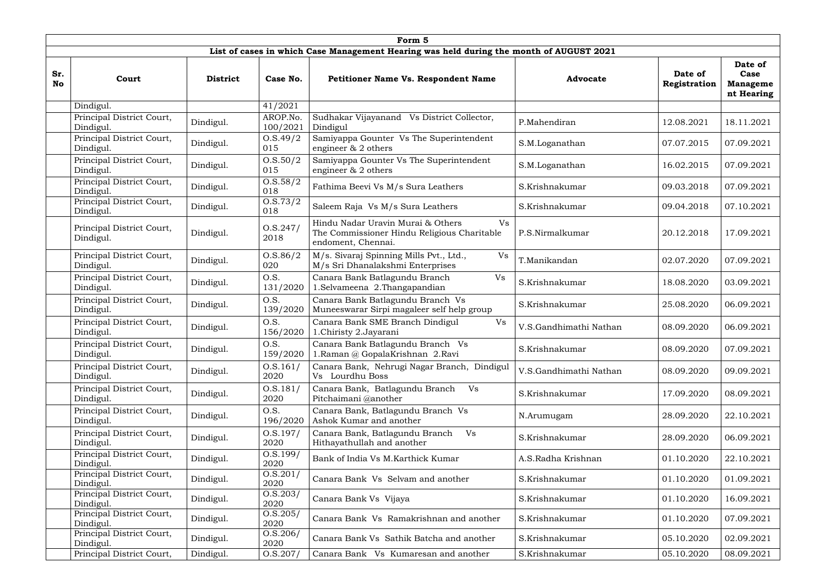|                  | Form 5                                 |                 |                      |                                                                                                              |                        |                         |                                                  |  |  |  |  |
|------------------|----------------------------------------|-----------------|----------------------|--------------------------------------------------------------------------------------------------------------|------------------------|-------------------------|--------------------------------------------------|--|--|--|--|
|                  |                                        |                 |                      | List of cases in which Case Management Hearing was held during the month of AUGUST 2021                      |                        |                         |                                                  |  |  |  |  |
| Sr.<br><b>No</b> | Court                                  | <b>District</b> | Case No.             | <b>Petitioner Name Vs. Respondent Name</b>                                                                   | <b>Advocate</b>        | Date of<br>Registration | Date of<br>Case<br><b>Manageme</b><br>nt Hearing |  |  |  |  |
|                  | Dindigul.                              |                 | 41/2021              |                                                                                                              |                        |                         |                                                  |  |  |  |  |
|                  | Principal District Court,<br>Dindigul. | Dindigul.       | AROP.No.<br>100/2021 | Sudhakar Vijayanand Vs District Collector,<br>Dindigul                                                       | P.Mahendiran           | 12.08.2021              | 18.11.2021                                       |  |  |  |  |
|                  | Principal District Court,<br>Dindigul. | Dindigul.       | O.S.49/2<br>015      | Samiyappa Gounter Vs The Superintendent<br>engineer & 2 others                                               | S.M.Loganathan         | 07.07.2015              | 07.09.2021                                       |  |  |  |  |
|                  | Principal District Court,<br>Dindigul. | Dindigul.       | 0. S. 50/2<br>015    | Samiyappa Gounter Vs The Superintendent<br>engineer & 2 others                                               | S.M.Loganathan         | 16.02.2015              | 07.09.2021                                       |  |  |  |  |
|                  | Principal District Court,<br>Dindigul. | Dindigul.       | 0. S. 58/2<br>018    | Fathima Beevi Vs M/s Sura Leathers                                                                           | S.Krishnakumar         | 09.03.2018              | 07.09.2021                                       |  |  |  |  |
|                  | Principal District Court,<br>Dindigul. | Dindigul.       | 0.8.73/2<br>018      | Saleem Raja Vs M/s Sura Leathers                                                                             | S.Krishnakumar         | 09.04.2018              | 07.10.2021                                       |  |  |  |  |
|                  | Principal District Court,<br>Dindigul. | Dindigul.       | 0. S. 247/<br>2018   | Hindu Nadar Uravin Murai & Others<br>Vs<br>The Commissioner Hindu Religious Charitable<br>endoment, Chennai. | P.S.Nirmalkumar        | 20.12.2018              | 17.09.2021                                       |  |  |  |  |
|                  | Principal District Court,<br>Dindigul. | Dindigul.       | 0. S. 86/2<br>020    | M/s. Sivaraj Spinning Mills Pvt., Ltd.,<br>Vs<br>M/s Sri Dhanalakshmi Enterprises                            | T.Manikandan           | 02.07.2020              | 07.09.2021                                       |  |  |  |  |
|                  | Principal District Court,<br>Dindigul. | Dindigul.       | O.S.<br>131/2020     | Canara Bank Batlagundu Branch<br>Vs<br>1.Selvameena 2.Thangapandian                                          | S.Krishnakumar         | 18.08.2020              | 03.09.2021                                       |  |  |  |  |
|                  | Principal District Court,<br>Dindigul. | Dindigul.       | O.S.<br>139/2020     | Canara Bank Batlagundu Branch Vs<br>Muneeswarar Sirpi magaleer self help group                               | S.Krishnakumar         | 25.08.2020              | 06.09.2021                                       |  |  |  |  |
|                  | Principal District Court,<br>Dindigul. | Dindigul.       | O.S.<br>156/2020     | Canara Bank SME Branch Dindigul<br>Vs<br>1. Chiristy 2. Jayarani                                             | V.S.Gandhimathi Nathan | 08.09.2020              | 06.09.2021                                       |  |  |  |  |
|                  | Principal District Court,<br>Dindigul. | Dindigul.       | O.S.<br>159/2020     | Canara Bank Batlagundu Branch Vs<br>1. Raman @ GopalaKrishnan 2. Ravi                                        | S.Krishnakumar         | 08.09.2020              | 07.09.2021                                       |  |  |  |  |
|                  | Principal District Court,<br>Dindigul. | Dindigul.       | 0. S. 161/<br>2020   | Canara Bank, Nehrugi Nagar Branch, Dindigul<br>Vs Lourdhu Boss                                               | V.S.Gandhimathi Nathan | 08.09.2020              | 09.09.2021                                       |  |  |  |  |
|                  | Principal District Court,<br>Dindigul. | Dindigul.       | 0. S. 181/<br>2020   | Canara Bank, Batlagundu Branch<br>Vs<br>Pitchaimani @another                                                 | S.Krishnakumar         | 17.09.2020              | 08.09.2021                                       |  |  |  |  |
|                  | Principal District Court,<br>Dindigul. | Dindigul.       | O.S.<br>196/2020     | Canara Bank, Batlagundu Branch Vs<br>Ashok Kumar and another                                                 | N.Arumugam             | 28.09.2020              | 22.10.2021                                       |  |  |  |  |
|                  | Principal District Court,<br>Dindigul. | Dindigul.       | 0. S. 197/<br>2020   | Canara Bank, Batlagundu Branch<br>Vs<br>Hithayathullah and another                                           | S.Krishnakumar         | 28.09.2020              | 06.09.2021                                       |  |  |  |  |
|                  | Principal District Court,<br>Dindigul. | Dindigul.       | 0. S. 199/<br>2020   | Bank of India Vs M.Karthick Kumar                                                                            | A.S.Radha Krishnan     | 01.10.2020              | 22.10.2021                                       |  |  |  |  |
|                  | Principal District Court,<br>Dindigul. | Dindigul.       | 0. S. 201/<br>2020   | Canara Bank Vs Selvam and another                                                                            | S.Krishnakumar         | 01.10.2020              | 01.09.2021                                       |  |  |  |  |
|                  | Principal District Court,<br>Dindigul. | Dindigul.       | 0. S. 203/<br>2020   | Canara Bank Vs Vijaya                                                                                        | S.Krishnakumar         | 01.10.2020              | 16.09.2021                                       |  |  |  |  |
|                  | Principal District Court,<br>Dindigul. | Dindigul.       | 0. S. 205/<br>2020   | Canara Bank Vs Ramakrishnan and another                                                                      | S.Krishnakumar         | 01.10.2020              | 07.09.2021                                       |  |  |  |  |
|                  | Principal District Court,<br>Dindigul. | Dindigul.       | 0. S. 206/<br>2020   | Canara Bank Vs Sathik Batcha and another                                                                     | S.Krishnakumar         | 05.10.2020              | 02.09.2021                                       |  |  |  |  |
|                  | Principal District Court,              | Dindigul.       | 0. S. 207/           | Canara Bank Vs Kumaresan and another                                                                         | S.Krishnakumar         | 05.10.2020              | 08.09.2021                                       |  |  |  |  |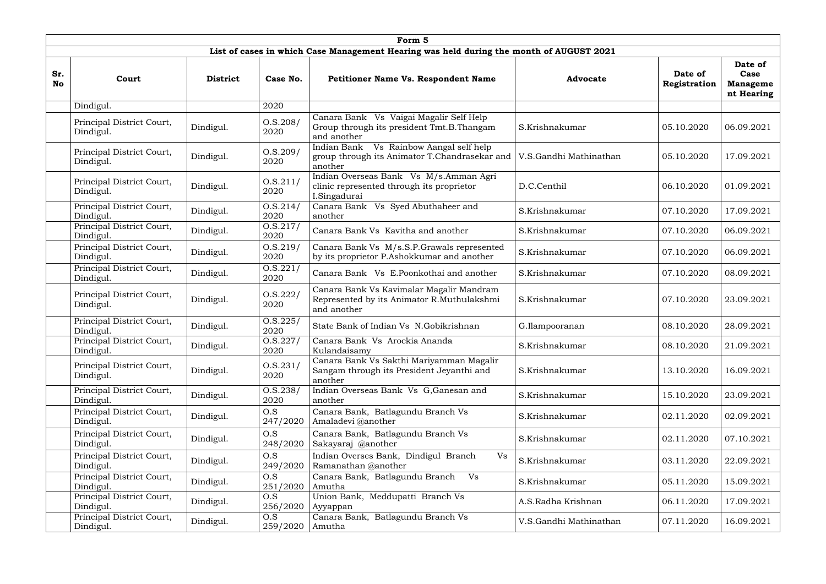|                  | Form 5                                 |                 |                    |                                                                                                       |                        |                         |                                                  |  |  |  |
|------------------|----------------------------------------|-----------------|--------------------|-------------------------------------------------------------------------------------------------------|------------------------|-------------------------|--------------------------------------------------|--|--|--|
|                  |                                        |                 |                    | List of cases in which Case Management Hearing was held during the month of AUGUST 2021               |                        |                         |                                                  |  |  |  |
| Sr.<br><b>No</b> | Court                                  | <b>District</b> | Case No.           | <b>Petitioner Name Vs. Respondent Name</b>                                                            | <b>Advocate</b>        | Date of<br>Registration | Date of<br>Case<br><b>Manageme</b><br>nt Hearing |  |  |  |
|                  | Dindigul.                              |                 | 2020               |                                                                                                       |                        |                         |                                                  |  |  |  |
|                  | Principal District Court,<br>Dindigul. | Dindigul.       | 0. S. 208/<br>2020 | Canara Bank Vs Vaigai Magalir Self Help<br>Group through its president Tmt.B.Thangam<br>and another   | S.Krishnakumar         | 05.10.2020              | 06.09.2021                                       |  |  |  |
|                  | Principal District Court,<br>Dindigul. | Dindigul.       | 0. S. 209/<br>2020 | Indian Bank Vs Rainbow Aangal self help<br>group through its Animator T.Chandrasekar and<br>another   | V.S.Gandhi Mathinathan | 05.10.2020              | 17.09.2021                                       |  |  |  |
|                  | Principal District Court,<br>Dindigul. | Dindigul.       | 0.5.211/<br>2020   | Indian Overseas Bank Vs M/s.Amman Agri<br>clinic represented through its proprietor<br>I.Singadurai   | D.C.Centhil            | 06.10.2020              | 01.09.2021                                       |  |  |  |
|                  | Principal District Court,<br>Dindigul. | Dindigul.       | 0. S. 214/<br>2020 | Canara Bank Vs Syed Abuthaheer and<br>another                                                         | S.Krishnakumar         | 07.10.2020              | 17.09.2021                                       |  |  |  |
|                  | Principal District Court,<br>Dindigul. | Dindigul.       | 0. S. 217/<br>2020 | Canara Bank Vs Kavitha and another                                                                    | S.Krishnakumar         | 07.10.2020              | 06.09.2021                                       |  |  |  |
|                  | Principal District Court,<br>Dindigul. | Dindigul.       | 0. S. 219/<br>2020 | Canara Bank Vs M/s.S.P.Grawals represented<br>by its proprietor P.Ashokkumar and another              | S.Krishnakumar         | 07.10.2020              | 06.09.2021                                       |  |  |  |
|                  | Principal District Court,<br>Dindigul. | Dindigul.       | 0. S. 221/<br>2020 | Canara Bank Vs E.Poonkothai and another                                                               | S.Krishnakumar         | 07.10.2020              | 08.09.2021                                       |  |  |  |
|                  | Principal District Court,<br>Dindigul. | Dindigul.       | 0. S. 222/<br>2020 | Canara Bank Vs Kavimalar Magalir Mandram<br>Represented by its Animator R.Muthulakshmi<br>and another | S.Krishnakumar         | 07.10.2020              | 23.09.2021                                       |  |  |  |
|                  | Principal District Court,<br>Dindigul. | Dindigul.       | 0. S. 225/<br>2020 | State Bank of Indian Vs N.Gobikrishnan                                                                | G.Ilampooranan         | 08.10.2020              | 28.09.2021                                       |  |  |  |
|                  | Principal District Court,<br>Dindigul. | Dindigul.       | O.S.227/<br>2020   | Canara Bank Vs Arockia Ananda<br>Kulandaisamy                                                         | S.Krishnakumar         | 08.10.2020              | 21.09.2021                                       |  |  |  |
|                  | Principal District Court,<br>Dindigul. | Dindigul.       | 0. S. 231/<br>2020 | Canara Bank Vs Sakthi Mariyamman Magalir<br>Sangam through its President Jeyanthi and<br>another      | S.Krishnakumar         | 13.10.2020              | 16.09.2021                                       |  |  |  |
|                  | Principal District Court,<br>Dindigul. | Dindigul.       | 0. S. 238/<br>2020 | Indian Overseas Bank Vs G, Ganesan and<br>another                                                     | S.Krishnakumar         | 15.10.2020              | 23.09.2021                                       |  |  |  |
|                  | Principal District Court,<br>Dindigul. | Dindigul.       | O.S<br>247/2020    | Canara Bank, Batlagundu Branch Vs<br>Amaladevi @another                                               | S.Krishnakumar         | 02.11.2020              | 02.09.2021                                       |  |  |  |
|                  | Principal District Court,<br>Dindigul. | Dindigul.       | O.S<br>248/2020    | Canara Bank, Batlagundu Branch Vs<br>Sakayaraj @another                                               | S.Krishnakumar         | 02.11.2020              | 07.10.2021                                       |  |  |  |
|                  | Principal District Court,<br>Dindigul. | Dindigul.       | O.S<br>249/2020    | Indian Overses Bank, Dindigul Branch<br>Vs<br>Ramanathan @another                                     | S.Krishnakumar         | 03.11.2020              | 22.09.2021                                       |  |  |  |
|                  | Principal District Court,<br>Dindigul. | Dindigul.       | O.S<br>251/2020    | Canara Bank, Batlagundu Branch<br>Vs<br>Amutha                                                        | S.Krishnakumar         | 05.11.2020              | 15.09.2021                                       |  |  |  |
|                  | Principal District Court,<br>Dindigul. | Dindigul.       | O.S<br>256/2020    | Union Bank, Meddupatti Branch Vs<br>Ayyappan                                                          | A.S.Radha Krishnan     | 06.11.2020              | 17.09.2021                                       |  |  |  |
|                  | Principal District Court,<br>Dindigul. | Dindigul.       | O.S<br>259/2020    | Canara Bank, Batlagundu Branch Vs<br>Amutha                                                           | V.S.Gandhi Mathinathan | 07.11.2020              | 16.09.2021                                       |  |  |  |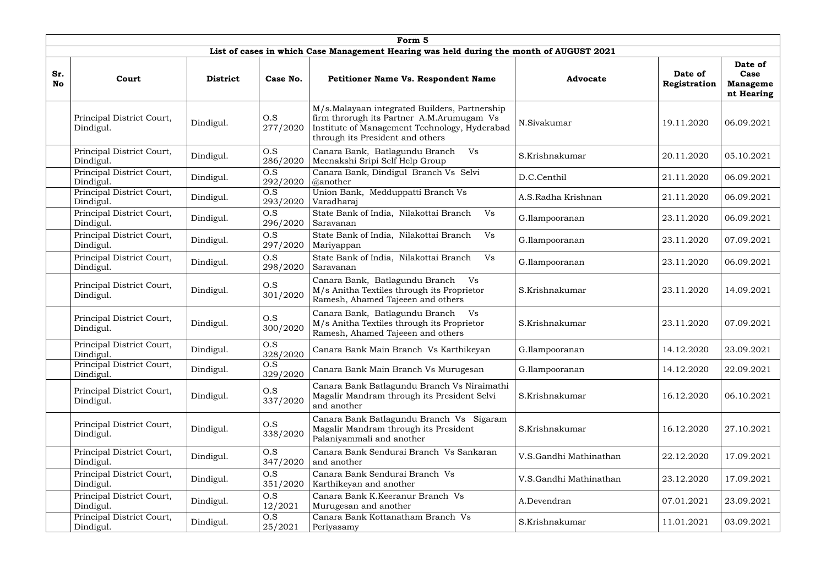|                  |                                        |                 |                 | Form 5                                                                                                                                                                          |                        |                         |                                                  |
|------------------|----------------------------------------|-----------------|-----------------|---------------------------------------------------------------------------------------------------------------------------------------------------------------------------------|------------------------|-------------------------|--------------------------------------------------|
|                  |                                        |                 |                 | List of cases in which Case Management Hearing was held during the month of AUGUST 2021                                                                                         |                        |                         |                                                  |
| Sr.<br><b>No</b> | Court                                  | <b>District</b> | Case No.        | <b>Petitioner Name Vs. Respondent Name</b>                                                                                                                                      | <b>Advocate</b>        | Date of<br>Registration | Date of<br>Case<br><b>Manageme</b><br>nt Hearing |
|                  | Principal District Court,<br>Dindigul. | Dindigul.       | O.S<br>277/2020 | M/s.Malayaan integrated Builders, Partnership<br>firm throrugh its Partner A.M.Arumugam Vs<br>Institute of Management Technology, Hyderabad<br>through its President and others | N.Sivakumar            | 19.11.2020              | 06.09.2021                                       |
|                  | Principal District Court,<br>Dindigul. | Dindigul.       | O.S<br>286/2020 | Canara Bank, Batlagundu Branch<br>Vs<br>Meenakshi Sripi Self Help Group                                                                                                         | S.Krishnakumar         | 20.11.2020              | 05.10.2021                                       |
|                  | Principal District Court,<br>Dindigul. | Dindigul.       | O.S<br>292/2020 | Canara Bank, Dindigul Branch Vs Selvi<br>@another                                                                                                                               | D.C.Centhil            | 21.11.2020              | 06.09.2021                                       |
|                  | Principal District Court,<br>Dindigul. | Dindigul.       | O.S<br>293/2020 | Union Bank, Medduppatti Branch Vs<br>Varadharaj                                                                                                                                 | A.S.Radha Krishnan     | 21.11.2020              | 06.09.2021                                       |
|                  | Principal District Court,<br>Dindigul. | Dindigul.       | O.S<br>296/2020 | State Bank of India, Nilakottai Branch<br>Vs<br>Saravanan                                                                                                                       | G.Ilampooranan         | 23.11.2020              | 06.09.2021                                       |
|                  | Principal District Court,<br>Dindigul. | Dindigul.       | O.S<br>297/2020 | State Bank of India, Nilakottai Branch<br>Vs<br>Mariyappan                                                                                                                      | G.Ilampooranan         | 23.11.2020              | 07.09.2021                                       |
|                  | Principal District Court,<br>Dindigul. | Dindigul.       | O.S<br>298/2020 | State Bank of India, Nilakottai Branch<br>Vs<br>Saravanan                                                                                                                       | G.Ilampooranan         | 23.11.2020              | 06.09.2021                                       |
|                  | Principal District Court,<br>Dindigul. | Dindigul.       | O.S<br>301/2020 | Canara Bank, Batlagundu Branch<br>Vs<br>M/s Anitha Textiles through its Proprietor<br>Ramesh, Ahamed Tajeeen and others                                                         | S.Krishnakumar         | 23.11.2020              | 14.09.2021                                       |
|                  | Principal District Court,<br>Dindigul. | Dindigul.       | O.S<br>300/2020 | Canara Bank, Batlagundu Branch<br>Vs<br>M/s Anitha Textiles through its Proprietor<br>Ramesh, Ahamed Tajeeen and others                                                         | S.Krishnakumar         | 23.11.2020              | 07.09.2021                                       |
|                  | Principal District Court,<br>Dindigul. | Dindigul.       | O.S<br>328/2020 | Canara Bank Main Branch Vs Karthikeyan                                                                                                                                          | G.Ilampooranan         | 14.12.2020              | 23.09.2021                                       |
|                  | Principal District Court,<br>Dindigul. | Dindigul.       | O.S<br>329/2020 | Canara Bank Main Branch Vs Murugesan                                                                                                                                            | G.Ilampooranan         | 14.12.2020              | 22.09.2021                                       |
|                  | Principal District Court,<br>Dindigul. | Dindigul.       | O.S<br>337/2020 | Canara Bank Batlagundu Branch Vs Niraimathi<br>Magalir Mandram through its President Selvi<br>and another                                                                       | S.Krishnakumar         | 16.12.2020              | 06.10.2021                                       |
|                  | Principal District Court,<br>Dindigul. | Dindigul.       | O.S<br>338/2020 | Canara Bank Batlagundu Branch Vs Sigaram<br>Magalir Mandram through its President<br>Palaniyammali and another                                                                  | S.Krishnakumar         | 16.12.2020              | 27.10.2021                                       |
|                  | Principal District Court,<br>Dindigul. | Dindigul.       | O.S<br>347/2020 | Canara Bank Sendurai Branch Vs Sankaran<br>and another                                                                                                                          | V.S.Gandhi Mathinathan | 22.12.2020              | 17.09.2021                                       |
|                  | Principal District Court,<br>Dindigul. | Dindigul.       | O.S<br>351/2020 | Canara Bank Sendurai Branch Vs<br>Karthikeyan and another                                                                                                                       | V.S.Gandhi Mathinathan | 23.12.2020              | 17.09.2021                                       |
|                  | Principal District Court,<br>Dindigul. | Dindigul.       | O.S<br>12/2021  | Canara Bank K.Keeranur Branch Vs<br>Murugesan and another                                                                                                                       | A.Devendran            | 07.01.2021              | 23.09.2021                                       |
|                  | Principal District Court,<br>Dindigul. | Dindigul.       | O.S<br>25/2021  | Canara Bank Kottanatham Branch Vs<br>Periyasamy                                                                                                                                 | S.Krishnakumar         | 11.01.2021              | 03.09.2021                                       |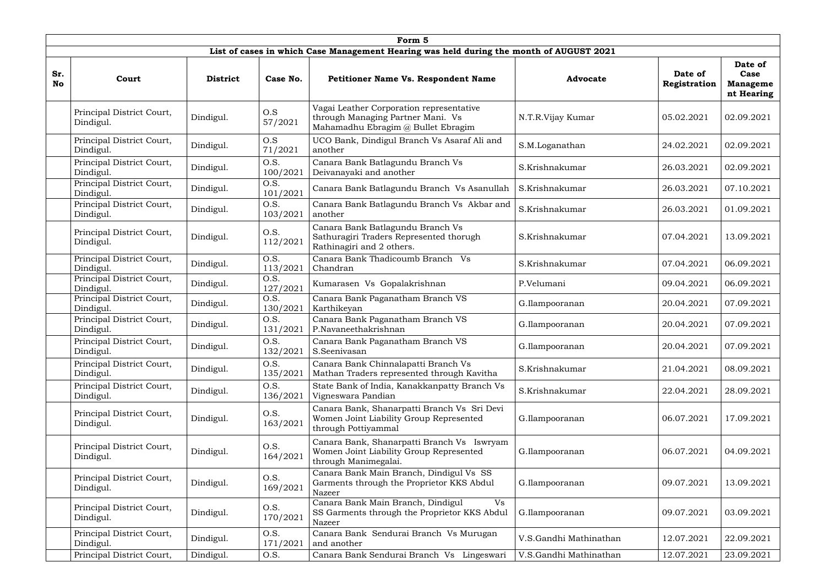|                  |                                        |                 |                  | Form 5                                                                                                              |                        |                         |                                                  |
|------------------|----------------------------------------|-----------------|------------------|---------------------------------------------------------------------------------------------------------------------|------------------------|-------------------------|--------------------------------------------------|
|                  |                                        |                 |                  | List of cases in which Case Management Hearing was held during the month of AUGUST 2021                             |                        |                         |                                                  |
| Sr.<br><b>No</b> | Court                                  | <b>District</b> | Case No.         | <b>Petitioner Name Vs. Respondent Name</b>                                                                          | <b>Advocate</b>        | Date of<br>Registration | Date of<br>Case<br><b>Manageme</b><br>nt Hearing |
|                  | Principal District Court,<br>Dindigul. | Dindigul.       | O.S<br>57/2021   | Vagai Leather Corporation representative<br>through Managing Partner Mani. Vs<br>Mahamadhu Ebragim @ Bullet Ebragim | N.T.R.Vijay Kumar      | 05.02.2021              | 02.09.2021                                       |
|                  | Principal District Court,<br>Dindigul. | Dindigul.       | O.S<br>71/2021   | UCO Bank, Dindigul Branch Vs Asaraf Ali and<br>another                                                              | S.M.Loganathan         | 24.02.2021              | 02.09.2021                                       |
|                  | Principal District Court,<br>Dindigul. | Dindigul.       | O.S.<br>100/2021 | Canara Bank Batlagundu Branch Vs<br>Deivanayaki and another                                                         | S.Krishnakumar         | 26.03.2021              | 02.09.2021                                       |
|                  | Principal District Court,<br>Dindigul. | Dindigul.       | O.S.<br>101/2021 | Canara Bank Batlagundu Branch Vs Asanullah                                                                          | S.Krishnakumar         | 26.03.2021              | 07.10.2021                                       |
|                  | Principal District Court,<br>Dindigul. | Dindigul.       | O.S.<br>103/2021 | Canara Bank Batlagundu Branch Vs Akbar and<br>another                                                               | S.Krishnakumar         | 26.03.2021              | 01.09.2021                                       |
|                  | Principal District Court,<br>Dindigul. | Dindigul.       | O.S.<br>112/2021 | Canara Bank Batlagundu Branch Vs<br>Sathuragiri Traders Represented thorugh<br>Rathinagiri and 2 others.            | S.Krishnakumar         | 07.04.2021              | 13.09.2021                                       |
|                  | Principal District Court,<br>Dindigul. | Dindigul.       | O.S.<br>113/2021 | Canara Bank Thadicoumb Branch Vs<br>Chandran                                                                        | S.Krishnakumar         | 07.04.2021              | 06.09.2021                                       |
|                  | Principal District Court,<br>Dindigul. | Dindigul.       | O.S.<br>127/2021 | Kumarasen Vs Gopalakrishnan                                                                                         | P.Velumani             | 09.04.2021              | 06.09.2021                                       |
|                  | Principal District Court,<br>Dindigul. | Dindigul.       | O.S.<br>130/2021 | Canara Bank Paganatham Branch VS<br>Karthikeyan                                                                     | G.Ilampooranan         | 20.04.2021              | 07.09.2021                                       |
|                  | Principal District Court,<br>Dindigul. | Dindigul.       | O.S.<br>131/2021 | Canara Bank Paganatham Branch VS<br>P.Navaneethakrishnan                                                            | G.Ilampooranan         | 20.04.2021              | 07.09.2021                                       |
|                  | Principal District Court,<br>Dindigul. | Dindigul.       | O.S.<br>132/2021 | Canara Bank Paganatham Branch VS<br>S.Seenivasan                                                                    | G.Ilampooranan         | 20.04.2021              | 07.09.2021                                       |
|                  | Principal District Court,<br>Dindigul. | Dindigul.       | O.S.<br>135/2021 | Canara Bank Chinnalapatti Branch Vs<br>Mathan Traders represented through Kavitha                                   | S.Krishnakumar         | 21.04.2021              | 08.09.2021                                       |
|                  | Principal District Court,<br>Dindigul. | Dindigul.       | O.S.<br>136/2021 | State Bank of India, Kanakkanpatty Branch Vs<br>Vigneswara Pandian                                                  | S.Krishnakumar         | 22.04.2021              | 28.09.2021                                       |
|                  | Principal District Court,<br>Dindigul. | Dindigul.       | O.S.<br>163/2021 | Canara Bank, Shanarpatti Branch Vs Sri Devi<br>Women Joint Liability Group Represented<br>through Pottiyammal       | G.Ilampooranan         | 06.07.2021              | 17.09.2021                                       |
|                  | Principal District Court,<br>Dindigul. | Dindigul.       | O.S.<br>164/2021 | Canara Bank, Shanarpatti Branch Vs Iswryam<br>Women Joint Liability Group Represented<br>through Manimegalai.       | G.Ilampooranan         | 06.07.2021              | 04.09.2021                                       |
|                  | Principal District Court,<br>Dindigul. | Dindigul.       | O.S.<br>169/2021 | Canara Bank Main Branch, Dindigul Vs SS<br>Garments through the Proprietor KKS Abdul<br>Nazeer                      | G.Ilampooranan         | 09.07.2021              | 13.09.2021                                       |
|                  | Principal District Court,<br>Dindigul. | Dindigul.       | O.S.<br>170/2021 | Canara Bank Main Branch, Dindigul<br>Vs<br>SS Garments through the Proprietor KKS Abdul<br>Nazeer                   | G.Ilampooranan         | 09.07.2021              | 03.09.2021                                       |
|                  | Principal District Court,<br>Dindigul. | Dindigul.       | O.S.<br>171/2021 | Canara Bank Sendurai Branch Vs Murugan<br>and another                                                               | V.S.Gandhi Mathinathan | 12.07.2021              | 22.09.2021                                       |
|                  | Principal District Court,              | Dindigul.       | O.S.             | Canara Bank Sendurai Branch Vs Lingeswari                                                                           | V.S.Gandhi Mathinathan | 12.07.2021              | 23.09.2021                                       |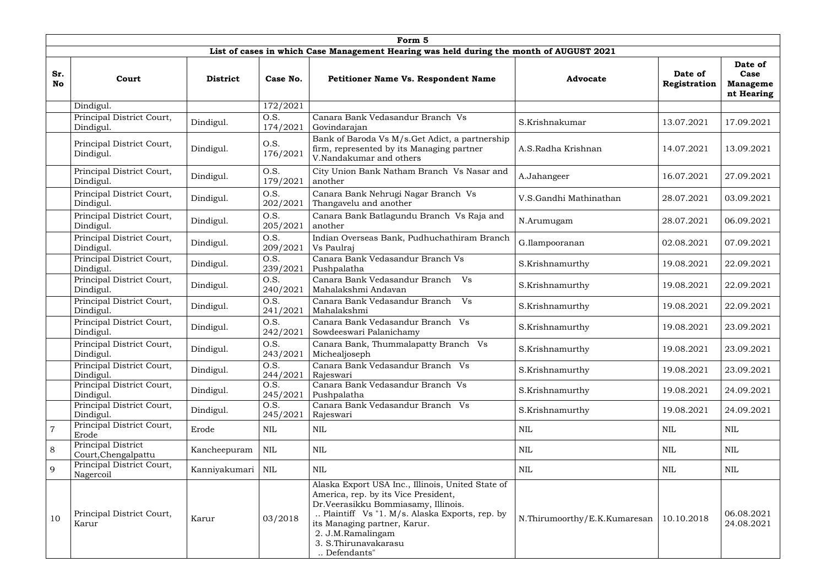|                  |                                           |                     |                  | Form 5                                                                                                                                                                                                                                                                         |                              |                         |                                                  |
|------------------|-------------------------------------------|---------------------|------------------|--------------------------------------------------------------------------------------------------------------------------------------------------------------------------------------------------------------------------------------------------------------------------------|------------------------------|-------------------------|--------------------------------------------------|
|                  |                                           |                     |                  | List of cases in which Case Management Hearing was held during the month of AUGUST 2021                                                                                                                                                                                        |                              |                         |                                                  |
| Sr.<br><b>No</b> | Court                                     | <b>District</b>     | Case No.         | <b>Petitioner Name Vs. Respondent Name</b>                                                                                                                                                                                                                                     | <b>Advocate</b>              | Date of<br>Registration | Date of<br>Case<br><b>Manageme</b><br>nt Hearing |
|                  | Dindigul.                                 |                     | 172/2021         |                                                                                                                                                                                                                                                                                |                              |                         |                                                  |
|                  | Principal District Court,<br>Dindigul.    | Dindigul.           | O.S.<br>174/2021 | Canara Bank Vedasandur Branch Vs<br>Govindarajan                                                                                                                                                                                                                               | S.Krishnakumar               | 13.07.2021              | 17.09.2021                                       |
|                  | Principal District Court,<br>Dindigul.    | Dindigul.           | O.S.<br>176/2021 | Bank of Baroda Vs M/s.Get Adict, a partnership<br>firm, represented by its Managing partner<br>V.Nandakumar and others                                                                                                                                                         | A.S.Radha Krishnan           | 14.07.2021              | 13.09.2021                                       |
|                  | Principal District Court,<br>Dindigul.    | Dindigul.           | O.S.<br>179/2021 | City Union Bank Natham Branch Vs Nasar and<br>another                                                                                                                                                                                                                          | A.Jahangeer                  | 16.07.2021              | 27.09.2021                                       |
|                  | Principal District Court,<br>Dindigul.    | Dindigul.           | O.S.<br>202/2021 | Canara Bank Nehrugi Nagar Branch Vs<br>Thangavelu and another                                                                                                                                                                                                                  | V.S.Gandhi Mathinathan       | 28.07.2021              | 03.09.2021                                       |
|                  | Principal District Court,<br>Dindigul.    | Dindigul.           | O.S.<br>205/2021 | Canara Bank Batlagundu Branch Vs Raja and<br>another                                                                                                                                                                                                                           | N.Arumugam                   | 28.07.2021              | 06.09.2021                                       |
|                  | Principal District Court,<br>Dindigul.    | Dindigul.           | O.S.<br>209/2021 | Indian Overseas Bank, Pudhuchathiram Branch<br>Vs Paulraj                                                                                                                                                                                                                      | G.Ilampooranan               | 02.08.2021              | 07.09.2021                                       |
|                  | Principal District Court,<br>Dindigul.    | Dindigul.           | O.S.<br>239/2021 | Canara Bank Vedasandur Branch Vs<br>Pushpalatha                                                                                                                                                                                                                                | S.Krishnamurthy              | 19.08.2021              | 22.09.2021                                       |
|                  | Principal District Court,<br>Dindigul.    | Dindigul.           | O.S.<br>240/2021 | Canara Bank Vedasandur Branch Vs<br>Mahalakshmi Andavan                                                                                                                                                                                                                        | S.Krishnamurthy              | 19.08.2021              | 22.09.2021                                       |
|                  | Principal District Court,<br>Dindigul.    | Dindigul.           | O.S.<br>241/2021 | Canara Bank Vedasandur Branch<br>Vs<br>Mahalakshmi                                                                                                                                                                                                                             | S.Krishnamurthy              | 19.08.2021              | 22.09.2021                                       |
|                  | Principal District Court,<br>Dindigul.    | Dindigul.           | O.S.<br>242/2021 | Canara Bank Vedasandur Branch Vs<br>Sowdeeswari Palanichamy                                                                                                                                                                                                                    | S.Krishnamurthy              | 19.08.2021              | 23.09.2021                                       |
|                  | Principal District Court,<br>Dindigul.    | Dindigul.           | O.S.<br>243/2021 | Canara Bank, Thummalapatty Branch Vs<br>Michealjoseph                                                                                                                                                                                                                          | S.Krishnamurthy              | 19.08.2021              | 23.09.2021                                       |
|                  | Principal District Court,<br>Dindigul.    | Dindigul.           | O.S.<br>244/2021 | Canara Bank Vedasandur Branch Vs<br>Rajeswari                                                                                                                                                                                                                                  | S.Krishnamurthy              | 19.08.2021              | 23.09.2021                                       |
|                  | Principal District Court,<br>Dindigul.    | Dindigul.           | O.S.<br>245/2021 | Canara Bank Vedasandur Branch Vs<br>Pushpalatha                                                                                                                                                                                                                                | S.Krishnamurthy              | 19.08.2021              | 24.09.2021                                       |
|                  | Principal District Court,<br>Dindigul.    | Dindigul.           | O.S.<br>245/2021 | Canara Bank Vedasandur Branch Vs<br>Rajeswari                                                                                                                                                                                                                                  | S.Krishnamurthy              | 19.08.2021              | 24.09.2021                                       |
| $\overline{7}$   | Principal District Court,<br>Erode        | Erode               | NIL              | NIL                                                                                                                                                                                                                                                                            | <b>NIL</b>                   | NIL                     | NIL                                              |
| $8\,$            | Principal District<br>Court, Chengalpattu | Kancheepuram        | <b>NIL</b>       | NIL                                                                                                                                                                                                                                                                            | <b>NIL</b>                   | NIL                     | NIL                                              |
| 9                | Principal District Court,<br>Nagercoil    | Kanniyakumari   NIL |                  | NIL                                                                                                                                                                                                                                                                            | <b>NIL</b>                   | NIL                     | NIL                                              |
| 10               | Principal District Court,<br>Karur        | Karur               | 03/2018          | Alaska Export USA Inc., Illinois, United State of<br>America, rep. by its Vice President,<br>Dr.Veerasikku Bommiasamy, Illinois.<br>Plaintiff Vs "1. M/s. Alaska Exports, rep. by<br>its Managing partner, Karur.<br>2. J.M.Ramalingam<br>3. S. Thirunavakarasu<br>Defendants" | N.Thirumoorthy/E.K.Kumaresan | 10.10.2018              | 06.08.2021<br>24.08.2021                         |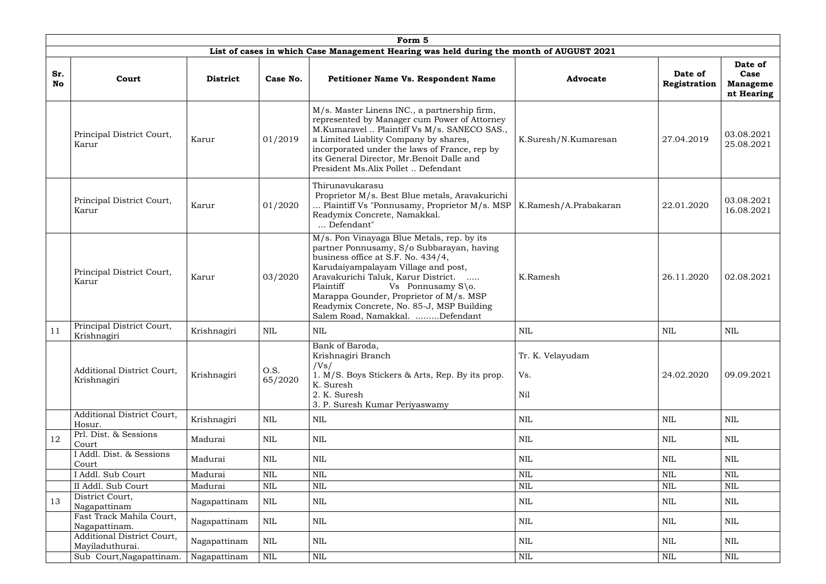|                  |                                                  |                 |                 | Form <sub>5</sub>                                                                                                                                                                                                                                                                                                                                                                      |                                |                         |                                                  |
|------------------|--------------------------------------------------|-----------------|-----------------|----------------------------------------------------------------------------------------------------------------------------------------------------------------------------------------------------------------------------------------------------------------------------------------------------------------------------------------------------------------------------------------|--------------------------------|-------------------------|--------------------------------------------------|
|                  |                                                  |                 |                 | List of cases in which Case Management Hearing was held during the month of AUGUST 2021                                                                                                                                                                                                                                                                                                |                                |                         |                                                  |
| Sr.<br><b>No</b> | Court                                            | <b>District</b> | Case No.        | <b>Petitioner Name Vs. Respondent Name</b>                                                                                                                                                                                                                                                                                                                                             | <b>Advocate</b>                | Date of<br>Registration | Date of<br>Case<br><b>Manageme</b><br>nt Hearing |
|                  | Principal District Court,<br>Karur               | Karur           | 01/2019         | M/s. Master Linens INC., a partnership firm,<br>represented by Manager cum Power of Attorney<br>M.Kumaravel  Plaintiff Vs M/s. SANECO SAS.,<br>a Limited Liablity Company by shares,<br>incorporated under the laws of France, rep by<br>its General Director, Mr.Benoit Dalle and<br>President Ms.Alix Pollet  Defendant                                                              | K.Suresh/N.Kumaresan           | 27.04.2019              | 03.08.2021<br>25.08.2021                         |
|                  | Principal District Court,<br>Karur               | Karur           | 01/2020         | Thirunavukarasu<br>Proprietor M/s. Best Blue metals, Aravakurichi<br>Plaintiff Vs "Ponnusamy, Proprietor M/s. MSP<br>Readymix Concrete, Namakkal.<br>Defendant"                                                                                                                                                                                                                        | K.Ramesh/A.Prabakaran          | 22.01.2020              | 03.08.2021<br>16.08.2021                         |
|                  | Principal District Court,<br>Karur               | Karur           | 03/2020         | M/s. Pon Vinayaga Blue Metals, rep. by its<br>partner Ponnusamy, S/o Subbarayan, having<br>business office at S.F. No. 434/4,<br>Karudaiyampalayam Village and post,<br>Aravakurichi Taluk, Karur District.<br>$\ldots$ .<br>Plaintiff<br>Vs Ponnusamy S\o.<br>Marappa Gounder, Proprietor of M/s. MSP<br>Readymix Concrete, No. 85-J, MSP Building<br>Salem Road, Namakkal. Defendant | K.Ramesh                       | 26.11.2020              | 02.08.2021                                       |
| 11               | Principal District Court,<br>Krishnagiri         | Krishnagiri     | NIL             | NIL                                                                                                                                                                                                                                                                                                                                                                                    | NIL                            | NIL                     | NIL                                              |
|                  | <b>Additional District Court,</b><br>Krishnagiri | Krishnagiri     | O.S.<br>65/2020 | Bank of Baroda,<br>Krishnagiri Branch<br>/Vs/<br>1. M/S. Boys Stickers & Arts, Rep. By its prop.<br>K. Suresh<br>2. K. Suresh<br>3. P. Suresh Kumar Periyaswamy                                                                                                                                                                                                                        | Tr. K. Velayudam<br>Vs.<br>Nil | 24.02.2020              | 09.09.2021                                       |
|                  | <b>Additional District Court,</b><br>Hosur.      | Krishnagiri     | <b>NIL</b>      | $\mbox{NIL}$                                                                                                                                                                                                                                                                                                                                                                           | <b>NIL</b>                     | $\mbox{NIL}$            | <b>NIL</b>                                       |
| 12               | Prl. Dist. & Sessions<br>Court                   | Madurai         | <b>NIL</b>      | <b>NIL</b>                                                                                                                                                                                                                                                                                                                                                                             | NIL                            | NIL                     | <b>NIL</b>                                       |
|                  | I Addl. Dist. & Sessions<br>Court                | Madurai         | NIL             | NIL                                                                                                                                                                                                                                                                                                                                                                                    | NIL                            | NIL                     | NIL                                              |
|                  | I Addl. Sub Court                                | Madurai         | <b>NIL</b>      | $\mbox{NIL}$                                                                                                                                                                                                                                                                                                                                                                           | <b>NIL</b>                     | $\mbox{NIL}$            | <b>NIL</b>                                       |
|                  | II Addl. Sub Court                               | Madurai         | $\mbox{NIL}$    | NIL                                                                                                                                                                                                                                                                                                                                                                                    | <b>NIL</b>                     | <b>NIL</b>              | $\mbox{NIL}$                                     |
| 13               | District Court,<br>Nagapattinam                  | Nagapattinam    | <b>NIL</b>      | NIL                                                                                                                                                                                                                                                                                                                                                                                    | NIL                            | NIL                     | NIL                                              |
|                  | Fast Track Mahila Court,<br>Nagapattinam.        | Nagapattinam    | NIL             | $\mbox{NIL}$                                                                                                                                                                                                                                                                                                                                                                           | NIL                            | $\mbox{NIL}$            | NIL                                              |
|                  | Additional District Court,<br>Mayiladuthurai.    | Nagapattinam    | <b>NIL</b>      | <b>NIL</b>                                                                                                                                                                                                                                                                                                                                                                             | <b>NIL</b>                     | <b>NIL</b>              | <b>NIL</b>                                       |
|                  | Sub Court, Nagapattinam.                         | Nagapattinam    | NIL             | NIL                                                                                                                                                                                                                                                                                                                                                                                    | NIL                            | $\mbox{NIL}$            | NIL                                              |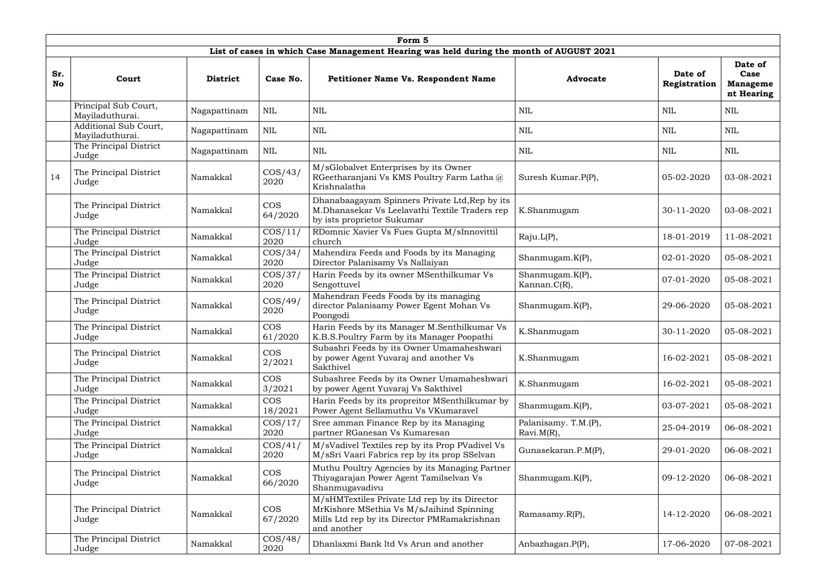|                  | Form 5                                   |                 |                       |                                                                                                                                                          |                                       |                         |                                                  |  |  |  |  |
|------------------|------------------------------------------|-----------------|-----------------------|----------------------------------------------------------------------------------------------------------------------------------------------------------|---------------------------------------|-------------------------|--------------------------------------------------|--|--|--|--|
|                  |                                          |                 |                       | List of cases in which Case Management Hearing was held during the month of AUGUST 2021                                                                  |                                       |                         |                                                  |  |  |  |  |
| Sr.<br><b>No</b> | Court                                    | <b>District</b> | Case No.              | <b>Petitioner Name Vs. Respondent Name</b>                                                                                                               | <b>Advocate</b>                       | Date of<br>Registration | Date of<br>Case<br><b>Manageme</b><br>nt Hearing |  |  |  |  |
|                  | Principal Sub Court,<br>Mayiladuthurai.  | Nagapattinam    | $\mbox{NIL}$          | <b>NIL</b>                                                                                                                                               | <b>NIL</b>                            | <b>NIL</b>              | <b>NIL</b>                                       |  |  |  |  |
|                  | Additional Sub Court,<br>Mayiladuthurai. | Nagapattinam    | <b>NIL</b>            | <b>NIL</b>                                                                                                                                               | <b>NIL</b>                            | NIL                     | NIL                                              |  |  |  |  |
|                  | The Principal District<br>Judge          | Nagapattinam    | <b>NIL</b>            | <b>NIL</b>                                                                                                                                               | <b>NIL</b>                            | <b>NIL</b>              | <b>NIL</b>                                       |  |  |  |  |
| 14               | The Principal District<br>Judge          | Namakkal        | $\cos/43/$<br>2020    | M/sGlobalvet Enterprises by its Owner<br>RGeetharanjani Vs KMS Poultry Farm Latha @<br>Krishnalatha                                                      | Suresh Kumar.P(P),                    | 05-02-2020              | 03-08-2021                                       |  |  |  |  |
|                  | The Principal District<br>Judge          | Namakkal        | <b>COS</b><br>64/2020 | Dhanabaagayam Spinners Private Ltd, Rep by its<br>M.Dhanasekar Vs Leelavathi Textile Traders rep<br>by ists proprietor Sukumar                           | K.Shanmugam                           | 30-11-2020              | 03-08-2021                                       |  |  |  |  |
|                  | The Principal District<br>Judge          | Namakkal        | $\cos/11/$<br>2020    | RDomnic Xavier Vs Fues Gupta M/sInnovittil<br>church                                                                                                     | Raju.L(P),                            | 18-01-2019              | 11-08-2021                                       |  |  |  |  |
|                  | The Principal District<br>Judge          | Namakkal        | $\cos/34/$<br>2020    | Mahendira Feeds and Foods by its Managing<br>Director Palanisamy Vs Nallaiyan                                                                            | Shanmugam.K(P),                       | 02-01-2020              | 05-08-2021                                       |  |  |  |  |
|                  | The Principal District<br>Judge          | Namakkal        | $\cos/37/$<br>2020    | Harin Feeds by its owner MSenthilkumar Vs<br>Sengottuvel                                                                                                 | Shanmugam.K(P),<br>Kannan.C(R),       | 07-01-2020              | 05-08-2021                                       |  |  |  |  |
|                  | The Principal District<br>Judge          | Namakkal        | $\cos/49/$<br>2020    | Mahendran Feeds Foods by its managing<br>director Palanisamy Power Egent Mohan Vs<br>Poongodi                                                            | Shanmugam.K(P),                       | 29-06-2020              | 05-08-2021                                       |  |  |  |  |
|                  | The Principal District<br>Judge          | Namakkal        | <b>COS</b><br>61/2020 | Harin Feeds by its Manager M.Senthilkumar Vs<br>K.B.S.Poultry Farm by its Manager Poopathi                                                               | K.Shanmugam                           | 30-11-2020              | 05-08-2021                                       |  |  |  |  |
|                  | The Principal District<br>Judge          | Namakkal        | <b>COS</b><br>2/2021  | Subashri Feeds by its Owner Umamaheshwari<br>by power Agent Yuvaraj and another Vs<br>Sakthivel                                                          | K.Shanmugam                           | 16-02-2021              | 05-08-2021                                       |  |  |  |  |
|                  | The Principal District<br>Judge          | Namakkal        | <b>COS</b><br>3/2021  | Subashree Feeds by its Owner Umamaheshwari<br>by power Agent Yuvaraj Vs Sakthivel                                                                        | K.Shanmugam                           | 16-02-2021              | 05-08-2021                                       |  |  |  |  |
|                  | The Principal District<br>Judge          | Namakkal        | <b>COS</b><br>18/2021 | Harin Feeds by its propreitor MSenthilkumar by<br>Power Agent Sellamuthu Vs VKumaravel                                                                   | Shanmugam.K(P),                       | 03-07-2021              | 05-08-2021                                       |  |  |  |  |
|                  | The Principal District<br>Judge          | Namakkal        | $\cos/17/$<br>2020    | Sree amman Finance Rep by its Managing<br>partner RGanesan Vs Kumaresan                                                                                  | Palanisamy. T.M.(P),<br>$Ravi.M(R)$ , | 25-04-2019              | 06-08-2021                                       |  |  |  |  |
|                  | The Principal District<br>Judge          | Namakkal        | $\cos/41/$<br>2020    | M/sVadivel Textiles rep by its Prop PVadivel Vs<br>M/sSri Vaari Fabrics rep by its prop SSelvan                                                          | Gunasekaran.P.M(P),                   | 29-01-2020              | 06-08-2021                                       |  |  |  |  |
|                  | The Principal District<br>Judge          | Namakkal        | <b>COS</b><br>66/2020 | Muthu Poultry Agencies by its Managing Partner<br>Thiyagarajan Power Agent Tamilselvan Vs<br>Shanmugavadivu                                              | Shanmugam.K(P),                       | 09-12-2020              | 06-08-2021                                       |  |  |  |  |
|                  | The Principal District<br>Judge          | Namakkal        | <b>COS</b><br>67/2020 | M/sHMTextiles Private Ltd rep by its Director<br>MrKishore MSethia Vs M/sJaihind Spinning<br>Mills Ltd rep by its Director PMRamakrishnan<br>and another | Ramasamy.R(P),                        | 14-12-2020              | 06-08-2021                                       |  |  |  |  |
|                  | The Principal District<br>Judge          | Namakkal        | $\cos/48/$<br>2020    | Dhanlaxmi Bank ltd Vs Arun and another                                                                                                                   | Anbazhagan.P(P),                      | 17-06-2020              | 07-08-2021                                       |  |  |  |  |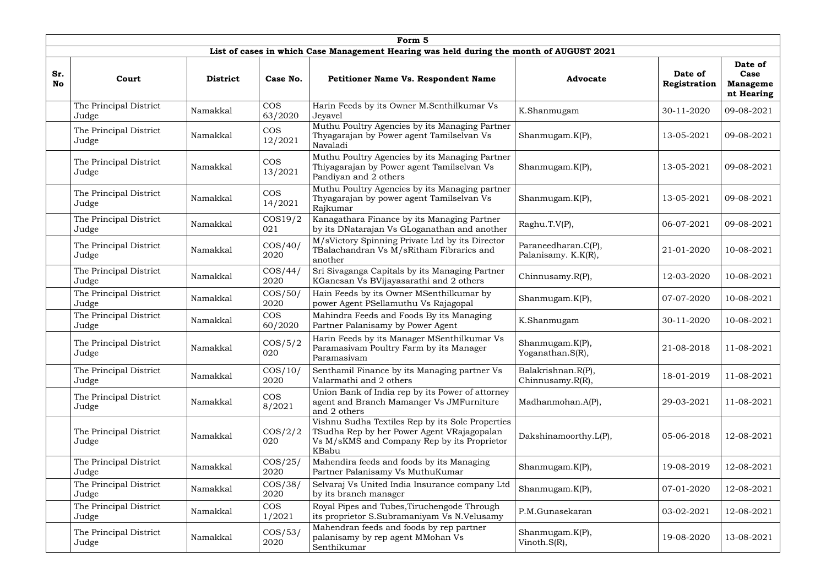|                  | Form 5                                                                                                                                                                                                      |                 |                                                                                                                                                                                                       |                                                                                                                       |                                            |                         |                                                  |  |  |  |  |  |
|------------------|-------------------------------------------------------------------------------------------------------------------------------------------------------------------------------------------------------------|-----------------|-------------------------------------------------------------------------------------------------------------------------------------------------------------------------------------------------------|-----------------------------------------------------------------------------------------------------------------------|--------------------------------------------|-------------------------|--------------------------------------------------|--|--|--|--|--|
|                  |                                                                                                                                                                                                             |                 |                                                                                                                                                                                                       | List of cases in which Case Management Hearing was held during the month of AUGUST 2021                               |                                            |                         |                                                  |  |  |  |  |  |
| Sr.<br><b>No</b> | Court                                                                                                                                                                                                       | <b>District</b> | Case No.                                                                                                                                                                                              | <b>Petitioner Name Vs. Respondent Name</b>                                                                            | <b>Advocate</b>                            | Date of<br>Registration | Date of<br>Case<br><b>Manageme</b><br>nt Hearing |  |  |  |  |  |
|                  | The Principal District<br>Judge                                                                                                                                                                             | Namakkal        | <b>COS</b><br>63/2020                                                                                                                                                                                 | Harin Feeds by its Owner M.Senthilkumar Vs<br>Jeyavel                                                                 | K.Shanmugam                                | 30-11-2020              | 09-08-2021                                       |  |  |  |  |  |
|                  | The Principal District<br>Judge                                                                                                                                                                             | Namakkal        | <b>COS</b><br>12/2021                                                                                                                                                                                 | Muthu Poultry Agencies by its Managing Partner<br>Thyagarajan by Power agent Tamilselvan Vs<br>Navaladi               | Shanmugam.K(P),                            | 13-05-2021              | 09-08-2021                                       |  |  |  |  |  |
|                  | The Principal District<br>Judge                                                                                                                                                                             | Namakkal        | <b>COS</b><br>13/2021                                                                                                                                                                                 | Muthu Poultry Agencies by its Managing Partner<br>Thiyagarajan by Power agent Tamilselvan Vs<br>Pandiyan and 2 others | Shanmugam.K(P),                            | 13-05-2021              | 09-08-2021                                       |  |  |  |  |  |
|                  | The Principal District<br>Namakkal<br>Judge                                                                                                                                                                 |                 | <b>COS</b><br>14/2021                                                                                                                                                                                 | Muthu Poultry Agencies by its Managing partner<br>Thyagarajan by power agent Tamilselvan Vs<br>Rajkumar               | Shanmugam.K(P),                            | 13-05-2021              | 09-08-2021                                       |  |  |  |  |  |
|                  | $\cos 19/2$<br>The Principal District<br>Namakkal<br>021<br>Judge<br>$\cos/40/$<br>The Principal District<br>Namakkal<br>2020<br>Judge<br>The Principal District<br>$\cos/44/$<br>Namakkal<br>2020<br>Judge |                 | Kanagathara Finance by its Managing Partner<br>by its DNatarajan Vs GLoganathan and another<br>M/sVictory Spinning Private Ltd by its Director<br>TBalachandran Vs M/sRitham Fibrarics and<br>another |                                                                                                                       | Raghu.T.V(P),                              | 06-07-2021              | 09-08-2021                                       |  |  |  |  |  |
|                  |                                                                                                                                                                                                             |                 |                                                                                                                                                                                                       |                                                                                                                       | Paraneedharan.C(P),<br>Palanisamy. K.K(R), | 21-01-2020              | 10-08-2021                                       |  |  |  |  |  |
|                  |                                                                                                                                                                                                             |                 | Sri Sivaganga Capitals by its Managing Partner<br>KGanesan Vs BVijayasarathi and 2 others                                                                                                             | Chinnusamy.R(P),                                                                                                      | 12-03-2020                                 | 10-08-2021              |                                                  |  |  |  |  |  |
|                  | The Principal District<br>Judge                                                                                                                                                                             | Namakkal        | $\cos/50/$<br>2020                                                                                                                                                                                    | Hain Feeds by its Owner MSenthilkumar by<br>power Agent PSellamuthu Vs Rajagopal                                      | Shanmugam.K(P),                            | 07-07-2020              | 10-08-2021                                       |  |  |  |  |  |
|                  | The Principal District<br>Judge                                                                                                                                                                             | Namakkal        | <b>COS</b><br>60/2020                                                                                                                                                                                 | Mahindra Feeds and Foods By its Managing<br>Partner Palanisamy by Power Agent                                         | K.Shanmugam                                | 30-11-2020              | 10-08-2021                                       |  |  |  |  |  |
|                  | The Principal District<br>Judge                                                                                                                                                                             | Namakkal        | $\cos/5/2$<br>020                                                                                                                                                                                     | Harin Feeds by its Manager MSenthilkumar Vs<br>Paramasivam Poultry Farm by its Manager<br>Paramasivam                 | Shanmugam.K(P),<br>Yoganathan. $S(R)$ ,    | 21-08-2018              | 11-08-2021                                       |  |  |  |  |  |
|                  | The Principal District<br>Judge                                                                                                                                                                             | Namakkal        | $\cos/10/$<br>2020                                                                                                                                                                                    | Senthamil Finance by its Managing partner Vs<br>Valarmathi and 2 others                                               | Balakrishnan.R(P),<br>Chinnusamy.R(R),     | 18-01-2019              | 11-08-2021                                       |  |  |  |  |  |
|                  | The Principal District<br>Judge                                                                                                                                                                             | Namakkal        | <b>COS</b><br>8/2021                                                                                                                                                                                  | Union Bank of India rep by its Power of attorney<br>agent and Branch Mamanger Vs JMFurniture<br>and 2 others          | Madhanmohan.A(P),                          | 29-03-2021              | 11-08-2021                                       |  |  |  |  |  |
|                  | $\cos/2/2$<br>The Principal District<br>Namakkal<br>020<br>Judge                                                                                                                                            |                 | Vishnu Sudha Textiles Rep by its Sole Properties<br>TSudha Rep by her Power Agent VRajagopalan<br>Vs M/sKMS and Company Rep by its Proprietor<br>KBabu                                                | Dakshinamoorthy.L(P),                                                                                                 | 05-06-2018                                 | 12-08-2021              |                                                  |  |  |  |  |  |
|                  | $\cos/25/$<br>The Principal District<br>Namakkal<br>2020<br>Judge                                                                                                                                           |                 | Mahendira feeds and foods by its Managing<br>Partner Palanisamy Vs MuthuKumar                                                                                                                         | Shanmugam.K(P),                                                                                                       | 19-08-2019                                 | 12-08-2021              |                                                  |  |  |  |  |  |
|                  | The Principal District<br>$\cos/38/$<br>Namakkal<br>2020<br>Judge                                                                                                                                           |                 | Selvaraj Vs United India Insurance company Ltd<br>by its branch manager                                                                                                                               | Shanmugam.K(P),                                                                                                       | 07-01-2020                                 | 12-08-2021              |                                                  |  |  |  |  |  |
|                  | The Principal District<br>Judge                                                                                                                                                                             | Namakkal        | <b>COS</b><br>1/2021                                                                                                                                                                                  | Royal Pipes and Tubes, Tiruchengode Through<br>its proprietor S.Subramaniyam Vs N.Velusamy                            | P.M.Gunasekaran                            | 03-02-2021              | 12-08-2021                                       |  |  |  |  |  |
|                  | The Principal District<br>Namakkal<br>Judge                                                                                                                                                                 |                 | $\cos/53/$<br>2020                                                                                                                                                                                    | Mahendran feeds and foods by rep partner<br>palanisamy by rep agent MMohan Vs<br>Senthikumar                          | Shanmugam.K(P),<br>Vinoth. $S(R)$ ,        | 19-08-2020              | 13-08-2021                                       |  |  |  |  |  |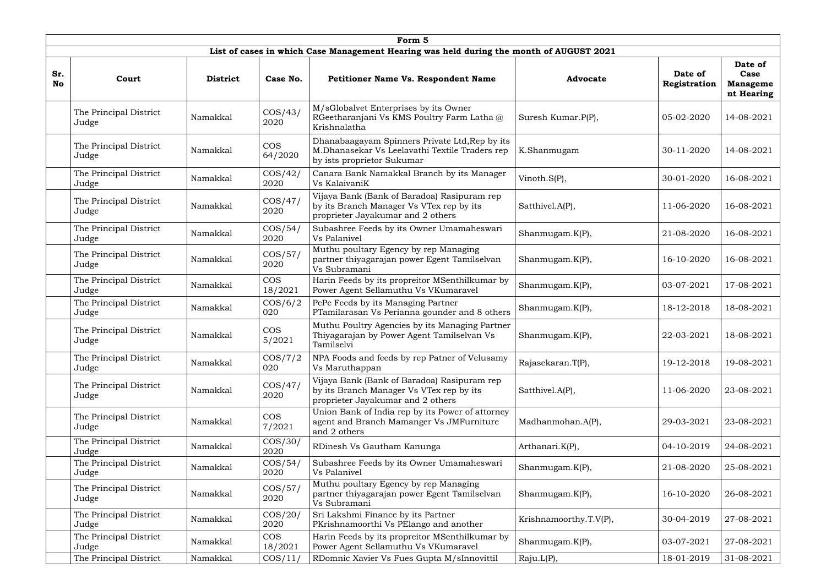|                  | Form 5                                                                                                                                                  |                                                                                                                                                                                    |                                                                                                                              |                                                                                                                              |                                 |                         |                                                  |  |  |  |  |  |
|------------------|---------------------------------------------------------------------------------------------------------------------------------------------------------|------------------------------------------------------------------------------------------------------------------------------------------------------------------------------------|------------------------------------------------------------------------------------------------------------------------------|------------------------------------------------------------------------------------------------------------------------------|---------------------------------|-------------------------|--------------------------------------------------|--|--|--|--|--|
|                  | List of cases in which Case Management Hearing was held during the month of AUGUST 2021                                                                 |                                                                                                                                                                                    |                                                                                                                              |                                                                                                                              |                                 |                         |                                                  |  |  |  |  |  |
| Sr.<br><b>No</b> | Court                                                                                                                                                   | <b>District</b>                                                                                                                                                                    | Case No.                                                                                                                     | <b>Petitioner Name Vs. Respondent Name</b>                                                                                   | <b>Advocate</b>                 | Date of<br>Registration | Date of<br>Case<br><b>Manageme</b><br>nt Hearing |  |  |  |  |  |
|                  | The Principal District<br>Judge                                                                                                                         | Namakkal                                                                                                                                                                           | $\cos/43/$<br>2020                                                                                                           | M/sGlobalvet Enterprises by its Owner<br>RGeetharanjani Vs KMS Poultry Farm Latha@<br>Krishnalatha                           | Suresh Kumar.P(P),              | 05-02-2020              | 14-08-2021                                       |  |  |  |  |  |
|                  | The Principal District<br>Judge                                                                                                                         | Dhanabaagayam Spinners Private Ltd, Rep by its<br><b>COS</b><br>M.Dhanasekar Vs Leelavathi Textile Traders rep<br>Namakkal<br>K.Shanmugam<br>64/2020<br>by ists proprietor Sukumar |                                                                                                                              | 30-11-2020                                                                                                                   | 14-08-2021                      |                         |                                                  |  |  |  |  |  |
|                  | The Principal District<br>$\cos/42/$<br>Namakkal<br>Vs KalaivaniK<br>2020<br>Judge<br>$\cos/47/$<br>The Principal District<br>Namakkal<br>2020<br>Judge |                                                                                                                                                                                    | Canara Bank Namakkal Branch by its Manager<br>Vinoth.S(P),                                                                   |                                                                                                                              |                                 | 30-01-2020              | 16-08-2021                                       |  |  |  |  |  |
|                  |                                                                                                                                                         |                                                                                                                                                                                    | Vijaya Bank (Bank of Baradoa) Rasipuram rep<br>by its Branch Manager Vs VTex rep by its<br>proprieter Jayakumar and 2 others | Satthivel.A(P),                                                                                                              | 11-06-2020                      | 16-08-2021              |                                                  |  |  |  |  |  |
|                  | The Principal District<br>Judge                                                                                                                         | Namakkal                                                                                                                                                                           | $\cos/54/$<br>2020                                                                                                           | Subashree Feeds by its Owner Umamaheswari<br>Vs Palanivel                                                                    | Shanmugam.K(P),                 | 21-08-2020              | 16-08-2021                                       |  |  |  |  |  |
|                  | The Principal District<br>Judge                                                                                                                         | $\cos/57/$<br>Namakkal<br>2020                                                                                                                                                     |                                                                                                                              | Muthu poultary Egency by rep Managing<br>partner thiyagarajan power Egent Tamilselvan<br>Vs Subramani                        | Shanmugam.K(P),                 | 16-10-2020              | 16-08-2021                                       |  |  |  |  |  |
|                  | The Principal District<br>Judge                                                                                                                         | Namakkal                                                                                                                                                                           | <b>COS</b><br>Harin Feeds by its propreitor MSenthilkumar by<br>18/2021<br>Power Agent Sellamuthu Vs VKumaravel              |                                                                                                                              | Shanmugam.K(P),                 | 03-07-2021              | 17-08-2021                                       |  |  |  |  |  |
|                  | The Principal District<br>Judge                                                                                                                         | Namakkal                                                                                                                                                                           | $\cos/6/2$<br>020                                                                                                            | PePe Feeds by its Managing Partner<br>PTamilarasan Vs Perianna gounder and 8 others                                          | Shanmugam.K(P),                 | 18-12-2018              | 18-08-2021                                       |  |  |  |  |  |
|                  | The Principal District<br>Judge                                                                                                                         | Namakkal                                                                                                                                                                           | <b>COS</b><br>5/2021                                                                                                         | Muthu Poultry Agencies by its Managing Partner<br>Thiyagarajan by Power Agent Tamilselvan Vs<br>Tamilselvi                   | Shanmugam.K(P),                 | 22-03-2021              | 18-08-2021                                       |  |  |  |  |  |
|                  | The Principal District<br>Judge                                                                                                                         | Namakkal                                                                                                                                                                           | $\cos/7/2$<br>020                                                                                                            | NPA Foods and feeds by rep Patner of Velusamy<br>Vs Maruthappan                                                              | Rajasekaran.T(P),               | 19-12-2018              | 19-08-2021                                       |  |  |  |  |  |
|                  | The Principal District<br>Judge                                                                                                                         | Namakkal                                                                                                                                                                           | $\cos/47/$<br>2020                                                                                                           | Vijaya Bank (Bank of Baradoa) Rasipuram rep<br>by its Branch Manager Vs VTex rep by its<br>proprieter Jayakumar and 2 others | Satthivel.A(P),                 | 11-06-2020              | 23-08-2021                                       |  |  |  |  |  |
|                  | The Principal District<br>Judge                                                                                                                         | Namakkal                                                                                                                                                                           | <b>COS</b><br>7/2021                                                                                                         | Union Bank of India rep by its Power of attorney<br>agent and Branch Mamanger Vs JMFurniture<br>and 2 others                 | Madhanmohan.A(P),<br>29-03-2021 |                         | 23-08-2021                                       |  |  |  |  |  |
|                  | The Principal District<br>Judge                                                                                                                         | Namakkal                                                                                                                                                                           | $\cos/30/$<br>2020                                                                                                           | RDinesh Vs Gautham Kanunga                                                                                                   | Arthanari.K(P),                 | 04-10-2019              | 24-08-2021                                       |  |  |  |  |  |
|                  | The Principal District<br>Judge                                                                                                                         | Namakkal                                                                                                                                                                           | $\cos/54/$<br>2020                                                                                                           | Subashree Feeds by its Owner Umamaheswari<br>Vs Palanivel                                                                    | Shanmugam.K(P),                 | 21-08-2020              | 25-08-2021                                       |  |  |  |  |  |
|                  | $\cos/57/$<br>The Principal District<br>Namakkal<br>2020<br>Judge                                                                                       |                                                                                                                                                                                    | Muthu poultary Egency by rep Managing<br>partner thiyagarajan power Egent Tamilselvan<br>Vs Subramani                        | Shanmugam.K(P),                                                                                                              | 16-10-2020                      | 26-08-2021              |                                                  |  |  |  |  |  |
|                  | The Principal District<br>$\cos/20/$<br>Namakkal<br>2020<br>Judge                                                                                       |                                                                                                                                                                                    | Sri Lakshmi Finance by its Partner<br>PKrishnamoorthi Vs PElango and another                                                 | Krishnamoorthy.T.V(P),                                                                                                       | 30-04-2019                      | 27-08-2021              |                                                  |  |  |  |  |  |
|                  | The Principal District<br>Judge                                                                                                                         | Namakkal                                                                                                                                                                           | <b>COS</b><br>18/2021                                                                                                        | Harin Feeds by its propreitor MSenthilkumar by<br>Power Agent Sellamuthu Vs VKumaravel                                       | Shanmugam.K(P),                 | 03-07-2021              | 27-08-2021                                       |  |  |  |  |  |
|                  | The Principal District                                                                                                                                  | Namakkal                                                                                                                                                                           | $\cos/11/$                                                                                                                   | RDomnic Xavier Vs Fues Gupta M/sInnovittil                                                                                   | Raju.L(P),                      | 18-01-2019              | 31-08-2021                                       |  |  |  |  |  |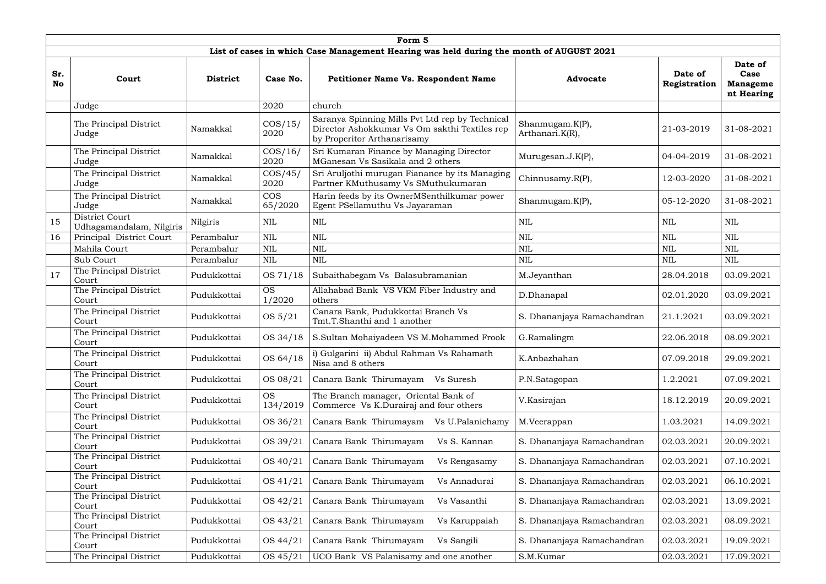|                  | Form 5                                                                                  |                                        |                       |                                                                                                                                 |                                    |                         |                                                  |  |  |  |  |  |  |
|------------------|-----------------------------------------------------------------------------------------|----------------------------------------|-----------------------|---------------------------------------------------------------------------------------------------------------------------------|------------------------------------|-------------------------|--------------------------------------------------|--|--|--|--|--|--|
|                  | List of cases in which Case Management Hearing was held during the month of AUGUST 2021 |                                        |                       |                                                                                                                                 |                                    |                         |                                                  |  |  |  |  |  |  |
| Sr.<br><b>No</b> | Court                                                                                   | <b>District</b>                        | Case No.              | <b>Petitioner Name Vs. Respondent Name</b>                                                                                      | <b>Advocate</b>                    | Date of<br>Registration | Date of<br>Case<br><b>Manageme</b><br>nt Hearing |  |  |  |  |  |  |
|                  | Judge                                                                                   |                                        | 2020                  | church                                                                                                                          |                                    |                         |                                                  |  |  |  |  |  |  |
|                  | The Principal District<br>Judge                                                         | Namakkal                               | $\cos/15/$<br>2020    | Saranya Spinning Mills Pvt Ltd rep by Technical<br>Director Ashokkumar Vs Om sakthi Textiles rep<br>by Properitor Arthanarisamy | Shanmugam.K(P),<br>Arthanari.K(R), | 21-03-2019              | 31-08-2021                                       |  |  |  |  |  |  |
|                  | The Principal District<br>Judge                                                         | Namakkal                               | $\cos/16/$<br>2020    | Sri Kumaran Finance by Managing Director<br>MGanesan Vs Sasikala and 2 others                                                   | Murugesan.J.K(P),                  | 04-04-2019              | 31-08-2021                                       |  |  |  |  |  |  |
|                  | The Principal District<br>Judge                                                         | Namakkal                               | $\cos/45/$<br>2020    | Sri Aruljothi murugan Fianance by its Managing<br>Partner KMuthusamy Vs SMuthukumaran                                           | Chinnusamy.R(P),                   | 12-03-2020              | 31-08-2021                                       |  |  |  |  |  |  |
|                  | The Principal District<br>Judge                                                         | Namakkal                               | <b>COS</b><br>65/2020 | Harin feeds by its OwnerMSenthilkumar power<br>Egent PSellamuthu Vs Jayaraman                                                   | Shanmugam.K(P),                    | 05-12-2020              | 31-08-2021                                       |  |  |  |  |  |  |
| 15               | District Court<br>Udhagamandalam, Nilgiris                                              | Nilgiris                               | NIL                   | NIL                                                                                                                             | <b>NIL</b>                         | NIL                     | <b>NIL</b>                                       |  |  |  |  |  |  |
| 16               | Principal District Court                                                                | <b>NIL</b><br><b>NIL</b><br>Perambalur |                       | <b>NIL</b>                                                                                                                      | <b>NIL</b>                         | <b>NIL</b>              |                                                  |  |  |  |  |  |  |
|                  | Mahila Court                                                                            | Perambalur                             | <b>NIL</b>            | NIL                                                                                                                             | <b>NIL</b>                         | <b>NIL</b>              | <b>NIL</b>                                       |  |  |  |  |  |  |
|                  | Sub Court                                                                               | Perambalur                             | <b>NIL</b>            | NIL                                                                                                                             | $\mbox{NIL}$                       | <b>NIL</b>              | $\mbox{NIL}$                                     |  |  |  |  |  |  |
| 17               | The Principal District<br>Court                                                         | Pudukkottai                            | OS 71/18              | Subaithabegam Vs Balasubramanian                                                                                                | M.Jeyanthan                        | 28.04.2018              | 03.09.2021                                       |  |  |  |  |  |  |
|                  | The Principal District<br>Court                                                         | Pudukkottai                            | <b>OS</b><br>1/2020   | Allahabad Bank VS VKM Fiber Industry and<br>others                                                                              | D.Dhanapal                         | 02.01.2020              | 03.09.2021                                       |  |  |  |  |  |  |
|                  | The Principal District<br>Court                                                         | Pudukkottai                            | OS 5/21               | Canara Bank, Pudukkottai Branch Vs<br>Tmt.T.Shanthi and 1 another                                                               | S. Dhananjaya Ramachandran         | 21.1.2021               | 03.09.2021                                       |  |  |  |  |  |  |
|                  | The Principal District<br>Court                                                         | Pudukkottai                            | OS 34/18              | S.Sultan Mohaiyadeen VS M.Mohammed Frook                                                                                        | G.Ramalingm                        | 22.06.2018              | 08.09.2021                                       |  |  |  |  |  |  |
|                  | The Principal District<br>Court                                                         | Pudukkottai                            | OS 64/18              | i) Gulgarini ii) Abdul Rahman Vs Rahamath<br>Nisa and 8 others                                                                  | K.Anbazhahan                       | 07.09.2018              | 29.09.2021                                       |  |  |  |  |  |  |
|                  | The Principal District<br>Court                                                         | Pudukkottai                            | OS 08/21              | Canara Bank Thirumayam<br>Vs Suresh                                                                                             | P.N.Satagopan                      | 1.2.2021                | 07.09.2021                                       |  |  |  |  |  |  |
|                  | The Principal District<br>Court                                                         | Pudukkottai                            | <b>OS</b><br>134/2019 | The Branch manager, Oriental Bank of<br>Commerce Vs K.Durairaj and four others                                                  | V.Kasirajan                        | 18.12.2019              | 20.09.2021                                       |  |  |  |  |  |  |
|                  | The Principal District<br>Court                                                         | Pudukkottai                            | OS 36/21              | Canara Bank Thirumayam<br>Vs U.Palanichamy                                                                                      | M.Veerappan                        | 1.03.2021               | 14.09.2021                                       |  |  |  |  |  |  |
|                  | The Principal District<br>Court                                                         | Pudukkottai                            | OS 39/21              | Canara Bank Thirumayam<br>Vs S. Kannan                                                                                          | S. Dhananjaya Ramachandran         | 02.03.2021              | 20.09.2021                                       |  |  |  |  |  |  |
|                  | The Principal District<br>Court                                                         | Pudukkottai                            | OS 40/21              | Canara Bank Thirumayam<br>Vs Rengasamy                                                                                          | S. Dhananjaya Ramachandran         | 02.03.2021              | 07.10.2021                                       |  |  |  |  |  |  |
|                  | The Principal District<br>Court                                                         | Pudukkottai                            | OS 41/21              | Canara Bank Thirumayam<br>Vs Annadurai                                                                                          | S. Dhananjaya Ramachandran         | 02.03.2021              | 06.10.2021                                       |  |  |  |  |  |  |
|                  | The Principal District<br>Court                                                         | Pudukkottai                            | OS 42/21              | Canara Bank Thirumayam<br>Vs Vasanthi                                                                                           | S. Dhananjaya Ramachandran         | 02.03.2021              | 13.09.2021                                       |  |  |  |  |  |  |
|                  | The Principal District<br>Court                                                         | Pudukkottai                            | OS 43/21              | Canara Bank Thirumayam<br>Vs Karuppaiah                                                                                         | S. Dhananjaya Ramachandran         | 02.03.2021              | 08.09.2021                                       |  |  |  |  |  |  |
|                  | The Principal District<br>Court                                                         | Pudukkottai                            | OS 44/21              | Canara Bank Thirumayam<br>Vs Sangili                                                                                            | S. Dhananjaya Ramachandran         | 02.03.2021              | 19.09.2021                                       |  |  |  |  |  |  |
|                  | The Principal District                                                                  | Pudukkottai                            | OS 45/21              | UCO Bank VS Palanisamy and one another                                                                                          | S.M.Kumar                          | 02.03.2021              | 17.09.2021                                       |  |  |  |  |  |  |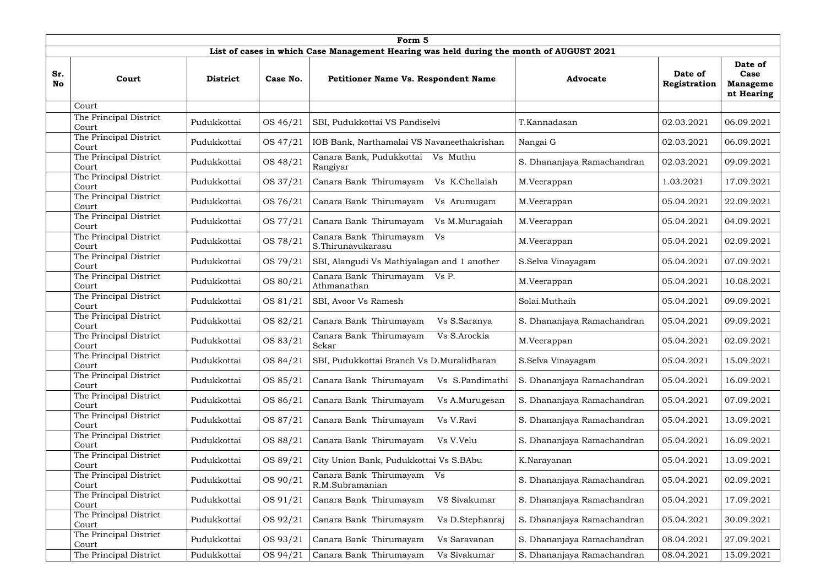|                  | Form 5                                                                                             |                                                                                                                                                                                                 |          |                                                  |                            |                         |                                       |  |  |  |  |  |  |
|------------------|----------------------------------------------------------------------------------------------------|-------------------------------------------------------------------------------------------------------------------------------------------------------------------------------------------------|----------|--------------------------------------------------|----------------------------|-------------------------|---------------------------------------|--|--|--|--|--|--|
|                  | List of cases in which Case Management Hearing was held during the month of AUGUST 2021<br>Date of |                                                                                                                                                                                                 |          |                                                  |                            |                         |                                       |  |  |  |  |  |  |
| Sr.<br><b>No</b> | Court                                                                                              | <b>District</b>                                                                                                                                                                                 | Case No. | <b>Petitioner Name Vs. Respondent Name</b>       | <b>Advocate</b>            | Date of<br>Registration | Case<br><b>Manageme</b><br>nt Hearing |  |  |  |  |  |  |
|                  | Court                                                                                              |                                                                                                                                                                                                 |          |                                                  |                            |                         |                                       |  |  |  |  |  |  |
|                  | The Principal District<br>Court                                                                    | Pudukkottai                                                                                                                                                                                     | OS 46/21 | SBI, Pudukkottai VS Pandiselvi                   | T.Kannadasan               | 02.03.2021              | 06.09.2021                            |  |  |  |  |  |  |
|                  | The Principal District<br>Court                                                                    | Pudukkottai                                                                                                                                                                                     | OS 47/21 | IOB Bank, Narthamalai VS Navaneethakrishan       | Nangai G                   | 02.03.2021              | 06.09.2021                            |  |  |  |  |  |  |
|                  | The Principal District<br>Court                                                                    | Pudukkottai                                                                                                                                                                                     | OS 48/21 | Canara Bank, Pudukkottai<br>Vs Muthu<br>Rangiyar | S. Dhananjaya Ramachandran | 02.03.2021              | 09.09.2021                            |  |  |  |  |  |  |
|                  | Court                                                                                              | The Principal District<br>OS 37/21<br>Canara Bank Thirumayam<br>Pudukkottai<br>Vs K.Chellaiah<br>M.Veerappan<br>OS 76/21<br>Canara Bank Thirumayam<br>Pudukkottai<br>M.Veerappan<br>Vs Arumugam |          |                                                  | 1.03.2021                  | 17.09.2021              |                                       |  |  |  |  |  |  |
|                  | The Principal District<br>Court                                                                    |                                                                                                                                                                                                 |          |                                                  | 05.04.2021                 | 22.09.2021              |                                       |  |  |  |  |  |  |
|                  | The Principal District<br>Court                                                                    | Pudukkottai                                                                                                                                                                                     | OS 77/21 | Canara Bank Thirumayam<br>Vs M.Murugaiah         | M.Veerappan                | 05.04.2021              | 04.09.2021                            |  |  |  |  |  |  |
|                  | The Principal District<br>Court                                                                    | Canara Bank Thirumayam<br>Vs<br>OS 78/21<br>Pudukkottai<br>M.Veerappan<br>S.Thirunavukarasu                                                                                                     |          |                                                  | 05.04.2021                 | 02.09.2021              |                                       |  |  |  |  |  |  |
|                  | The Principal District<br>Court                                                                    | Pudukkottai                                                                                                                                                                                     | OS 79/21 | SBI, Alangudi Vs Mathiyalagan and 1 another      | S.Selva Vinayagam          | 05.04.2021              | 07.09.2021                            |  |  |  |  |  |  |
|                  | The Principal District<br>Court                                                                    | Pudukkottai                                                                                                                                                                                     | OS 80/21 | Canara Bank Thirumayam Vs P.<br>Athmanathan      | M.Veerappan                | 05.04.2021              | 10.08.2021                            |  |  |  |  |  |  |
|                  | The Principal District<br>Court                                                                    | Pudukkottai                                                                                                                                                                                     | OS 81/21 | SBI, Avoor Vs Ramesh                             | Solai.Muthaih              | 05.04.2021              | 09.09.2021                            |  |  |  |  |  |  |
|                  | The Principal District<br>Court                                                                    | Pudukkottai                                                                                                                                                                                     | OS 82/21 | Canara Bank Thirumayam<br>Vs S.Saranya           | S. Dhananjaya Ramachandran | 05.04.2021              | 09.09.2021                            |  |  |  |  |  |  |
|                  | The Principal District<br>Court                                                                    | Pudukkottai                                                                                                                                                                                     | OS 83/21 | Canara Bank Thirumayam<br>Vs S.Arockia<br>Sekar  | M.Veerappan                | 05.04.2021              | 02.09.2021                            |  |  |  |  |  |  |
|                  | The Principal District<br>Court                                                                    | Pudukkottai                                                                                                                                                                                     | OS 84/21 | SBI, Pudukkottai Branch Vs D.Muralidharan        | S.Selva Vinayagam          | 05.04.2021              | 15.09.2021                            |  |  |  |  |  |  |
|                  | The Principal District<br>Court                                                                    | Pudukkottai                                                                                                                                                                                     | OS 85/21 | Canara Bank Thirumayam<br>Vs S.Pandimathi        | S. Dhananjaya Ramachandran | 05.04.2021              | 16.09.2021                            |  |  |  |  |  |  |
|                  | The Principal District<br>Court                                                                    | Pudukkottai                                                                                                                                                                                     | OS 86/21 | Canara Bank Thirumayam<br>Vs A.Murugesan         | S. Dhananjaya Ramachandran | 05.04.2021              | 07.09.2021                            |  |  |  |  |  |  |
|                  | The Principal District<br>Court                                                                    | Pudukkottai                                                                                                                                                                                     | OS 87/21 | Canara Bank Thirumayam<br>Vs V.Ravi              | S. Dhananjaya Ramachandran | 05.04.2021              | 13.09.2021                            |  |  |  |  |  |  |
|                  | The Principal District<br>Court                                                                    | Pudukkottai                                                                                                                                                                                     | OS 88/21 | Canara Bank Thirumayam<br>Vs V.Velu              | S. Dhananjaya Ramachandran | 05.04.2021              | 16.09.2021                            |  |  |  |  |  |  |
|                  | The Principal District<br>Court                                                                    | Pudukkottai                                                                                                                                                                                     | OS 89/21 | City Union Bank, Pudukkottai Vs S.BAbu           | K.Narayanan                | 05.04.2021              | 13.09.2021                            |  |  |  |  |  |  |
|                  | The Principal District<br>Court                                                                    | Pudukkottai                                                                                                                                                                                     | OS 90/21 | Canara Bank Thirumayam<br>Vs<br>R.M.Subramanian  | S. Dhananjaya Ramachandran | 05.04.2021              | 02.09.2021                            |  |  |  |  |  |  |
|                  | The Principal District<br>Court                                                                    | Pudukkottai                                                                                                                                                                                     | OS 91/21 | Canara Bank Thirumayam<br>VS Sivakumar           | S. Dhananjaya Ramachandran | 05.04.2021              | 17.09.2021                            |  |  |  |  |  |  |
|                  | The Principal District<br>Court                                                                    | Pudukkottai                                                                                                                                                                                     | OS 92/21 | Canara Bank Thirumayam<br>Vs D.Stephanraj        | S. Dhananjaya Ramachandran | 05.04.2021              | 30.09.2021                            |  |  |  |  |  |  |
|                  | The Principal District<br>Court                                                                    | Pudukkottai                                                                                                                                                                                     | OS 93/21 | Canara Bank Thirumayam<br>Vs Saravanan           | S. Dhananjaya Ramachandran | 08.04.2021              | 27.09.2021                            |  |  |  |  |  |  |
|                  | The Principal District                                                                             | Pudukkottai                                                                                                                                                                                     | OS 94/21 | Canara Bank Thirumayam<br>Vs Sivakumar           | S. Dhananjaya Ramachandran | 08.04.2021              | 15.09.2021                            |  |  |  |  |  |  |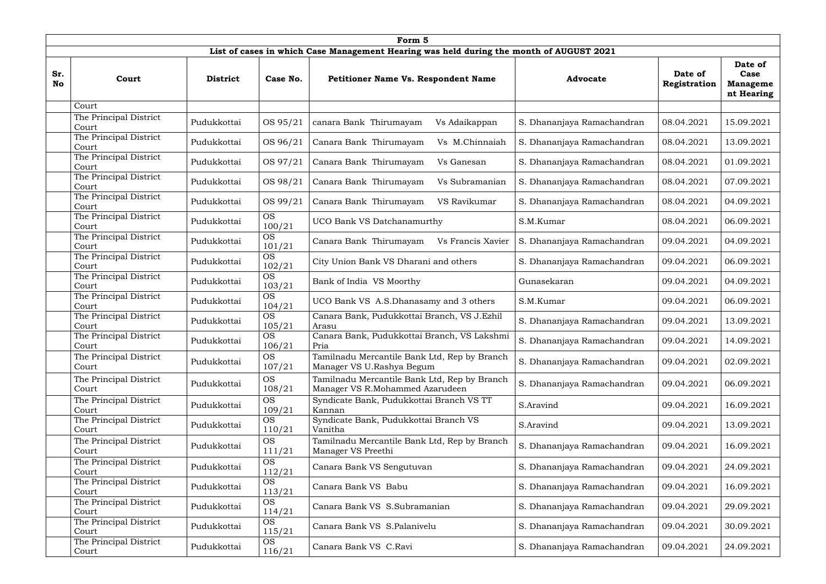|           | Form 5                                                                                  |                 |                     |                                                                                 |                            |                         |                                                  |  |  |  |  |  |
|-----------|-----------------------------------------------------------------------------------------|-----------------|---------------------|---------------------------------------------------------------------------------|----------------------------|-------------------------|--------------------------------------------------|--|--|--|--|--|
|           | List of cases in which Case Management Hearing was held during the month of AUGUST 2021 |                 |                     |                                                                                 |                            |                         |                                                  |  |  |  |  |  |
| Sr.<br>No | Court                                                                                   | <b>District</b> | Case No.            | <b>Petitioner Name Vs. Respondent Name</b>                                      | <b>Advocate</b>            | Date of<br>Registration | Date of<br>Case<br><b>Manageme</b><br>nt Hearing |  |  |  |  |  |
|           | Court                                                                                   |                 |                     |                                                                                 |                            |                         |                                                  |  |  |  |  |  |
|           | The Principal District<br>Court                                                         | Pudukkottai     | OS 95/21            | canara Bank Thirumayam<br>Vs Adaikappan                                         | S. Dhananjaya Ramachandran | 08.04.2021              | 15.09.2021                                       |  |  |  |  |  |
|           | The Principal District<br>Court                                                         | Pudukkottai     | OS 96/21            | Canara Bank Thirumayam<br>Vs M.Chinnaiah                                        | S. Dhananjaya Ramachandran | 08.04.2021              | 13.09.2021                                       |  |  |  |  |  |
|           | The Principal District<br>Court                                                         | Pudukkottai     | OS 97/21            | Canara Bank Thirumayam<br>Vs Ganesan                                            | S. Dhananjaya Ramachandran | 08.04.2021              | 01.09.2021                                       |  |  |  |  |  |
|           | The Principal District<br>Court                                                         | Pudukkottai     | OS 98/21            | Canara Bank Thirumayam<br>Vs Subramanian                                        | S. Dhananjaya Ramachandran | 08.04.2021              | 07.09.2021                                       |  |  |  |  |  |
|           | The Principal District<br>Court                                                         | Pudukkottai     | OS 99/21            | Canara Bank Thirumayam<br>VS Ravikumar                                          | S. Dhananjaya Ramachandran | 08.04.2021              | 04.09.2021                                       |  |  |  |  |  |
|           | The Principal District<br>Court                                                         | Pudukkottai     | <b>OS</b><br>100/21 | UCO Bank VS Datchanamurthy                                                      | S.M.Kumar                  | 08.04.2021              | 06.09.2021                                       |  |  |  |  |  |
|           | The Principal District<br>Court                                                         | Pudukkottai     | <b>OS</b><br>101/21 | Canara Bank Thirumayam<br>Vs Francis Xavier                                     | S. Dhananjaya Ramachandran | 09.04.2021              | 04.09.2021                                       |  |  |  |  |  |
|           | The Principal District<br>Court                                                         | Pudukkottai     | <b>OS</b><br>102/21 | City Union Bank VS Dharani and others                                           | S. Dhananjaya Ramachandran | 09.04.2021              | 06.09.2021                                       |  |  |  |  |  |
|           | The Principal District<br>Court                                                         | Pudukkottai     | <b>OS</b><br>103/21 | Bank of India VS Moorthy                                                        | Gunasekaran                | 09.04.2021              | 04.09.2021                                       |  |  |  |  |  |
|           | The Principal District<br>Court                                                         | Pudukkottai     | <b>OS</b><br>104/21 | UCO Bank VS A.S.Dhanasamy and 3 others                                          | S.M.Kumar                  | 09.04.2021              | 06.09.2021                                       |  |  |  |  |  |
|           | The Principal District<br>Court                                                         | Pudukkottai     | <b>OS</b><br>105/21 | Canara Bank, Pudukkottai Branch, VS J.Ezhil<br>Arasu                            | S. Dhananjaya Ramachandran | 09.04.2021              | 13.09.2021                                       |  |  |  |  |  |
|           | The Principal District<br>Court                                                         | Pudukkottai     | <b>OS</b><br>106/21 | Canara Bank, Pudukkottai Branch, VS Lakshmi<br>Pria                             | S. Dhananjaya Ramachandran | 09.04.2021              | 14.09.2021                                       |  |  |  |  |  |
|           | The Principal District<br>Court                                                         | Pudukkottai     | <b>OS</b><br>107/21 | Tamilnadu Mercantile Bank Ltd, Rep by Branch<br>Manager VS U.Rashya Begum       | S. Dhananjaya Ramachandran | 09.04.2021              | 02.09.2021                                       |  |  |  |  |  |
|           | The Principal District<br>Court                                                         | Pudukkottai     | <b>OS</b><br>108/21 | Tamilnadu Mercantile Bank Ltd, Rep by Branch<br>Manager VS R.Mohammed Azarudeen | S. Dhananjaya Ramachandran | 09.04.2021              | 06.09.2021                                       |  |  |  |  |  |
|           | The Principal District<br>Court                                                         | Pudukkottai     | <b>OS</b><br>109/21 | Syndicate Bank, Pudukkottai Branch VS TT<br>Kannan                              | S.Aravind                  | 09.04.2021              | 16.09.2021                                       |  |  |  |  |  |
|           | The Principal District<br>Court                                                         | Pudukkottai     | <b>OS</b><br>110/21 | Syndicate Bank, Pudukkottai Branch VS<br>Vanitha                                | S.Aravind                  | 09.04.2021              | 13.09.2021                                       |  |  |  |  |  |
|           | The Principal District<br>Court                                                         | Pudukkottai     | <b>OS</b><br>111/21 | Tamilnadu Mercantile Bank Ltd, Rep by Branch<br>Manager VS Preethi              | S. Dhananjaya Ramachandran | 09.04.2021              | 16.09.2021                                       |  |  |  |  |  |
|           | The Principal District<br>Court                                                         | Pudukkottai     | <b>OS</b><br>112/21 | Canara Bank VS Sengutuvan                                                       | S. Dhananjaya Ramachandran | 09.04.2021              | 24.09.2021                                       |  |  |  |  |  |
|           | The Principal District<br>Court                                                         | Pudukkottai     | <b>OS</b><br>113/21 | Canara Bank VS Babu                                                             | S. Dhananjaya Ramachandran | 09.04.2021              | 16.09.2021                                       |  |  |  |  |  |
|           | The Principal District<br>Court                                                         | Pudukkottai     | <b>OS</b><br>114/21 | Canara Bank VS S.Subramanian                                                    | S. Dhananjaya Ramachandran | 09.04.2021              | 29.09.2021                                       |  |  |  |  |  |
|           | The Principal District<br>Court                                                         | Pudukkottai     | <b>OS</b><br>115/21 | Canara Bank VS S.Palanivelu                                                     | S. Dhananjaya Ramachandran | 09.04.2021              | 30.09.2021                                       |  |  |  |  |  |
|           | The Principal District<br>Court                                                         | Pudukkottai     | <b>OS</b><br>116/21 | Canara Bank VS C.Ravi                                                           | S. Dhananjaya Ramachandran | 09.04.2021              | 24.09.2021                                       |  |  |  |  |  |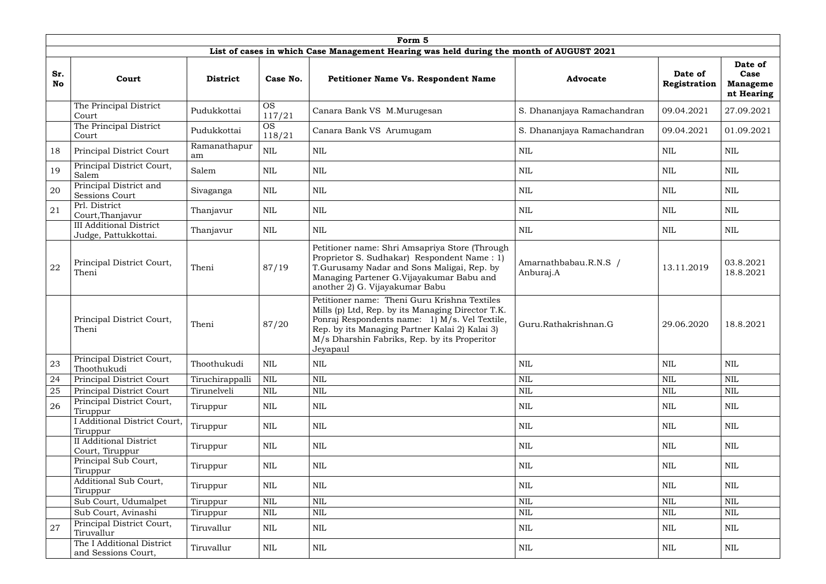|                  |                                                        |                    |                     | Form 5                                                                                                                                                                                                                                                           |                                    |                         |                                                  |
|------------------|--------------------------------------------------------|--------------------|---------------------|------------------------------------------------------------------------------------------------------------------------------------------------------------------------------------------------------------------------------------------------------------------|------------------------------------|-------------------------|--------------------------------------------------|
|                  |                                                        |                    |                     | List of cases in which Case Management Hearing was held during the month of AUGUST 2021                                                                                                                                                                          |                                    |                         |                                                  |
| Sr.<br><b>No</b> | Court                                                  | <b>District</b>    | Case No.            | <b>Petitioner Name Vs. Respondent Name</b>                                                                                                                                                                                                                       | <b>Advocate</b>                    | Date of<br>Registration | Date of<br>Case<br><b>Manageme</b><br>nt Hearing |
|                  | The Principal District<br>Court                        | Pudukkottai        | <b>OS</b><br>117/21 | Canara Bank VS M.Murugesan                                                                                                                                                                                                                                       | S. Dhananjaya Ramachandran         | 09.04.2021              | 27.09.2021                                       |
|                  | The Principal District<br>Court                        | Pudukkottai        | <b>OS</b><br>118/21 | Canara Bank VS Arumugam                                                                                                                                                                                                                                          | S. Dhananjaya Ramachandran         | 09.04.2021              | 01.09.2021                                       |
| 18               | Principal District Court                               | Ramanathapur<br>am | <b>NIL</b>          | NIL                                                                                                                                                                                                                                                              | <b>NIL</b>                         | NIL                     | NIL                                              |
| 19               | Principal District Court,<br>Salem                     | Salem              | NIL                 | NIL                                                                                                                                                                                                                                                              | NIL                                | NIL                     | NIL                                              |
| 20               | Principal District and<br><b>Sessions Court</b>        | Sivaganga          | <b>NIL</b>          | <b>NIL</b>                                                                                                                                                                                                                                                       | <b>NIL</b>                         | <b>NIL</b>              | <b>NIL</b>                                       |
| 21               | Prl. District<br>Court, Thanjavur                      | Thanjavur          | <b>NIL</b>          | <b>NIL</b>                                                                                                                                                                                                                                                       | NIL                                | NIL                     | <b>NIL</b>                                       |
|                  | <b>III Additional District</b><br>Judge, Pattukkottai. | Thanjavur          | NIL                 | NIL                                                                                                                                                                                                                                                              | NIL                                | NIL                     | <b>NIL</b>                                       |
| 22               | Principal District Court,<br>Theni                     | Theni              | 87/19               | Petitioner name: Shri Amsapriya Store (Through<br>Proprietor S. Sudhakar) Respondent Name: 1)<br>T.Gurusamy Nadar and Sons Maligai, Rep. by<br>Managing Partener G.Vijayakumar Babu and<br>another 2) G. Vijayakumar Babu                                        | Amarnathbabau.R.N.S /<br>Anburaj.A | 13.11.2019              | 03.8.2021<br>18.8.2021                           |
|                  | Principal District Court,<br>Theni                     | Theni              | 87/20               | Petitioner name: Theni Guru Krishna Textiles<br>Mills (p) Ltd, Rep. by its Managing Director T.K.<br>Ponraj Respondents name: 1) M/s. Vel Textile,<br>Rep. by its Managing Partner Kalai 2) Kalai 3)<br>M/s Dharshin Fabriks, Rep. by its Properitor<br>Jeyapaul | Guru.Rathakrishnan.G               | 29.06.2020              | 18.8.2021                                        |
| 23               | Principal District Court,<br>Thoothukudi               | Thoothukudi        | <b>NIL</b>          | NIL                                                                                                                                                                                                                                                              | NIL                                | <b>NIL</b>              | <b>NIL</b>                                       |
| 24               | Principal District Court                               | Tiruchirappalli    | <b>NIL</b>          | <b>NIL</b>                                                                                                                                                                                                                                                       | <b>NIL</b>                         | <b>NIL</b>              | <b>NIL</b>                                       |
| 25               | Principal District Court                               | Tirunelveli        | NIL                 | NIL                                                                                                                                                                                                                                                              | <b>NIL</b>                         | <b>NIL</b>              | <b>NIL</b>                                       |
| 26               | Principal District Court,<br>Tiruppur                  | Tiruppur           | <b>NIL</b>          | <b>NIL</b>                                                                                                                                                                                                                                                       | <b>NIL</b>                         | <b>NIL</b>              | <b>NIL</b>                                       |
|                  | I Additional District Court,<br>Tiruppur               | Tiruppur           | <b>NIL</b>          | NIL                                                                                                                                                                                                                                                              | <b>NIL</b>                         | <b>NIL</b>              | <b>NIL</b>                                       |
|                  | <b>II</b> Additional District<br>Court, Tiruppur       | Tiruppur           | <b>NIL</b>          | <b>NIL</b>                                                                                                                                                                                                                                                       | <b>NIL</b>                         | <b>NIL</b>              | <b>NIL</b>                                       |
|                  | Principal Sub Court,<br>Tiruppur                       | Tiruppur           | <b>NIL</b>          | NIL                                                                                                                                                                                                                                                              | NIL                                | <b>NIL</b>              | <b>NIL</b>                                       |
|                  | Additional Sub Court,<br>Tiruppur                      | Tiruppur           | <b>NIL</b>          | <b>NIL</b>                                                                                                                                                                                                                                                       | <b>NIL</b>                         | <b>NIL</b>              | $\mbox{NIL}$                                     |
|                  | Sub Court, Udumalpet                                   | Tiruppur           | <b>NIL</b>          | $\mbox{NIL}$                                                                                                                                                                                                                                                     | $\mbox{NIL}$                       | $\mbox{NIL}$            | $\mbox{NIL}$                                     |
|                  | Sub Court, Avinashi                                    | Tiruppur           | <b>NIL</b>          | $\mbox{NIL}$                                                                                                                                                                                                                                                     | $\mbox{NIL}$                       | <b>NIL</b>              | <b>NIL</b>                                       |
| 27               | Principal District Court,<br>Tiruvallur                | Tiruvallur         | NIL                 | NIL                                                                                                                                                                                                                                                              | NIL                                | <b>NIL</b>              | NIL                                              |
|                  | The I Additional District<br>and Sessions Court,       | Tiruvallur         | <b>NIL</b>          | $\mbox{NIL}$                                                                                                                                                                                                                                                     | NIL                                | $\mbox{NIL}$            | $\mbox{NIL}$                                     |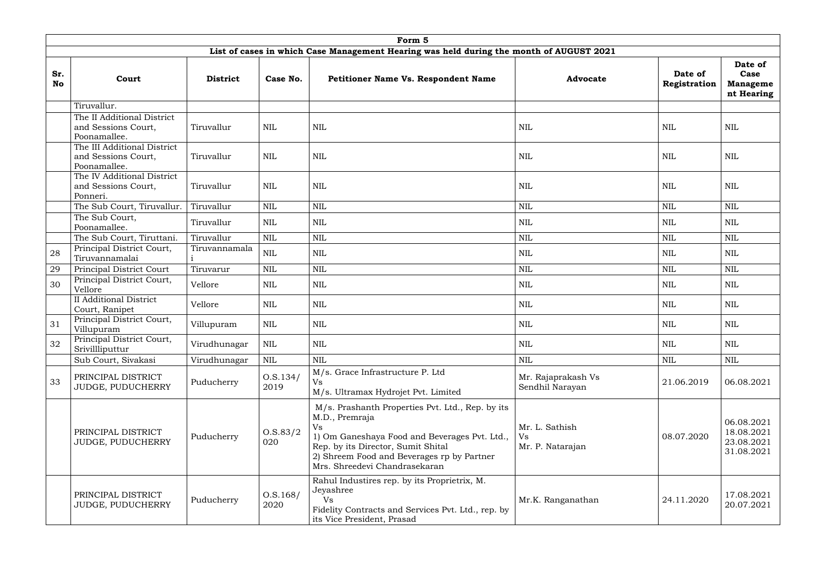|                  |                                                                                         |                 |                    | Form 5                                                                                                                                                                                                                                         |                                          |                         |                                                      |  |  |  |  |  |
|------------------|-----------------------------------------------------------------------------------------|-----------------|--------------------|------------------------------------------------------------------------------------------------------------------------------------------------------------------------------------------------------------------------------------------------|------------------------------------------|-------------------------|------------------------------------------------------|--|--|--|--|--|
|                  | List of cases in which Case Management Hearing was held during the month of AUGUST 2021 |                 |                    |                                                                                                                                                                                                                                                |                                          |                         |                                                      |  |  |  |  |  |
| Sr.<br><b>No</b> | Court                                                                                   | <b>District</b> | Case No.           | <b>Petitioner Name Vs. Respondent Name</b>                                                                                                                                                                                                     | <b>Advocate</b>                          | Date of<br>Registration | Date of<br>Case<br><b>Manageme</b><br>nt Hearing     |  |  |  |  |  |
|                  | Tiruvallur.                                                                             |                 |                    |                                                                                                                                                                                                                                                |                                          |                         |                                                      |  |  |  |  |  |
|                  | The II Additional District<br>and Sessions Court,<br>Poonamallee.                       | Tiruvallur      | NIL                | NIL                                                                                                                                                                                                                                            | NIL                                      | NIL                     | NIL                                                  |  |  |  |  |  |
|                  | The III Additional District<br>and Sessions Court,<br>Poonamallee.                      | Tiruvallur      | <b>NIL</b>         | <b>NIL</b>                                                                                                                                                                                                                                     | <b>NIL</b>                               | <b>NIL</b>              | <b>NIL</b>                                           |  |  |  |  |  |
|                  | The IV Additional District<br>and Sessions Court,<br>Ponneri.                           | Tiruvallur      | NIL                | NIL                                                                                                                                                                                                                                            | NIL                                      | NIL                     | NIL                                                  |  |  |  |  |  |
|                  | The Sub Court, Tiruvallur.                                                              | Tiruvallur      | <b>NIL</b>         | <b>NIL</b>                                                                                                                                                                                                                                     | <b>NIL</b>                               | <b>NIL</b>              | <b>NIL</b>                                           |  |  |  |  |  |
|                  | The Sub Court,<br>Poonamallee.                                                          | Tiruvallur      | NIL                | NIL                                                                                                                                                                                                                                            | NIL                                      | <b>NIL</b>              | NIL                                                  |  |  |  |  |  |
|                  | The Sub Court, Tiruttani.                                                               | Tiruvallur      | $\mbox{NIL}$       | <b>NIL</b>                                                                                                                                                                                                                                     | <b>NIL</b>                               | <b>NIL</b>              | <b>NIL</b>                                           |  |  |  |  |  |
| 28               | Principal District Court,<br>Tiruvannamalai                                             | Tiruvannamala   | <b>NIL</b>         | NIL                                                                                                                                                                                                                                            | <b>NIL</b>                               | <b>NIL</b>              | NIL                                                  |  |  |  |  |  |
| 29               | Principal District Court                                                                | Tiruvarur       | $\mbox{NIL}$       | <b>NIL</b>                                                                                                                                                                                                                                     | <b>NIL</b>                               | <b>NIL</b>              | <b>NIL</b>                                           |  |  |  |  |  |
| 30               | Principal District Court,<br>Vellore                                                    | Vellore         | NIL                | NIL                                                                                                                                                                                                                                            | NIL                                      | NIL                     | NIL                                                  |  |  |  |  |  |
|                  | <b>II Additional District</b><br>Court, Ranipet                                         | Vellore         | NIL                | <b>NIL</b>                                                                                                                                                                                                                                     | <b>NIL</b>                               | <b>NIL</b>              | <b>NIL</b>                                           |  |  |  |  |  |
| 31               | Principal District Court,<br>Villupuram                                                 | Villupuram      | NIL                | NIL                                                                                                                                                                                                                                            | NIL                                      | <b>NIL</b>              | NIL                                                  |  |  |  |  |  |
| 32               | Principal District Court,<br>Srivillliputtur                                            | Virudhunagar    | NIL                | <b>NIL</b>                                                                                                                                                                                                                                     | <b>NIL</b>                               | $\mbox{NIL}$            | $\mbox{NIL}$                                         |  |  |  |  |  |
|                  | Sub Court, Sivakasi                                                                     | Virudhunagar    | NIL                | $\mbox{NIL}$                                                                                                                                                                                                                                   | <b>NIL</b>                               | <b>NIL</b>              | <b>NIL</b>                                           |  |  |  |  |  |
| 33               | PRINCIPAL DISTRICT<br>JUDGE, PUDUCHERRY                                                 | Puducherry      | O.S.134/<br>2019   | M/s. Grace Infrastructure P. Ltd<br>Vs<br>M/s. Ultramax Hydrojet Pvt. Limited                                                                                                                                                                  | Mr. Rajaprakash Vs<br>Sendhil Narayan    | 21.06.2019              | 06.08.2021                                           |  |  |  |  |  |
|                  | PRINCIPAL DISTRICT<br>JUDGE, PUDUCHERRY                                                 | Puducherry      | O.S.83/2<br>020    | M/s. Prashanth Properties Pvt. Ltd., Rep. by its<br>M.D., Premraja<br>Vs<br>1) Om Ganeshaya Food and Beverages Pvt. Ltd.,<br>Rep. by its Director, Sumit Shital<br>2) Shreem Food and Beverages rp by Partner<br>Mrs. Shreedevi Chandrasekaran | Mr. L. Sathish<br>Vs<br>Mr. P. Natarajan | 08.07.2020              | 06.08.2021<br>18.08.2021<br>23.08.2021<br>31.08.2021 |  |  |  |  |  |
|                  | PRINCIPAL DISTRICT<br>JUDGE, PUDUCHERRY                                                 | Puducherry      | 0. S. 168/<br>2020 | Rahul Industires rep. by its Proprietrix, M.<br>Jeyashree<br><b>Vs</b><br>Fidelity Contracts and Services Pvt. Ltd., rep. by<br>its Vice President, Prasad                                                                                     | Mr.K. Ranganathan                        | 24.11.2020              | 17.08.2021<br>20.07.2021                             |  |  |  |  |  |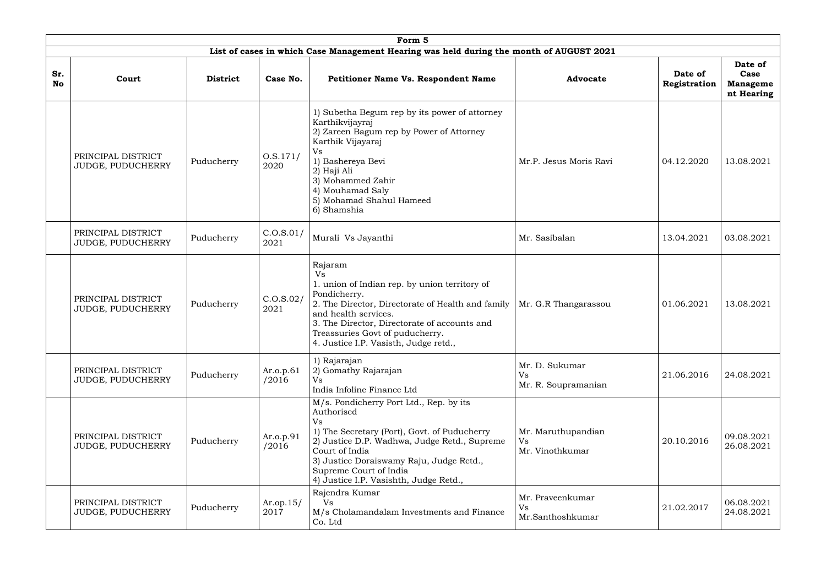|                  | Form 5<br>List of cases in which Case Management Hearing was held during the month of AUGUST 2021 |                                    |                    |                                                                                                                                                                                                                                                                                                      |                                                                  |                                                  |  |  |  |  |  |  |
|------------------|---------------------------------------------------------------------------------------------------|------------------------------------|--------------------|------------------------------------------------------------------------------------------------------------------------------------------------------------------------------------------------------------------------------------------------------------------------------------------------------|------------------------------------------------------------------|--------------------------------------------------|--|--|--|--|--|--|
|                  |                                                                                                   |                                    |                    |                                                                                                                                                                                                                                                                                                      |                                                                  |                                                  |  |  |  |  |  |  |
| Sr.<br><b>No</b> | Court                                                                                             | <b>District</b>                    | Case No.           | <b>Petitioner Name Vs. Respondent Name</b>                                                                                                                                                                                                                                                           | Date of<br><b>Advocate</b><br>Registration                       | Date of<br>Case<br><b>Manageme</b><br>nt Hearing |  |  |  |  |  |  |
|                  | PRINCIPAL DISTRICT<br>JUDGE, PUDUCHERRY                                                           | Puducherry                         | O.S.171/<br>2020   | 1) Subetha Begum rep by its power of attorney<br>Karthikvijayraj<br>2) Zareen Bagum rep by Power of Attorney<br>Karthik Vijayaraj<br><b>Vs</b><br>1) Bashereya Bevi<br>2) Haji Ali<br>3) Mohammed Zahir<br>4) Mouhamad Saly<br>5) Mohamad Shahul Hameed<br>6) Shamshia                               | Mr.P. Jesus Moris Ravi<br>04.12.2020                             | 13.08.2021                                       |  |  |  |  |  |  |
|                  | PRINCIPAL DISTRICT<br>JUDGE, PUDUCHERRY                                                           | C.O.S.01/<br>Puducherry<br>2021    |                    | Murali Vs Jayanthi                                                                                                                                                                                                                                                                                   | Mr. Sasibalan<br>13.04.2021                                      | 03.08.2021                                       |  |  |  |  |  |  |
|                  | PRINCIPAL DISTRICT<br>JUDGE, PUDUCHERRY                                                           | Puducherry                         | C.0. S.02/<br>2021 | Rajaram<br>Vs<br>1. union of Indian rep. by union territory of<br>Pondicherry.<br>2. The Director, Directorate of Health and family<br>and health services.<br>3. The Director, Directorate of accounts and<br>Treassuries Govt of puducherry.<br>4. Justice I.P. Vasisth, Judge retd.,              | Mr. G.R Thangarassou<br>01.06.2021                               | 13.08.2021                                       |  |  |  |  |  |  |
|                  | PRINCIPAL DISTRICT<br>JUDGE, PUDUCHERRY                                                           | Ar.o.p.61<br>Puducherry<br>/2016   |                    | 1) Rajarajan<br>2) Gomathy Rajarajan<br><b>Vs</b><br>India Infoline Finance Ltd                                                                                                                                                                                                                      | Mr. D. Sukumar<br><b>Vs</b><br>21.06.2016<br>Mr. R. Soupramanian | 24.08.2021                                       |  |  |  |  |  |  |
|                  | PRINCIPAL DISTRICT<br>JUDGE, PUDUCHERRY                                                           | Puducherry                         | Ar.o.p.91<br>/2016 | M/s. Pondicherry Port Ltd., Rep. by its<br>Authorised<br><b>Vs</b><br>1) The Secretary (Port), Govt. of Puducherry<br>2) Justice D.P. Wadhwa, Judge Retd., Supreme<br>Court of India<br>3) Justice Doraiswamy Raju, Judge Retd.,<br>Supreme Court of India<br>4) Justice I.P. Vasishth, Judge Retd., | Mr. Maruthupandian<br>20.10.2016<br>Vs<br>Mr. Vinothkumar        | 09.08.2021<br>26.08.2021                         |  |  |  |  |  |  |
|                  | PRINCIPAL DISTRICT<br>JUDGE, PUDUCHERRY                                                           | $Ar.$ op.15/<br>Puducherry<br>2017 |                    | Rajendra Kumar<br>Vs<br>M/s Cholamandalam Investments and Finance<br>Co. Ltd                                                                                                                                                                                                                         | Mr. Praveenkumar<br>Vs<br>21.02.2017<br>Mr.Santhoshkumar         | 06.08.2021<br>24.08.2021                         |  |  |  |  |  |  |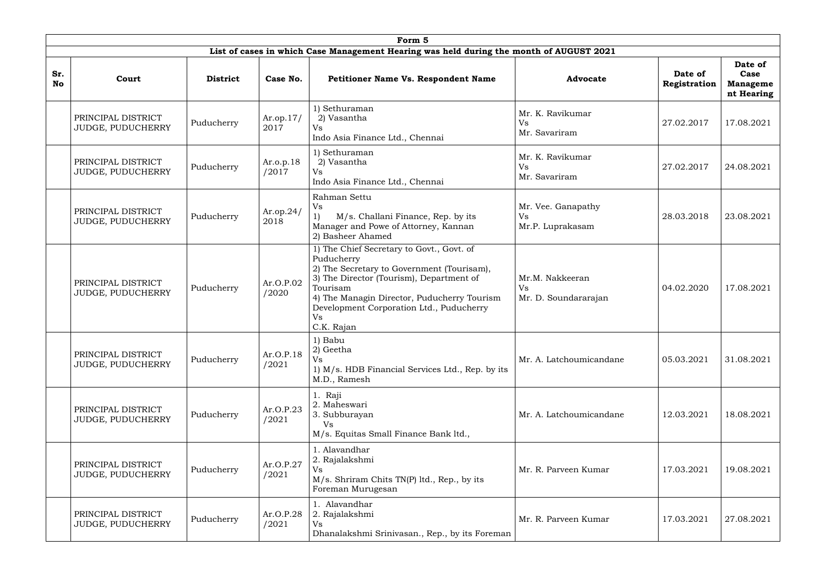|                  | Form 5<br>List of cases in which Case Management Hearing was held during the month of AUGUST 2021 |                                               |                                                                                                                                                                                                                                                                                              |                                                                                                                                                                                                                                                                                     |                                                      |                         |                                                  |  |  |  |  |  |
|------------------|---------------------------------------------------------------------------------------------------|-----------------------------------------------|----------------------------------------------------------------------------------------------------------------------------------------------------------------------------------------------------------------------------------------------------------------------------------------------|-------------------------------------------------------------------------------------------------------------------------------------------------------------------------------------------------------------------------------------------------------------------------------------|------------------------------------------------------|-------------------------|--------------------------------------------------|--|--|--|--|--|
|                  |                                                                                                   |                                               |                                                                                                                                                                                                                                                                                              |                                                                                                                                                                                                                                                                                     |                                                      |                         |                                                  |  |  |  |  |  |
| Sr.<br><b>No</b> | Court                                                                                             | <b>District</b>                               | Case No.                                                                                                                                                                                                                                                                                     | <b>Petitioner Name Vs. Respondent Name</b>                                                                                                                                                                                                                                          | <b>Advocate</b>                                      | Date of<br>Registration | Date of<br>Case<br><b>Manageme</b><br>nt Hearing |  |  |  |  |  |
|                  | PRINCIPAL DISTRICT<br>JUDGE, PUDUCHERRY                                                           | Puducherry                                    | 1) Sethuraman<br>Mr. K. Ravikumar<br>2) Vasantha<br>$Ar.$ op. $17/$<br>Vs<br>2017<br><b>Vs</b><br>Mr. Savariram<br>Indo Asia Finance Ltd., Chennai<br>1) Sethuraman<br>Mr. K. Ravikumar<br>2) Vasantha<br>Ar.o.p.18<br>Vs<br>/2017<br>Vs<br>Mr. Savariram<br>Indo Asia Finance Ltd., Chennai |                                                                                                                                                                                                                                                                                     | 27.02.2017                                           | 17.08.2021              |                                                  |  |  |  |  |  |
|                  | PRINCIPAL DISTRICT<br>JUDGE, PUDUCHERRY                                                           | Puducherry                                    |                                                                                                                                                                                                                                                                                              |                                                                                                                                                                                                                                                                                     |                                                      | 27.02.2017              | 24.08.2021                                       |  |  |  |  |  |
|                  | PRINCIPAL DISTRICT<br>JUDGE, PUDUCHERRY                                                           | Puducherry                                    | Ar.op.24/<br>2018                                                                                                                                                                                                                                                                            | Rahman Settu<br><b>Vs</b><br>M/s. Challani Finance, Rep. by its<br>Manager and Powe of Attorney, Kannan<br>2) Basheer Ahamed                                                                                                                                                        | Mr. Vee. Ganapathy<br><b>Vs</b><br>Mr.P. Luprakasam  | 28.03.2018              | 23.08.2021                                       |  |  |  |  |  |
|                  | PRINCIPAL DISTRICT<br>JUDGE, PUDUCHERRY                                                           | Puducherry                                    | Ar.O.P.02<br>/2020                                                                                                                                                                                                                                                                           | 1) The Chief Secretary to Govt., Govt. of<br>Puducherry<br>2) The Secretary to Government (Tourisam),<br>3) The Director (Tourism), Department of<br>Tourisam<br>4) The Managin Director, Puducherry Tourism<br>Development Corporation Ltd., Puducherry<br><b>Vs</b><br>C.K. Rajan | Mr.M. Nakkeeran<br><b>Vs</b><br>Mr. D. Soundararajan | 04.02.2020              | 17.08.2021                                       |  |  |  |  |  |
|                  | PRINCIPAL DISTRICT<br>JUDGE, PUDUCHERRY                                                           | Puducherry                                    | Ar.O.P.18<br>/2021                                                                                                                                                                                                                                                                           | 1) Babu<br>2) Geetha<br>Vs<br>1) M/s. HDB Financial Services Ltd., Rep. by its<br>M.D., Ramesh                                                                                                                                                                                      | Mr. A. Latchoumicandane                              | 05.03.2021              | 31.08.2021                                       |  |  |  |  |  |
|                  | PRINCIPAL DISTRICT<br>JUDGE, PUDUCHERRY                                                           | Puducherry                                    | Ar.O.P.23<br>/2021                                                                                                                                                                                                                                                                           | 1. Raji<br>2. Maheswari<br>3. Subburayan<br><b>Vs</b><br>M/s. Equitas Small Finance Bank ltd.,                                                                                                                                                                                      | Mr. A. Latchoumicandane                              | 12.03.2021              | 18.08.2021                                       |  |  |  |  |  |
|                  | PRINCIPAL DISTRICT<br>JUDGE, PUDUCHERRY                                                           | Puducherry                                    | Ar.O.P.27<br>/2021                                                                                                                                                                                                                                                                           | 1. Alavandhar<br>2. Rajalakshmi<br>Vs<br>M/s. Shriram Chits TN(P) ltd., Rep., by its<br>Foreman Murugesan                                                                                                                                                                           | Mr. R. Parveen Kumar                                 | 17.03.2021              | 19.08.2021                                       |  |  |  |  |  |
|                  | PRINCIPAL DISTRICT<br>JUDGE, PUDUCHERRY                                                           | Ar.O.P.28<br>Puducherry<br><b>Vs</b><br>/2021 |                                                                                                                                                                                                                                                                                              | 1. Alavandhar<br>2. Rajalakshmi<br>Dhanalakshmi Srinivasan., Rep., by its Foreman                                                                                                                                                                                                   | Mr. R. Parveen Kumar                                 | 17.03.2021              | 27.08.2021                                       |  |  |  |  |  |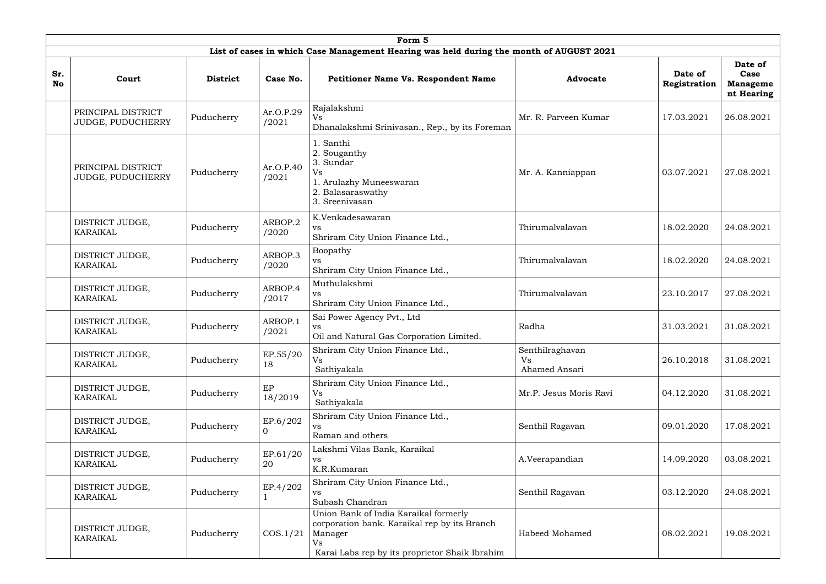|                  | Form 5                                                                                                                                                                                                                                                |                 |                                                     |                                                                                                                                                                 |                                               |                         |                                                  |  |  |  |  |  |
|------------------|-------------------------------------------------------------------------------------------------------------------------------------------------------------------------------------------------------------------------------------------------------|-----------------|-----------------------------------------------------|-----------------------------------------------------------------------------------------------------------------------------------------------------------------|-----------------------------------------------|-------------------------|--------------------------------------------------|--|--|--|--|--|
|                  | List of cases in which Case Management Hearing was held during the month of AUGUST 2021                                                                                                                                                               |                 |                                                     |                                                                                                                                                                 |                                               |                         |                                                  |  |  |  |  |  |
| Sr.<br><b>No</b> | Court                                                                                                                                                                                                                                                 | <b>District</b> | Case No.                                            | <b>Petitioner Name Vs. Respondent Name</b>                                                                                                                      | <b>Advocate</b>                               | Date of<br>Registration | Date of<br>Case<br><b>Manageme</b><br>nt Hearing |  |  |  |  |  |
|                  | PRINCIPAL DISTRICT<br>JUDGE, PUDUCHERRY                                                                                                                                                                                                               | Puducherry      | Ar.O.P.29<br>/2021                                  | Rajalakshmi<br><b>Vs</b><br>Dhanalakshmi Srinivasan., Rep., by its Foreman                                                                                      | Mr. R. Parveen Kumar                          | 17.03.2021              | 26.08.2021                                       |  |  |  |  |  |
|                  | PRINCIPAL DISTRICT<br>Puducherry<br>/2021<br>JUDGE, PUDUCHERRY<br>DISTRICT JUDGE,<br>Puducherry<br>/2020<br><b>KARAIKAL</b><br>DISTRICT JUDGE,<br>Puducherry<br>/2020<br><b>KARAIKAL</b><br>DISTRICT JUDGE,<br>Puducherry<br>/2017<br><b>KARAIKAL</b> |                 | Ar.O.P.40                                           | 1. Santhi<br>2. Souganthy<br>3. Sundar<br>Vs<br>1. Arulazhy Muneeswaran<br>2. Balasaraswathy<br>3. Sreenivasan                                                  | Mr. A. Kanniappan                             | 03.07.2021              | 27.08.2021                                       |  |  |  |  |  |
|                  |                                                                                                                                                                                                                                                       |                 | ARBOP.2                                             | K.Venkadesawaran<br><b>VS</b><br>Shriram City Union Finance Ltd.,                                                                                               | Thirumalvalavan                               | 18.02.2020              | 24.08.2021                                       |  |  |  |  |  |
|                  |                                                                                                                                                                                                                                                       |                 | ARBOP.3                                             | Boopathy<br><b>VS</b><br>Shriram City Union Finance Ltd.,                                                                                                       | Thirumalvalavan                               | 18.02.2020              | 24.08.2021                                       |  |  |  |  |  |
|                  |                                                                                                                                                                                                                                                       |                 | ARBOP.4                                             | Muthulakshmi<br><b>VS</b><br>Shriram City Union Finance Ltd.,                                                                                                   | Thirumalvalavan                               | 23.10.2017              | 27.08.2021                                       |  |  |  |  |  |
|                  | DISTRICT JUDGE,<br><b>KARAIKAL</b>                                                                                                                                                                                                                    | Puducherry      | ARBOP.1<br>/2021                                    | Sai Power Agency Pvt., Ltd<br><b>VS</b><br>Oil and Natural Gas Corporation Limited.                                                                             | Radha                                         | 31.03.2021              | 31.08.2021                                       |  |  |  |  |  |
|                  | DISTRICT JUDGE,<br>KARAIKAL                                                                                                                                                                                                                           | Puducherry      | EP.55/20<br>18                                      | Shriram City Union Finance Ltd.,<br>Vs<br>Sathiyakala                                                                                                           | Senthilraghavan<br><b>Vs</b><br>Ahamed Ansari | 26.10.2018              | 31.08.2021                                       |  |  |  |  |  |
|                  | DISTRICT JUDGE,<br><b>KARAIKAL</b>                                                                                                                                                                                                                    | Puducherry      | EP<br>18/2019                                       | Shriram City Union Finance Ltd.,<br>Vs<br>Sathiyakala                                                                                                           | Mr.P. Jesus Moris Ravi                        | 04.12.2020              | 31.08.2021                                       |  |  |  |  |  |
|                  | DISTRICT JUDGE,<br>KARAIKAL                                                                                                                                                                                                                           | Puducherry      | EP.6/202<br>$\overline{0}$                          | Shriram City Union Finance Ltd.,<br>VS.<br>Raman and others                                                                                                     | Senthil Ragavan                               | 09.01.2020              | 17.08.2021                                       |  |  |  |  |  |
|                  | EP.61/20<br>DISTRICT JUDGE,<br>Puducherry<br>20<br>KARAIKAL                                                                                                                                                                                           |                 | Lakshmi Vilas Bank, Karaikal<br>VS<br>K.R.Kumaran   | A.Veerapandian                                                                                                                                                  | 14.09.2020                                    | 03.08.2021              |                                                  |  |  |  |  |  |
|                  | EP.4/202<br>DISTRICT JUDGE,<br>Puducherry<br>VS<br><b>KARAIKAL</b>                                                                                                                                                                                    |                 | Shriram City Union Finance Ltd.,<br>Subash Chandran | Senthil Ragavan                                                                                                                                                 | 03.12.2020                                    | 24.08.2021              |                                                  |  |  |  |  |  |
|                  | DISTRICT JUDGE,<br>KARAIKAL                                                                                                                                                                                                                           | Puducherry      | COS.1/21                                            | Union Bank of India Karaikal formerly<br>corporation bank. Karaikal rep by its Branch<br>Manager<br><b>Vs</b><br>Karai Labs rep by its proprietor Shaik Ibrahim | Habeed Mohamed                                | 08.02.2021              | 19.08.2021                                       |  |  |  |  |  |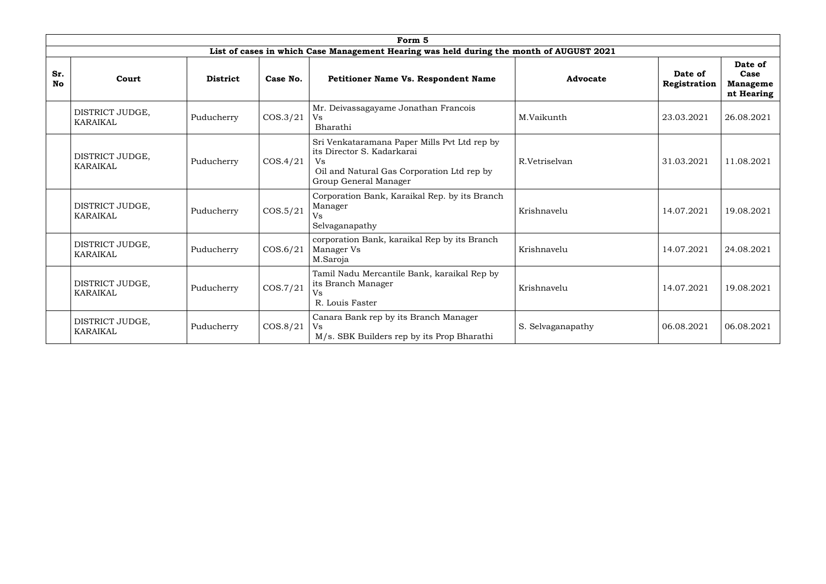|                  |                                    |                 |          | Form 5                                                                                                                                                  |                   |                         |                                                  |
|------------------|------------------------------------|-----------------|----------|---------------------------------------------------------------------------------------------------------------------------------------------------------|-------------------|-------------------------|--------------------------------------------------|
|                  |                                    |                 |          | List of cases in which Case Management Hearing was held during the month of AUGUST 2021                                                                 |                   |                         |                                                  |
| Sr.<br><b>No</b> | Court                              | <b>District</b> | Case No. | <b>Petitioner Name Vs. Respondent Name</b>                                                                                                              | Advocate          | Date of<br>Registration | Date of<br>Case<br><b>Manageme</b><br>nt Hearing |
|                  | DISTRICT JUDGE,<br><b>KARAIKAL</b> | Puducherry      | COS.3/21 | Mr. Deivassagayame Jonathan Francois<br>Vs<br>Bharathi                                                                                                  | M.Vaikunth        | 23.03.2021              | 26.08.2021                                       |
|                  | DISTRICT JUDGE,<br><b>KARAIKAL</b> | Puducherry      | COS.4/21 | Sri Venkataramana Paper Mills Pvt Ltd rep by<br>its Director S. Kadarkarai<br>Vs<br>Oil and Natural Gas Corporation Ltd rep by<br>Group General Manager | R.Vetriselvan     | 31.03.2021              | 11.08.2021                                       |
|                  | DISTRICT JUDGE,<br>KARAIKAL        | Puducherry      | COS.5/21 | Corporation Bank, Karaikal Rep. by its Branch<br>Manager<br>Vs<br>Selvaganapathy                                                                        | Krishnavelu       | 14.07.2021              | 19.08.2021                                       |
|                  | DISTRICT JUDGE,<br><b>KARAIKAL</b> | Puducherry      | COS.6/21 | corporation Bank, karaikal Rep by its Branch<br>Manager Vs<br>M.Saroja                                                                                  | Krishnavelu       | 14.07.2021              | 24.08.2021                                       |
|                  | DISTRICT JUDGE,<br><b>KARAIKAL</b> | Puducherry      | COS.7/21 | Tamil Nadu Mercantile Bank, karaikal Rep by<br>its Branch Manager<br>Vs<br>R. Louis Faster                                                              | Krishnavelu       | 14.07.2021              | 19.08.2021                                       |
|                  | DISTRICT JUDGE,<br><b>KARAIKAL</b> | Puducherry      | COS.8/21 | Canara Bank rep by its Branch Manager<br>Vs<br>M/s. SBK Builders rep by its Prop Bharathi                                                               | S. Selvaganapathy | 06.08.2021              | 06.08.2021                                       |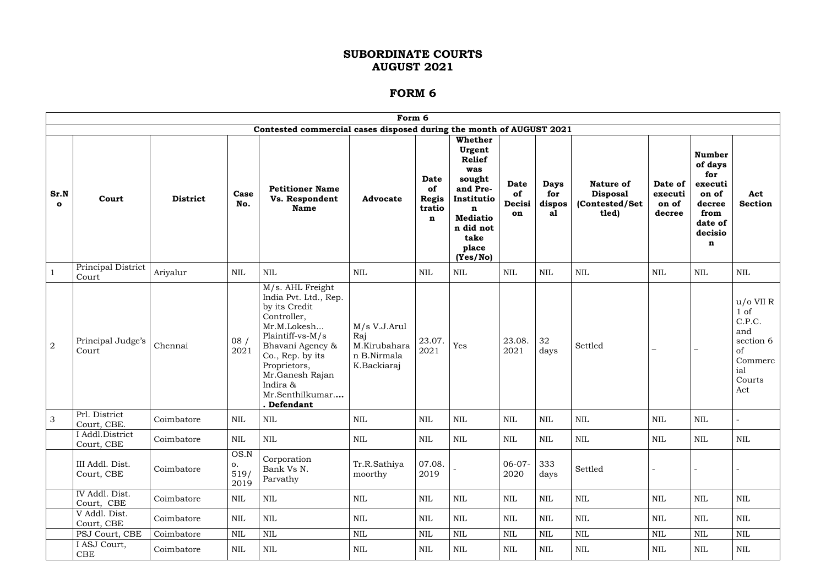|                      | Form 6                                                              |                 |                            |                                                                                                                                                                                                                                       |                                                                   |                                                     |                                                                                                                                                           |                                   |                                    |                                                                 |                                       |                                                                                                  |                                                                                              |
|----------------------|---------------------------------------------------------------------|-----------------|----------------------------|---------------------------------------------------------------------------------------------------------------------------------------------------------------------------------------------------------------------------------------|-------------------------------------------------------------------|-----------------------------------------------------|-----------------------------------------------------------------------------------------------------------------------------------------------------------|-----------------------------------|------------------------------------|-----------------------------------------------------------------|---------------------------------------|--------------------------------------------------------------------------------------------------|----------------------------------------------------------------------------------------------|
|                      | Contested commercial cases disposed during the month of AUGUST 2021 |                 |                            |                                                                                                                                                                                                                                       |                                                                   |                                                     |                                                                                                                                                           |                                   |                                    |                                                                 |                                       |                                                                                                  |                                                                                              |
| Sr.N<br>$\mathbf{o}$ | Court                                                               | <b>District</b> | Case<br>No.                | <b>Petitioner Name</b><br>Vs. Respondent<br><b>Name</b>                                                                                                                                                                               | <b>Advocate</b>                                                   | Date<br>of<br><b>Regis</b><br>tratio<br>$\mathbf n$ | Whether<br>Urgent<br><b>Relief</b><br>was<br>sought<br>and Pre-<br>Institutio<br>$\mathbf n$<br><b>Mediatio</b><br>n did not<br>take<br>place<br>(Yes/No) | <b>Date</b><br>of<br>Decisi<br>on | <b>Days</b><br>for<br>dispos<br>al | <b>Nature of</b><br><b>Disposal</b><br>(Contested/Set)<br>tled) | Date of<br>executi<br>on of<br>decree | <b>Number</b><br>of days<br>for<br>executi<br>on of<br>decree<br>from<br>date of<br>decisio<br>n | Act<br><b>Section</b>                                                                        |
|                      | Principal District<br>Court                                         | Ariyalur        | NIL                        | <b>NIL</b>                                                                                                                                                                                                                            | <b>NIL</b>                                                        | <b>NIL</b>                                          | NIL                                                                                                                                                       | NIL                               | <b>NIL</b>                         | $\mbox{NIL}$                                                    | <b>NIL</b>                            | NIL                                                                                              | NIL                                                                                          |
| $\overline{2}$       | Principal Judge's<br>Court                                          | Chennai         | 08/<br>2021                | M/s. AHL Freight<br>India Pvt. Ltd., Rep.<br>by its Credit<br>Controller,<br>Mr.M.Lokesh<br>Plaintiff-vs-M/s<br>Bhavani Agency &<br>Co., Rep. by its<br>Proprietors,<br>Mr.Ganesh Rajan<br>Indira &<br>Mr.Senthilkumar<br>. Defendant | M/s V.J.Arul<br>Raj<br>M.Kirubahara<br>n B.Nirmala<br>K.Backiaraj | 23.07.<br>2021                                      | Yes                                                                                                                                                       | 23.08.<br>2021                    | 32<br>days                         | Settled                                                         |                                       |                                                                                                  | $u/o$ VII R<br>$1$ of<br>C.P.C.<br>and<br>section 6<br>of<br>Commerc<br>ial<br>Courts<br>Act |
| 3 <sup>1</sup>       | Prl. District<br>Court, CBE.                                        | Coimbatore      | $\mbox{NIL}$               | NIL                                                                                                                                                                                                                                   | $\mbox{NIL}$                                                      | $\mbox{NIL}$                                        | $\mbox{NIL}$                                                                                                                                              | $\mbox{NIL}$                      | $\mbox{NIL}$                       | NIL                                                             | $\mbox{NIL}$                          | $\mbox{NIL}$                                                                                     |                                                                                              |
|                      | I Addl.District<br>Court, CBE                                       | Coimbatore      | <b>NIL</b>                 | NIL                                                                                                                                                                                                                                   | $\mbox{NIL}$                                                      | <b>NIL</b>                                          | $\mbox{NIL}$                                                                                                                                              | <b>NIL</b>                        | <b>NIL</b>                         | <b>NIL</b>                                                      | <b>NIL</b>                            | <b>NIL</b>                                                                                       | <b>NIL</b>                                                                                   |
|                      | III Addl. Dist.<br>Court, CBE                                       | Coimbatore      | OS.N<br>0.<br>519/<br>2019 | Corporation<br>Bank Vs N.<br>Parvathy                                                                                                                                                                                                 | Tr.R.Sathiya<br>moorthy                                           | 07.08.<br>2019                                      |                                                                                                                                                           | $06-07-$<br>2020                  | 333<br>days                        | Settled                                                         |                                       |                                                                                                  |                                                                                              |
|                      | IV Addl. Dist.<br>Court, CBE                                        | Coimbatore      | <b>NIL</b>                 | $\mbox{NIL}$                                                                                                                                                                                                                          | $\mbox{NIL}$                                                      | NIL                                                 | $\mbox{NIL}$                                                                                                                                              | <b>NIL</b>                        | $\mbox{NIL}$                       | $\mbox{NIL}$                                                    | $\mbox{NIL}$                          | <b>NIL</b>                                                                                       | <b>NIL</b>                                                                                   |
|                      | V Addl. Dist.<br>Court, CBE                                         | Coimbatore      | <b>NIL</b>                 | $\mbox{NIL}$                                                                                                                                                                                                                          | $\mbox{NIL}$                                                      | <b>NIL</b>                                          | $\mbox{NIL}$                                                                                                                                              | <b>NIL</b>                        | <b>NIL</b>                         | $\mbox{NIL}$                                                    | <b>NIL</b>                            | <b>NIL</b>                                                                                       | <b>NIL</b>                                                                                   |
|                      | PSJ Court, CBE                                                      | Coimbatore      | <b>NIL</b>                 | $\mbox{NIL}$                                                                                                                                                                                                                          | $\mbox{NIL}$                                                      | NIL                                                 | <b>NIL</b>                                                                                                                                                | NIL                               | $\mbox{NIL}$                       | NIL                                                             | $\mbox{NIL}$                          | <b>NIL</b>                                                                                       | <b>NIL</b>                                                                                   |
|                      | I ASJ Court,<br>CBE                                                 | Coimbatore      | <b>NIL</b>                 | $\mbox{NIL}$                                                                                                                                                                                                                          | NIL                                                               | <b>NIL</b>                                          | $\mbox{NIL}$                                                                                                                                              | NIL                               | <b>NIL</b>                         | $\mbox{NIL}$                                                    | $\mbox{NIL}$                          | <b>NIL</b>                                                                                       | NIL                                                                                          |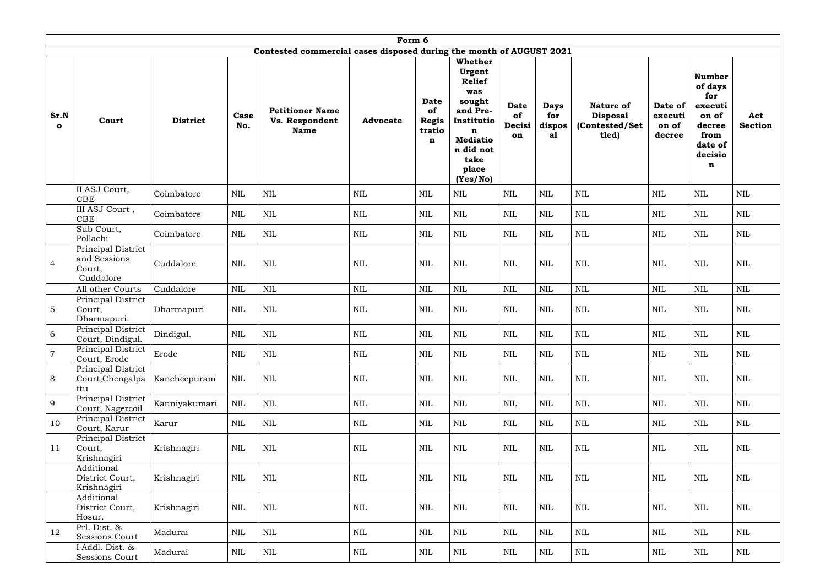|                      | Form 6                                                    |                 |              |                                                                     |                 |                                                     |                                                                                                                                                           |                                   |                                    |                                                                 |                                       |                                                                                                  |                       |
|----------------------|-----------------------------------------------------------|-----------------|--------------|---------------------------------------------------------------------|-----------------|-----------------------------------------------------|-----------------------------------------------------------------------------------------------------------------------------------------------------------|-----------------------------------|------------------------------------|-----------------------------------------------------------------|---------------------------------------|--------------------------------------------------------------------------------------------------|-----------------------|
|                      |                                                           |                 |              | Contested commercial cases disposed during the month of AUGUST 2021 |                 |                                                     |                                                                                                                                                           |                                   |                                    |                                                                 |                                       |                                                                                                  |                       |
| Sr.N<br>$\mathbf{o}$ | Court                                                     | <b>District</b> | Case<br>No.  | <b>Petitioner Name</b><br>Vs. Respondent<br><b>Name</b>             | <b>Advocate</b> | Date<br>of<br><b>Regis</b><br>tratio<br>$\mathbf n$ | Whether<br>Urgent<br><b>Relief</b><br>was<br>sought<br>and Pre-<br>Institutio<br>$\mathbf n$<br><b>Mediatio</b><br>n did not<br>take<br>place<br>(Yes/No) | <b>Date</b><br>of<br>Decisi<br>on | <b>Days</b><br>for<br>dispos<br>al | <b>Nature of</b><br><b>Disposal</b><br>(Contested/Set)<br>tled) | Date of<br>executi<br>on of<br>decree | <b>Number</b><br>of days<br>for<br>executi<br>on of<br>decree<br>from<br>date of<br>decisio<br>n | Act<br><b>Section</b> |
|                      | II ASJ Court,<br><b>CBE</b>                               | Coimbatore      | <b>NIL</b>   | <b>NIL</b>                                                          | $\mbox{NIL}$    | $\text{NIL}$                                        | $\mbox{NIL}$                                                                                                                                              | <b>NIL</b>                        | NIL                                | $\text{NIL}$                                                    | <b>NIL</b>                            | $\text{NIL}$                                                                                     | <b>NIL</b>            |
|                      | III ASJ Court,<br>CBE                                     | Coimbatore      | <b>NIL</b>   | <b>NIL</b>                                                          | <b>NIL</b>      | NIL                                                 | $\text{NIL}$                                                                                                                                              | NIL                               | <b>NIL</b>                         | <b>NIL</b>                                                      | <b>NIL</b>                            | <b>NIL</b>                                                                                       | <b>NIL</b>            |
|                      | Sub Court,<br>Pollachi                                    | Coimbatore      | <b>NIL</b>   | <b>NIL</b>                                                          | <b>NIL</b>      | <b>NIL</b>                                          | $\mbox{NIL}$                                                                                                                                              | <b>NIL</b>                        | <b>NIL</b>                         | $\text{NIL}$                                                    | $\mbox{NIL}$                          | <b>NIL</b>                                                                                       | $\mbox{NIL}$          |
| $\overline{4}$       | Principal District<br>and Sessions<br>Court,<br>Cuddalore | Cuddalore       | <b>NIL</b>   | <b>NIL</b>                                                          | $\mbox{NIL}$    | <b>NIL</b>                                          | <b>NIL</b>                                                                                                                                                | <b>NIL</b>                        | <b>NIL</b>                         | <b>NIL</b>                                                      | <b>NIL</b>                            | <b>NIL</b>                                                                                       | <b>NIL</b>            |
|                      | All other Courts                                          | Cuddalore       | <b>NIL</b>   | <b>NIL</b>                                                          | $\mbox{NIL}$    | <b>NIL</b>                                          | <b>NIL</b>                                                                                                                                                | <b>NIL</b>                        | NIL                                | <b>NIL</b>                                                      | $\mbox{NIL}$                          | <b>NIL</b>                                                                                       | <b>NIL</b>            |
| 5                    | Principal District<br>Court,<br>Dharmapuri.               | Dharmapuri      | <b>NIL</b>   | <b>NIL</b>                                                          | $\mbox{NIL}$    | <b>NIL</b>                                          | $\mbox{NIL}$                                                                                                                                              | NIL                               | $\mbox{NIL}$                       | <b>NIL</b>                                                      | $\mbox{NIL}$                          | <b>NIL</b>                                                                                       | <b>NIL</b>            |
| 6                    | Principal District<br>Court, Dindigul.                    | Dindigul.       | <b>NIL</b>   | <b>NIL</b>                                                          | $\mbox{NIL}$    | <b>NIL</b>                                          | $\text{NIL}$                                                                                                                                              | NIL                               | <b>NIL</b>                         | <b>NIL</b>                                                      | $\mbox{NIL}$                          | <b>NIL</b>                                                                                       | <b>NIL</b>            |
| $\overline{7}$       | Principal District<br>Court, Erode                        | Erode           | <b>NIL</b>   | $\mbox{NIL}$                                                        | <b>NIL</b>      | <b>NIL</b>                                          | <b>NIL</b>                                                                                                                                                | <b>NIL</b>                        | NIL                                | $\mbox{NIL}$                                                    | $\mbox{NIL}$                          | <b>NIL</b>                                                                                       | NIL                   |
| $8\,$                | Principal District<br>Court, Chengalpa<br>ttu             | Kancheepuram    | <b>NIL</b>   | $\mbox{NIL}$                                                        | <b>NIL</b>      | <b>NIL</b>                                          | $\mbox{NIL}$                                                                                                                                              | <b>NIL</b>                        | <b>NIL</b>                         | $\mbox{NIL}$                                                    | $\mbox{NIL}$                          | <b>NIL</b>                                                                                       | <b>NIL</b>            |
| 9                    | <b>Principal District</b><br>Court, Nagercoil             | Kanniyakumari   | <b>NIL</b>   | $\mbox{NIL}$                                                        | $\mbox{NIL}$    | <b>NIL</b>                                          | $\mbox{NIL}$                                                                                                                                              | <b>NIL</b>                        | NIL                                | $\mbox{NIL}$                                                    | $\mbox{NIL}$                          | <b>NIL</b>                                                                                       | NIL                   |
| 10                   | Principal District<br>Court, Karur                        | Karur           | <b>NIL</b>   | $\mbox{NIL}$                                                        | $\mbox{NIL}$    | <b>NIL</b>                                          | $\mbox{NIL}$                                                                                                                                              | <b>NIL</b>                        | <b>NIL</b>                         | $\mbox{NIL}$                                                    | $\text{NIL}$                          | <b>NIL</b>                                                                                       | <b>NIL</b>            |
| 11                   | Principal District<br>Court,<br>Krishnagiri               | Krishnagiri     | $\mbox{NIL}$ | $\mbox{NIL}$                                                        | $\mbox{NIL}$    | $\mbox{NIL}$                                        | $\mbox{NIL}$                                                                                                                                              | <b>NIL</b>                        | <b>NIL</b>                         | $\mbox{NIL}$                                                    | $\mbox{NIL}$                          | <b>NIL</b>                                                                                       | <b>NIL</b>            |
|                      | Additional<br>District Court,<br>Krishnagiri              | Krishnagiri     | <b>NIL</b>   | $\mbox{NIL}$                                                        | <b>NIL</b>      | <b>NIL</b>                                          | $\mbox{NIL}$                                                                                                                                              | <b>NIL</b>                        | <b>NIL</b>                         | $\mbox{NIL}$                                                    | $\mbox{NIL}$                          | <b>NIL</b>                                                                                       | <b>NIL</b>            |
|                      | Additional<br>District Court,<br>Hosur.                   | Krishnagiri     | $\mbox{NIL}$ | $\mbox{NIL}$                                                        | $\mbox{NIL}$    | $\mbox{NIL}$                                        | $\mbox{NIL}$                                                                                                                                              | <b>NIL</b>                        | $\mbox{NIL}$                       | $\mbox{NIL}$                                                    | $\mbox{NIL}$                          | <b>NIL</b>                                                                                       | NIL                   |
| 12                   | Prl. Dist. &<br>Sessions Court                            | Madurai         | $\mbox{NIL}$ | $\mbox{NIL}$                                                        | $\mbox{NIL}$    | <b>NIL</b>                                          | $\mbox{NIL}$                                                                                                                                              | $\mbox{NIL}$                      | $\mbox{NIL}$                       | $\mbox{NIL}$                                                    | $\text{NIL}$                          | $\text{NIL}$                                                                                     | <b>NIL</b>            |
|                      | I Addl. Dist. &<br>Sessions Court                         | Madurai         | <b>NIL</b>   | $\mbox{NIL}$                                                        | $\mbox{NIL}$    | NIL                                                 | $\mbox{NIL}$                                                                                                                                              | NIL                               | <b>NIL</b>                         | $\mbox{NIL}$                                                    | $\mbox{NIL}$                          | NIL                                                                                              | <b>NIL</b>            |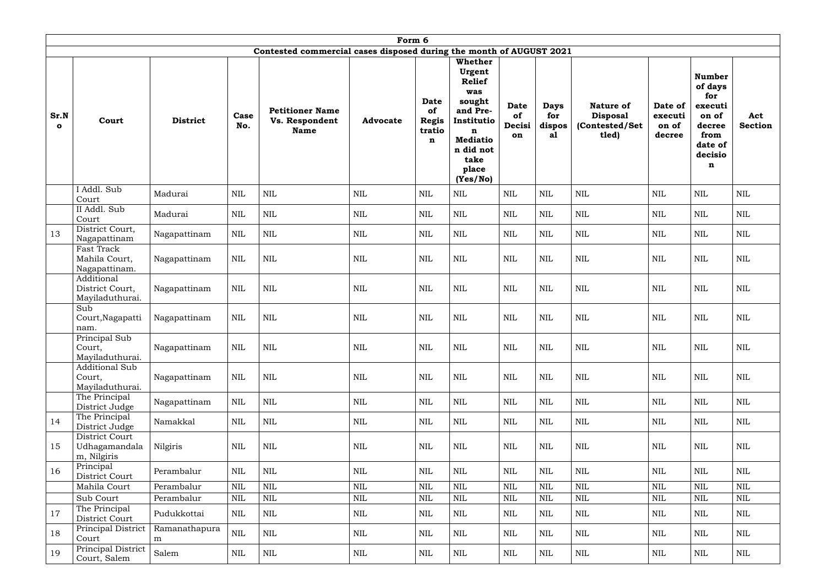|                      | Form 6                                             |                    |              |                                                                     |                 |                                                     |                                                                                                                                                 |                                   |                                    |                                                          |                                       |                                                                                                  |                       |
|----------------------|----------------------------------------------------|--------------------|--------------|---------------------------------------------------------------------|-----------------|-----------------------------------------------------|-------------------------------------------------------------------------------------------------------------------------------------------------|-----------------------------------|------------------------------------|----------------------------------------------------------|---------------------------------------|--------------------------------------------------------------------------------------------------|-----------------------|
|                      |                                                    |                    |              | Contested commercial cases disposed during the month of AUGUST 2021 |                 |                                                     |                                                                                                                                                 |                                   |                                    |                                                          |                                       |                                                                                                  |                       |
| Sr.N<br>$\mathbf{o}$ | Court                                              | <b>District</b>    | Case<br>No.  | <b>Petitioner Name</b><br><b>Vs. Respondent</b><br><b>Name</b>      | <b>Advocate</b> | Date<br>of<br><b>Regis</b><br>tratio<br>$\mathbf n$ | Whether<br>Urgent<br><b>Relief</b><br>was<br>sought<br>and Pre-<br>Institutio<br>n<br><b>Mediatio</b><br>n did not<br>take<br>place<br>(Yes/No) | <b>Date</b><br>of<br>Decisi<br>on | <b>Days</b><br>for<br>dispos<br>al | Nature of<br><b>Disposal</b><br>(Contested/Set)<br>tled) | Date of<br>executi<br>on of<br>decree | <b>Number</b><br>of days<br>for<br>executi<br>on of<br>decree<br>from<br>date of<br>decisio<br>n | Act<br><b>Section</b> |
|                      | I Addl. Sub<br>Court                               | Madurai            | <b>NIL</b>   | <b>NIL</b>                                                          | $\mbox{NIL}$    | <b>NIL</b>                                          | $\mbox{NIL}$                                                                                                                                    | <b>NIL</b>                        | NIL                                | $\text{NIL}$                                             | <b>NIL</b>                            | <b>NIL</b>                                                                                       | <b>NIL</b>            |
|                      | II Addl. Sub<br>Court                              | Madurai            | <b>NIL</b>   | $\mbox{NIL}$                                                        | <b>NIL</b>      | <b>NIL</b>                                          | <b>NIL</b>                                                                                                                                      | NIL                               | <b>NIL</b>                         | <b>NIL</b>                                               | <b>NIL</b>                            | NIL                                                                                              | <b>NIL</b>            |
| 13                   | District Court,<br>Nagapattinam                    | Nagapattinam       | <b>NIL</b>   | <b>NIL</b>                                                          | <b>NIL</b>      | <b>NIL</b>                                          | <b>NIL</b>                                                                                                                                      | <b>NIL</b>                        | <b>NIL</b>                         | <b>NIL</b>                                               | <b>NIL</b>                            | <b>NIL</b>                                                                                       | $\mbox{NIL}$          |
|                      | Fast Track<br>Mahila Court,<br>Nagapattinam.       | Nagapattinam       | <b>NIL</b>   | <b>NIL</b>                                                          | <b>NIL</b>      | <b>NIL</b>                                          | <b>NIL</b>                                                                                                                                      | <b>NIL</b>                        | NIL                                | <b>NIL</b>                                               | <b>NIL</b>                            | <b>NIL</b>                                                                                       | <b>NIL</b>            |
|                      | Additional<br>District Court,<br>Mayiladuthurai.   | Nagapattinam       | NIL          | <b>NIL</b>                                                          | $\mbox{NIL}$    | <b>NIL</b>                                          | $\text{NIL}$                                                                                                                                    | NIL                               | <b>NIL</b>                         | $\mbox{NIL}$                                             | NIL                                   | <b>NIL</b>                                                                                       | NIL                   |
|                      | Sub<br>Court, Nagapatti<br>nam.                    | Nagapattinam       | NIL          | <b>NIL</b>                                                          | $\text{NIL}$    | <b>NIL</b>                                          | $\text{NIL}$                                                                                                                                    | NIL                               | <b>NIL</b>                         | $\mbox{NIL}$                                             | NIL                                   | <b>NIL</b>                                                                                       | <b>NIL</b>            |
|                      | Principal Sub<br>Court,<br>Mayiladuthurai.         | Nagapattinam       | <b>NIL</b>   | <b>NIL</b>                                                          | <b>NIL</b>      | NIL                                                 | <b>NIL</b>                                                                                                                                      | NIL                               | $\mbox{NIL}$                       | NIL                                                      | NIL                                   | <b>NIL</b>                                                                                       | NIL                   |
|                      | <b>Additional Sub</b><br>Court,<br>Mayiladuthurai. | Nagapattinam       | $\mbox{NIL}$ | $\mbox{NIL}$                                                        | $\mbox{NIL}$    | $\mbox{NIL}$                                        | $\mbox{NIL}$                                                                                                                                    | <b>NIL</b>                        | $\mbox{NIL}$                       | $\mbox{NIL}$                                             | $\mbox{NIL}$                          | <b>NIL</b>                                                                                       | <b>NIL</b>            |
|                      | The Principal<br>District Judge                    | Nagapattinam       | <b>NIL</b>   | $\mbox{NIL}$                                                        | $\mbox{NIL}$    | <b>NIL</b>                                          | $\mbox{NIL}$                                                                                                                                    | <b>NIL</b>                        | $\mbox{NIL}$                       | $\mbox{NIL}$                                             | <b>NIL</b>                            | <b>NIL</b>                                                                                       | <b>NIL</b>            |
| 14                   | The Principal<br>District Judge                    | Namakkal           | <b>NIL</b>   | $\mbox{NIL}$                                                        | <b>NIL</b>      | NIL                                                 | <b>NIL</b>                                                                                                                                      | NIL                               | <b>NIL</b>                         | $\mbox{NIL}$                                             | NIL                                   | NIL                                                                                              | NIL                   |
| 15                   | District Court<br>Udhagamandala<br>m, Nilgiris     | Nilgiris           | <b>NIL</b>   | $\mbox{NIL}$                                                        | $\mbox{NIL}$    | NIL                                                 | <b>NIL</b>                                                                                                                                      | <b>NIL</b>                        | <b>NIL</b>                         | $\mbox{NIL}$                                             | <b>NIL</b>                            | <b>NIL</b>                                                                                       | <b>NIL</b>            |
| 16                   | Principal<br>District Court                        | Perambalur         | <b>NIL</b>   | $\mbox{NIL}$                                                        | $\mbox{NIL}$    | NIL                                                 | $\mbox{NIL}$                                                                                                                                    | NIL                               | $\mbox{NIL}$                       | $\mbox{NIL}$                                             | NIL                                   | NIL                                                                                              | NIL                   |
|                      | Mahila Court                                       | Perambalur         | <b>NIL</b>   | $\mbox{NIL}$                                                        | $\mbox{NIL}$    | <b>NIL</b>                                          | $\mbox{NIL}$                                                                                                                                    | <b>NIL</b>                        | $\mbox{NIL}$                       | <b>NIL</b>                                               | $\text{NIL}$                          | $\text{NIL}$                                                                                     | <b>NIL</b>            |
|                      | Sub Court                                          | Perambalur         | <b>NIL</b>   | <b>NIL</b>                                                          | $\mbox{NIL}$    | $\mbox{NIL}$                                        | $\mbox{NIL}$                                                                                                                                    | NIL                               | $\mbox{NIL}$                       | $\mbox{NIL}$                                             | $\mbox{NIL}$                          | <b>NIL</b>                                                                                       | <b>NIL</b>            |
| 17                   | The Principal<br>District Court                    | Pudukkottai        | <b>NIL</b>   | $\mbox{NIL}$                                                        | <b>NIL</b>      | NIL                                                 | <b>NIL</b>                                                                                                                                      | NIL                               | <b>NIL</b>                         | NIL                                                      | NIL                                   | NIL                                                                                              | NIL                   |
| 18                   | Principal District<br>Court                        | Ramanathapura<br>m | $\mbox{NIL}$ | $\mbox{NIL}$                                                        | NIL             | NIL                                                 | $\mbox{NIL}$                                                                                                                                    | NIL                               | NIL                                | $\mbox{NIL}$                                             | NIL                                   | NIL                                                                                              | <b>NIL</b>            |
| 19                   | Principal District<br>Court, Salem                 | Salem              | <b>NIL</b>   | $\mbox{NIL}$                                                        | $\mbox{NIL}$    | $\mbox{NIL}$                                        | $\mbox{NIL}$                                                                                                                                    | NIL                               | <b>NIL</b>                         | $\mbox{NIL}$                                             | $\mbox{NIL}$                          | <b>NIL</b>                                                                                       | NIL                   |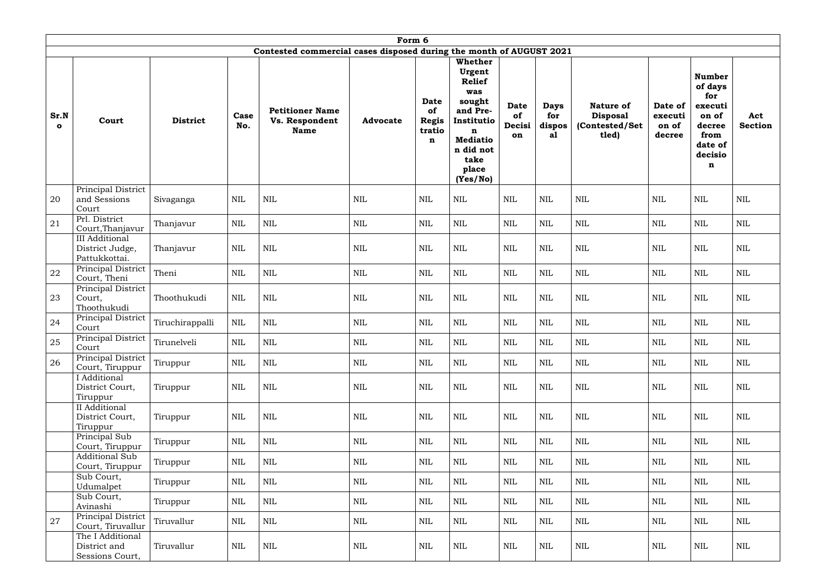|                      | Form 6                                                    |                 |              |                                                                     |                 |                                           |                                                                                                                                                        |                                   |                                    |                                                                |                                       |                                                                                                            |                       |
|----------------------|-----------------------------------------------------------|-----------------|--------------|---------------------------------------------------------------------|-----------------|-------------------------------------------|--------------------------------------------------------------------------------------------------------------------------------------------------------|-----------------------------------|------------------------------------|----------------------------------------------------------------|---------------------------------------|------------------------------------------------------------------------------------------------------------|-----------------------|
|                      |                                                           |                 |              | Contested commercial cases disposed during the month of AUGUST 2021 |                 |                                           |                                                                                                                                                        |                                   |                                    |                                                                |                                       |                                                                                                            |                       |
| Sr.N<br>$\mathbf{o}$ | Court                                                     | <b>District</b> | Case<br>No.  | <b>Petitioner Name</b><br><b>Vs. Respondent</b><br><b>Name</b>      | <b>Advocate</b> | Date<br>of<br><b>Regis</b><br>tratio<br>n | <b>Whether</b><br>Urgent<br><b>Relief</b><br>was<br>sought<br>and Pre-<br>Institutio<br>n<br><b>Mediatio</b><br>n did not<br>take<br>place<br>(Yes/No) | <b>Date</b><br>of<br>Decisi<br>on | <b>Days</b><br>for<br>dispos<br>al | <b>Nature of</b><br><b>Disposal</b><br>(Contested/Set<br>tled) | Date of<br>executi<br>on of<br>decree | <b>Number</b><br>of days<br>for<br>executi<br>on of<br>decree<br>from<br>date of<br>decisio<br>$\mathbf n$ | Act<br><b>Section</b> |
| 20                   | Principal District<br>and Sessions<br>Court               | Sivaganga       | <b>NIL</b>   | $\mbox{NIL}$                                                        | NIL             | <b>NIL</b>                                | <b>NIL</b>                                                                                                                                             | <b>NIL</b>                        | <b>NIL</b>                         | <b>NIL</b>                                                     | <b>NIL</b>                            | NIL                                                                                                        | <b>NIL</b>            |
| 21                   | Prl. District<br>Court, Thanjavur                         | Thanjavur       | <b>NIL</b>   | <b>NIL</b>                                                          | $\mbox{NIL}$    | <b>NIL</b>                                | $\mbox{NIL}$                                                                                                                                           | <b>NIL</b>                        | <b>NIL</b>                         | <b>NIL</b>                                                     | <b>NIL</b>                            | <b>NIL</b>                                                                                                 | <b>NIL</b>            |
|                      | <b>III</b> Additional<br>District Judge,<br>Pattukkottai. | Thanjavur       | <b>NIL</b>   | NIL                                                                 | <b>NIL</b>      | <b>NIL</b>                                | <b>NIL</b>                                                                                                                                             | <b>NIL</b>                        | <b>NIL</b>                         | $\mbox{NIL}$                                                   | <b>NIL</b>                            | <b>NIL</b>                                                                                                 | <b>NIL</b>            |
| 22                   | Principal District<br>Court, Theni                        | Theni           | <b>NIL</b>   | <b>NIL</b>                                                          | <b>NIL</b>      | <b>NIL</b>                                | $\mbox{NIL}$                                                                                                                                           | <b>NIL</b>                        | <b>NIL</b>                         | <b>NIL</b>                                                     | <b>NIL</b>                            | <b>NIL</b>                                                                                                 | <b>NIL</b>            |
| 23                   | Principal District<br>Court,<br>Thoothukudi               | Thoothukudi     | <b>NIL</b>   | <b>NIL</b>                                                          | $\text{NIL}$    | <b>NIL</b>                                | <b>NIL</b>                                                                                                                                             | <b>NIL</b>                        | $\mbox{NIL}$                       | $\mbox{NIL}$                                                   | <b>NIL</b>                            | <b>NIL</b>                                                                                                 | <b>NIL</b>            |
| 24                   | Principal District<br>Court                               | Tiruchirappalli | <b>NIL</b>   | <b>NIL</b>                                                          | $\text{NIL}$    | <b>NIL</b>                                | <b>NIL</b>                                                                                                                                             | <b>NIL</b>                        | <b>NIL</b>                         | $\mbox{NIL}$                                                   | <b>NIL</b>                            | <b>NIL</b>                                                                                                 | <b>NIL</b>            |
| 25                   | Principal District<br>Court                               | Tirunelveli     | $\mbox{NIL}$ | $\mbox{NIL}$                                                        | $\mbox{NIL}$    | <b>NIL</b>                                | <b>NIL</b>                                                                                                                                             | NIL                               | <b>NIL</b>                         | <b>NIL</b>                                                     | <b>NIL</b>                            | $\mbox{NIL}$                                                                                               | <b>NIL</b>            |
| 26                   | Principal District<br>Court, Tiruppur                     | Tiruppur        | <b>NIL</b>   | $\mbox{NIL}$                                                        | $\mbox{NIL}$    | NIL                                       | $\mbox{NIL}$                                                                                                                                           | NIL                               | <b>NIL</b>                         | <b>NIL</b>                                                     | $\mbox{NIL}$                          | NIL                                                                                                        | <b>NIL</b>            |
|                      | I Additional<br>District Court,<br>Tiruppur               | Tiruppur        | <b>NIL</b>   | <b>NIL</b>                                                          | <b>NIL</b>      | <b>NIL</b>                                | $\mbox{NIL}$                                                                                                                                           | NIL                               | NIL                                | <b>NIL</b>                                                     | <b>NIL</b>                            | <b>NIL</b>                                                                                                 | <b>NIL</b>            |
|                      | II Additional<br>District Court,<br>Tiruppur              | Tiruppur        | <b>NIL</b>   | $\mbox{NIL}$                                                        | $\mbox{NIL}$    | $\mbox{NIL}$                              | $\mbox{NIL}$                                                                                                                                           | NIL                               | <b>NIL</b>                         | $\mbox{NIL}$                                                   | $\mbox{NIL}$                          | <b>NIL</b>                                                                                                 | NIL                   |
|                      | Principal Sub<br>Court, Tiruppur                          | Tiruppur        | <b>NIL</b>   | $\mbox{NIL}$                                                        | $\mbox{NIL}$    | <b>NIL</b>                                | $\mbox{NIL}$                                                                                                                                           | NIL                               | $\mbox{NIL}$                       | $\mbox{NIL}$                                                   | $\text{NIL}$                          | <b>NIL</b>                                                                                                 | NIL                   |
|                      | <b>Additional Sub</b><br>Court, Tiruppur                  | Tiruppur        | <b>NIL</b>   | $\mbox{NIL}$                                                        | <b>NIL</b>      | NIL                                       | <b>NIL</b>                                                                                                                                             | NIL                               | NIL                                | <b>NIL</b>                                                     | <b>NIL</b>                            | NIL                                                                                                        | <b>NIL</b>            |
|                      | Sub Court,<br>Udumalpet                                   | Tiruppur        | <b>NIL</b>   | <b>NIL</b>                                                          | <b>NIL</b>      | NIL                                       | $\mbox{NIL}$                                                                                                                                           | <b>NIL</b>                        | <b>NIL</b>                         | NIL                                                            | <b>NIL</b>                            | <b>NIL</b>                                                                                                 | NIL                   |
|                      | Sub Court,<br>Avinashi                                    | Tiruppur        | <b>NIL</b>   | NIL                                                                 | <b>NIL</b>      | NIL                                       | <b>NIL</b>                                                                                                                                             | NIL                               | <b>NIL</b>                         | <b>NIL</b>                                                     | NIL                                   | <b>NIL</b>                                                                                                 | <b>NIL</b>            |
| 27                   | Principal District<br>Court, Tiruvallur                   | Tiruvallur      | NIL          | <b>NIL</b>                                                          | NIL             | NIL                                       | NIL                                                                                                                                                    | NIL                               | NIL                                | <b>NIL</b>                                                     | NIL                                   | NIL                                                                                                        | <b>NIL</b>            |
|                      | The I Additional<br>District and<br>Sessions Court,       | Tiruvallur      | <b>NIL</b>   | $\mbox{NIL}$                                                        | $\mbox{NIL}$    | <b>NIL</b>                                | $\mbox{NIL}$                                                                                                                                           | NIL                               | <b>NIL</b>                         | $\mbox{NIL}$                                                   | $\mbox{NIL}$                          | <b>NIL</b>                                                                                                 | NIL                   |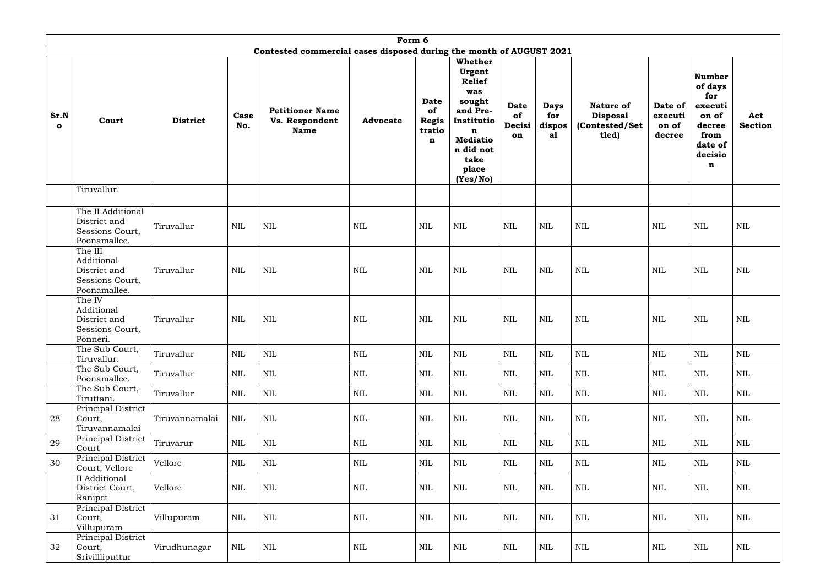|                      | Form 6                                                                   |                 |              |                                                                     |                 |                                                     |                                                                                                                                                 |                                   |                                    |                                                                |                                       |                                                                                                  |                |
|----------------------|--------------------------------------------------------------------------|-----------------|--------------|---------------------------------------------------------------------|-----------------|-----------------------------------------------------|-------------------------------------------------------------------------------------------------------------------------------------------------|-----------------------------------|------------------------------------|----------------------------------------------------------------|---------------------------------------|--------------------------------------------------------------------------------------------------|----------------|
|                      |                                                                          |                 |              | Contested commercial cases disposed during the month of AUGUST 2021 |                 |                                                     |                                                                                                                                                 |                                   |                                    |                                                                |                                       |                                                                                                  |                |
| Sr.N<br>$\mathbf{o}$ | Court                                                                    | <b>District</b> | Case<br>No.  | <b>Petitioner Name</b><br>Vs. Respondent<br><b>Name</b>             | <b>Advocate</b> | Date<br>of<br><b>Regis</b><br>tratio<br>$\mathbf n$ | Whether<br>Urgent<br><b>Relief</b><br>was<br>sought<br>and Pre-<br>Institutio<br>n<br><b>Mediatio</b><br>n did not<br>take<br>place<br>(Yes/No) | <b>Date</b><br>of<br>Decisi<br>on | <b>Days</b><br>for<br>dispos<br>al | <b>Nature of</b><br><b>Disposal</b><br>(Contested/Set<br>tled) | Date of<br>executi<br>on of<br>decree | <b>Number</b><br>of days<br>for<br>executi<br>on of<br>decree<br>from<br>date of<br>decisio<br>n | Act<br>Section |
|                      | Tiruvallur.                                                              |                 |              |                                                                     |                 |                                                     |                                                                                                                                                 |                                   |                                    |                                                                |                                       |                                                                                                  |                |
|                      | The II Additional<br>District and<br>Sessions Court,<br>Poonamallee.     | Tiruvallur      | <b>NIL</b>   | <b>NIL</b>                                                          | <b>NIL</b>      | <b>NIL</b>                                          | <b>NIL</b>                                                                                                                                      | <b>NIL</b>                        | <b>NIL</b>                         | <b>NIL</b>                                                     | <b>NIL</b>                            | <b>NIL</b>                                                                                       | <b>NIL</b>     |
|                      | The III<br>Additional<br>District and<br>Sessions Court,<br>Poonamallee. | Tiruvallur      | <b>NIL</b>   | <b>NIL</b>                                                          | <b>NIL</b>      | NIL                                                 | <b>NIL</b>                                                                                                                                      | <b>NIL</b>                        | <b>NIL</b>                         | <b>NIL</b>                                                     | <b>NIL</b>                            | <b>NIL</b>                                                                                       | <b>NIL</b>     |
|                      | The IV<br>Additional<br>District and<br>Sessions Court,<br>Ponneri.      | Tiruvallur      | <b>NIL</b>   | <b>NIL</b>                                                          | <b>NIL</b>      | <b>NIL</b>                                          | <b>NIL</b>                                                                                                                                      | <b>NIL</b>                        | NIL                                | <b>NIL</b>                                                     | <b>NIL</b>                            | <b>NIL</b>                                                                                       | <b>NIL</b>     |
|                      | The Sub Court,<br>Tiruvallur.                                            | Tiruvallur      | <b>NIL</b>   | $\mbox{NIL}$                                                        | $\mbox{NIL}$    | <b>NIL</b>                                          | $\mbox{NIL}$                                                                                                                                    | <b>NIL</b>                        | <b>NIL</b>                         | NIL                                                            | $\text{NIL}$                          | <b>NIL</b>                                                                                       | <b>NIL</b>     |
|                      | The Sub Court,<br>Poonamallee.                                           | Tiruvallur      | $\mbox{NIL}$ | $\mbox{NIL}$                                                        | $\mbox{NIL}$    | NIL                                                 | $\mbox{NIL}$                                                                                                                                    | NIL                               | $\mbox{NIL}$                       | $\mbox{NIL}$                                                   | $\mbox{NIL}$                          | <b>NIL</b>                                                                                       | NIL            |
|                      | The Sub Court,<br>Tiruttani.                                             | Tiruvallur      | <b>NIL</b>   | NIL                                                                 | $\mbox{NIL}$    | <b>NIL</b>                                          | $\mbox{NIL}$                                                                                                                                    | <b>NIL</b>                        | <b>NIL</b>                         | $\mbox{NIL}$                                                   | <b>NIL</b>                            | NIL                                                                                              | <b>NIL</b>     |
| 28                   | Principal District<br>Court,<br>Tiruvannamalai                           | Tiruvannamalai  | $\mbox{NIL}$ | $\mbox{NIL}$                                                        | $\mbox{NIL}$    | $\mbox{NIL}$                                        | $\mbox{NIL}$                                                                                                                                    | <b>NIL</b>                        | <b>NIL</b>                         | NIL                                                            | <b>NIL</b>                            | NIL                                                                                              | NIL            |
| 29                   | Principal District<br>Court                                              | Tiruvarur       | <b>NIL</b>   | $\mbox{NIL}$                                                        | $\mbox{NIL}$    | <b>NIL</b>                                          | $\mbox{NIL}$                                                                                                                                    | <b>NIL</b>                        | <b>NIL</b>                         | NIL                                                            | <b>NIL</b>                            | <b>NIL</b>                                                                                       | <b>NIL</b>     |
| 30                   | Principal District<br>Court, Vellore                                     | Vellore         | <b>NIL</b>   | $\mbox{NIL}$                                                        | $\mbox{NIL}$    | <b>NIL</b>                                          | $\mbox{NIL}$                                                                                                                                    | NIL                               | <b>NIL</b>                         | $\mbox{NIL}$                                                   | NIL                                   | NIL                                                                                              | NIL            |
|                      | II Additional<br>District Court,<br>Ranipet                              | Vellore         | <b>NIL</b>   | $\mbox{NIL}$                                                        | $\mbox{NIL}$    | <b>NIL</b>                                          | $\mbox{NIL}$                                                                                                                                    | <b>NIL</b>                        | <b>NIL</b>                         | $\mbox{NIL}$                                                   | $\mbox{NIL}$                          | <b>NIL</b>                                                                                       | <b>NIL</b>     |
| 31                   | Principal District<br>Court,<br>Villupuram                               | Villupuram      | <b>NIL</b>   | $\mbox{NIL}$                                                        | $\mbox{NIL}$    | NIL                                                 | $\mbox{NIL}$                                                                                                                                    | <b>NIL</b>                        | <b>NIL</b>                         | $\mbox{NIL}$                                                   | $\mbox{NIL}$                          | <b>NIL</b>                                                                                       | NIL            |
| 32                   | Principal District<br>Court,<br>Srivillliputtur                          | Virudhunagar    | <b>NIL</b>   | $\mbox{NIL}$                                                        | $\mbox{NIL}$    | <b>NIL</b>                                          | $\mbox{NIL}$                                                                                                                                    | NIL                               | <b>NIL</b>                         | $\mbox{NIL}$                                                   | $\mbox{NIL}$                          | <b>NIL</b>                                                                                       | NIL            |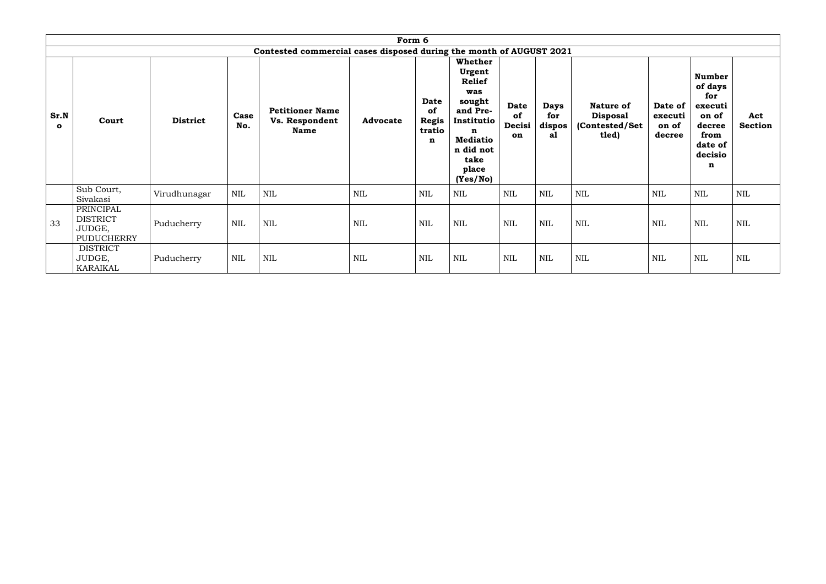|                      | Form 6                                                      |                 |             |                                                                     |                 |                                                     |                                                                                                                                                 |                                   |                                    |                                                         |                                       |                                                                                                  |                       |
|----------------------|-------------------------------------------------------------|-----------------|-------------|---------------------------------------------------------------------|-----------------|-----------------------------------------------------|-------------------------------------------------------------------------------------------------------------------------------------------------|-----------------------------------|------------------------------------|---------------------------------------------------------|---------------------------------------|--------------------------------------------------------------------------------------------------|-----------------------|
|                      |                                                             |                 |             | Contested commercial cases disposed during the month of AUGUST 2021 |                 |                                                     |                                                                                                                                                 |                                   |                                    |                                                         |                                       |                                                                                                  |                       |
| Sr.N<br>$\mathbf{o}$ | Court                                                       | <b>District</b> | Case<br>No. | <b>Petitioner Name</b><br>Vs. Respondent<br><b>Name</b>             | <b>Advocate</b> | Date<br>of<br><b>Regis</b><br>tratio<br>$\mathbf n$ | Whether<br>Urgent<br><b>Relief</b><br>was<br>sought<br>and Pre-<br>Institutio<br>n<br><b>Mediatio</b><br>n did not<br>take<br>place<br>(Yes/No) | <b>Date</b><br>of<br>Decisi<br>on | <b>Days</b><br>for<br>dispos<br>al | Nature of<br><b>Disposal</b><br>(Contested/Set<br>tled) | Date of<br>executi<br>on of<br>decree | <b>Number</b><br>of days<br>for<br>executi<br>on of<br>decree<br>from<br>date of<br>decisio<br>n | Act<br><b>Section</b> |
|                      | Sub Court,<br>Sivakasi                                      | Virudhunagar    | <b>NIL</b>  | <b>NIL</b>                                                          | $\mbox{NIL}$    | $\text{NIL}$                                        | <b>NIL</b>                                                                                                                                      | <b>NIL</b>                        | <b>NIL</b>                         | NIL                                                     | <b>NIL</b>                            | <b>NIL</b>                                                                                       | NIL                   |
| 33                   | PRINCIPAL<br><b>DISTRICT</b><br>JUDGE,<br><b>PUDUCHERRY</b> | Puducherry      | <b>NIL</b>  | <b>NIL</b>                                                          | $\text{NIL}$    | <b>NIL</b>                                          | <b>NIL</b>                                                                                                                                      | <b>NIL</b>                        | <b>NIL</b>                         | <b>NIL</b>                                              | <b>NIL</b>                            | <b>NIL</b>                                                                                       | <b>NIL</b>            |
|                      | <b>DISTRICT</b><br>JUDGE,<br>KARAIKAL                       | Puducherry      | NIL         | <b>NIL</b>                                                          | $\text{NIL}$    | <b>NIL</b>                                          | $\text{NIL}$                                                                                                                                    | <b>NIL</b>                        | <b>NIL</b>                         | $\mbox{NIL}$                                            | <b>NIL</b>                            | <b>NIL</b>                                                                                       | <b>NIL</b>            |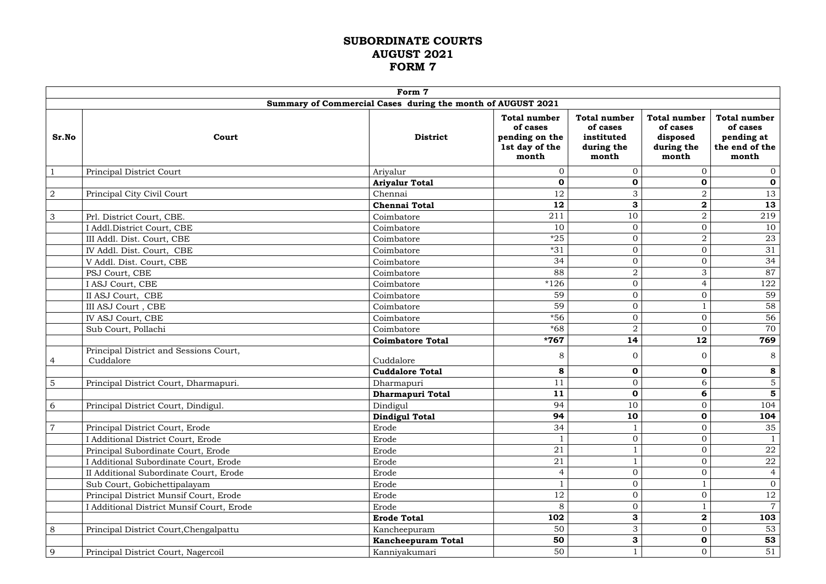#### **SUBORDINATE COURTS AUGUST 2021 FORM 7**

|                |                                                     | Form 7                                                      |                                                                              |                                                                      |                                                                    |                                                                          |
|----------------|-----------------------------------------------------|-------------------------------------------------------------|------------------------------------------------------------------------------|----------------------------------------------------------------------|--------------------------------------------------------------------|--------------------------------------------------------------------------|
|                |                                                     | Summary of Commercial Cases during the month of AUGUST 2021 |                                                                              |                                                                      |                                                                    |                                                                          |
| Sr.No          | Court                                               | <b>District</b>                                             | <b>Total number</b><br>of cases<br>pending on the<br>1st day of the<br>month | <b>Total number</b><br>of cases<br>instituted<br>during the<br>month | <b>Total number</b><br>of cases<br>disposed<br>during the<br>month | <b>Total number</b><br>of cases<br>pending at<br>the end of the<br>month |
| $\mathbf{1}$   | Principal District Court                            | Ariyalur                                                    | $\mathbf{0}$                                                                 | $\overline{0}$                                                       | $\mathbf{0}$                                                       | $\overline{0}$                                                           |
|                |                                                     | <b>Ariyalur Total</b>                                       | $\mathbf 0$                                                                  | $\mathbf 0$                                                          | 0                                                                  | $\mathbf 0$                                                              |
| $\overline{a}$ | Principal City Civil Court                          | Chennai                                                     | 12                                                                           | 3                                                                    | $\overline{2}$                                                     | 13                                                                       |
|                |                                                     | <b>Chennai Total</b>                                        | 12                                                                           | 3                                                                    | $\boldsymbol{2}$                                                   | 13                                                                       |
| $\mathfrak{S}$ | Prl. District Court, CBE.                           | Coimbatore                                                  | 211                                                                          | 10                                                                   | $\overline{2}$                                                     | 219                                                                      |
|                | I Addl.District Court, CBE                          | Coimbatore                                                  | 10                                                                           | $\mathbf{0}$                                                         | $\mathbf{0}$                                                       | 10                                                                       |
|                | III Addl. Dist. Court, CBE                          | Coimbatore                                                  | $*25$                                                                        | $\overline{0}$                                                       | $\overline{2}$                                                     | 23                                                                       |
|                | IV Addl. Dist. Court, CBE                           | Coimbatore                                                  | $*31$                                                                        | $\overline{0}$                                                       | $\boldsymbol{0}$                                                   | 31                                                                       |
|                | V Addl. Dist. Court, CBE                            | Coimbatore                                                  | 34                                                                           | $\overline{0}$                                                       | $\Omega$                                                           | 34                                                                       |
|                | PSJ Court, CBE                                      | Coimbatore                                                  | 88                                                                           | $\overline{2}$                                                       | 3                                                                  | 87                                                                       |
|                | I ASJ Court, CBE                                    | Coimbatore                                                  | $*126$                                                                       | $\overline{0}$                                                       | 4                                                                  | 122                                                                      |
|                | II ASJ Court, CBE                                   | Coimbatore                                                  | 59                                                                           | $\overline{0}$                                                       | $\Omega$                                                           | 59                                                                       |
|                | III ASJ Court, CBE                                  | Coimbatore                                                  | 59                                                                           | $\overline{0}$                                                       |                                                                    | 58                                                                       |
|                | IV ASJ Court, CBE                                   | Coimbatore                                                  | $*56$                                                                        | $\overline{0}$                                                       | $\overline{0}$                                                     | 56                                                                       |
|                | Sub Court, Pollachi                                 | Coimbatore                                                  | $*68$                                                                        | $\overline{2}$                                                       | $\Omega$                                                           | 70                                                                       |
|                |                                                     | <b>Coimbatore Total</b>                                     | $*767$                                                                       | 14                                                                   | 12                                                                 | 769                                                                      |
| 4              | Principal District and Sessions Court,<br>Cuddalore | Cuddalore                                                   | 8                                                                            | $\overline{0}$                                                       | $\Omega$                                                           | 8                                                                        |
|                |                                                     | <b>Cuddalore Total</b>                                      | 8                                                                            | $\mathbf 0$                                                          | $\mathbf 0$                                                        | 8                                                                        |
| $\overline{5}$ | Principal District Court, Dharmapuri.               | Dharmapuri                                                  | 11                                                                           | $\boldsymbol{0}$                                                     | 6                                                                  | $\mathbf 5$                                                              |
|                |                                                     | Dharmapuri Total                                            | 11                                                                           | $\mathbf 0$                                                          | 6                                                                  | 5                                                                        |
| 6              | Principal District Court, Dindigul.                 | Dindigul                                                    | 94                                                                           | 10                                                                   | $\Omega$                                                           | 104                                                                      |
|                |                                                     | <b>Dindigul Total</b>                                       | 94                                                                           | 10                                                                   | 0                                                                  | 104                                                                      |
| $\overline{7}$ | Principal District Court, Erode                     | Erode                                                       | 34                                                                           |                                                                      | $\Omega$                                                           | 35                                                                       |
|                | I Additional District Court, Erode                  | Erode                                                       |                                                                              | $\overline{0}$                                                       | $\Omega$                                                           |                                                                          |
|                | Principal Subordinate Court, Erode                  | Erode                                                       | 21                                                                           |                                                                      | $\overline{0}$                                                     | 22                                                                       |
|                | I Additional Subordinate Court, Erode               | Erode                                                       | 21                                                                           | $\mathbf{1}$                                                         | $\Omega$                                                           | 22                                                                       |
|                | II Additional Subordinate Court, Erode              | Erode                                                       | $\overline{4}$                                                               | $\overline{0}$                                                       | $\Omega$                                                           | $\overline{4}$                                                           |
|                | Sub Court, Gobichettipalayam                        | Erode                                                       |                                                                              | $\overline{0}$                                                       |                                                                    | $\overline{0}$                                                           |
|                | Principal District Munsif Court, Erode              | Erode                                                       | 12                                                                           | $\boldsymbol{0}$                                                     | $\overline{0}$                                                     | 12                                                                       |
|                | I Additional District Munsif Court, Erode           | Erode                                                       | 8                                                                            | $\boldsymbol{0}$                                                     |                                                                    | $\overline{7}$                                                           |
|                |                                                     | <b>Erode Total</b>                                          | 102                                                                          | 3                                                                    | $\overline{\mathbf{2}}$                                            | 103                                                                      |
| 8              | Principal District Court, Chengalpattu              | Kancheepuram                                                | 50                                                                           | 3                                                                    | $\overline{0}$                                                     | 53                                                                       |
|                |                                                     | <b>Kancheepuram Total</b>                                   | 50                                                                           | 3                                                                    | 0                                                                  | 53                                                                       |
| 9              | Principal District Court, Nagercoil                 | Kanniyakumari                                               | 50                                                                           |                                                                      | $\mathbf{0}$                                                       | 51                                                                       |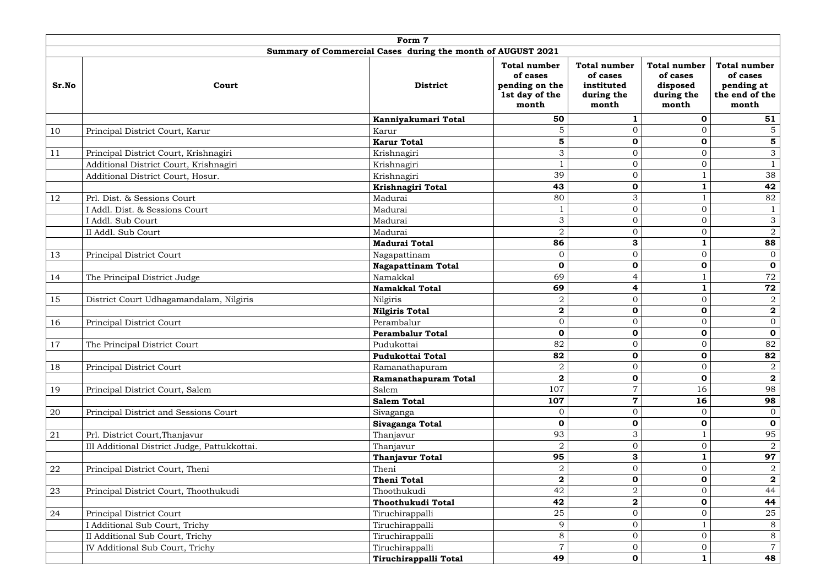|            |                                               | Form 7                                                      |                                                         |                                                                      |                                                                    |                                                                          |
|------------|-----------------------------------------------|-------------------------------------------------------------|---------------------------------------------------------|----------------------------------------------------------------------|--------------------------------------------------------------------|--------------------------------------------------------------------------|
|            |                                               | Summary of Commercial Cases during the month of AUGUST 2021 |                                                         |                                                                      |                                                                    |                                                                          |
| Sr.No      | of cases<br><b>District</b><br>Court<br>month |                                                             | <b>Total number</b><br>pending on the<br>1st day of the | <b>Total number</b><br>of cases<br>instituted<br>during the<br>month | <b>Total number</b><br>of cases<br>disposed<br>during the<br>month | <b>Total number</b><br>of cases<br>pending at<br>the end of the<br>month |
|            |                                               | Kanniyakumari Total                                         | 50                                                      | 1                                                                    | $\mathbf 0$                                                        | 51                                                                       |
| 10         | Principal District Court, Karur               | Karur                                                       | 5                                                       | $\overline{0}$                                                       | $\Omega$                                                           | 5 <sup>5</sup>                                                           |
|            |                                               | <b>Karur Total</b>                                          | 5                                                       | $\mathbf 0$                                                          | $\mathbf 0$                                                        | $\overline{\mathbf{5}}$                                                  |
| 11         | Principal District Court, Krishnagiri         | Krishnagiri                                                 | 3                                                       | $\overline{0}$                                                       | $\Omega$                                                           | $\mathfrak{Z}$                                                           |
|            | Additional District Court, Krishnagiri        | Krishnagiri                                                 |                                                         | $\boldsymbol{0}$                                                     | $\overline{0}$                                                     | $\mathbf{1}$                                                             |
|            | Additional District Court, Hosur.             | Krishnagiri                                                 | 39                                                      | $\overline{0}$                                                       |                                                                    | 38                                                                       |
|            |                                               | Krishnagiri Total                                           | 43                                                      | $\mathbf 0$                                                          |                                                                    | 42                                                                       |
| 12         | Prl. Dist. & Sessions Court                   | Madurai                                                     | 80                                                      | 3                                                                    |                                                                    | 82                                                                       |
|            | I Addl. Dist. & Sessions Court                | Madurai                                                     |                                                         | $\overline{0}$                                                       | $\Omega$                                                           | $\mathbf{1}$                                                             |
|            | I Addl. Sub Court                             | Madurai                                                     | 3                                                       | $\overline{0}$                                                       | $\Omega$                                                           | 3                                                                        |
|            | II Addl. Sub Court                            | Madurai                                                     | $\sqrt{2}$                                              | $\overline{0}$                                                       | $\overline{0}$                                                     | $\overline{a}$                                                           |
|            |                                               | <b>Madurai Total</b>                                        | 86                                                      | 3                                                                    |                                                                    | 88                                                                       |
| 13         | Principal District Court                      | Nagapattinam                                                | $\mathbf{0}$                                            | $\overline{0}$                                                       | $\Omega$                                                           | $\overline{0}$                                                           |
|            |                                               | <b>Nagapattinam Total</b>                                   | $\mathbf 0$                                             | $\mathbf 0$                                                          | $\mathbf 0$                                                        | $\mathbf 0$                                                              |
| 14         | The Principal District Judge                  | Namakkal                                                    | 69                                                      | $\overline{4}$                                                       |                                                                    | 72                                                                       |
|            |                                               | <b>Namakkal Total</b>                                       | 69                                                      | 4                                                                    |                                                                    | 72                                                                       |
| 15         | District Court Udhagamandalam, Nilgiris       | Nilgiris                                                    | $\sqrt{2}$                                              | $\overline{0}$                                                       | $\Omega$                                                           | $\overline{2}$                                                           |
|            |                                               | <b>Nilgiris Total</b>                                       | $\mathbf 2$                                             | $\mathbf 0$                                                          | $\mathbf 0$                                                        | $\overline{\mathbf{2}}$                                                  |
| 16         | Principal District Court                      | Perambalur                                                  | $\overline{0}$                                          | $\overline{0}$                                                       | $\Omega$                                                           | $\overline{0}$                                                           |
|            |                                               | <b>Perambalur Total</b>                                     | $\mathbf 0$                                             | $\mathbf 0$                                                          | $\mathbf 0$                                                        | $\mathbf 0$                                                              |
| 17         | The Principal District Court                  | Pudukottai                                                  | 82                                                      | $\overline{0}$                                                       | $\overline{0}$                                                     | 82                                                                       |
|            |                                               | <b>Pudukottai Total</b>                                     | 82                                                      | $\mathbf 0$                                                          | $\mathbf 0$                                                        | 82                                                                       |
| 18         | Principal District Court                      | Ramanathapuram                                              | $\overline{2}$                                          | $\overline{0}$                                                       | $\Omega$                                                           | $\overline{a}$                                                           |
|            |                                               | Ramanathapuram Total                                        | $\overline{\mathbf{2}}$                                 | $\mathbf 0$                                                          | 0                                                                  | $\mathbf{2}$                                                             |
| 19         | Principal District Court, Salem               | Salem                                                       | 107                                                     | $\overline{7}$                                                       | 16                                                                 | 98                                                                       |
|            |                                               | <b>Salem Total</b>                                          | 107                                                     | $\overline{\mathbf{7}}$                                              | 16                                                                 | 98                                                                       |
| $20\,$     | Principal District and Sessions Court         | Sivaganga                                                   | $\mathbf{0}$                                            | $\overline{0}$                                                       | $\Omega$                                                           | $\overline{0}$                                                           |
|            |                                               | Sivaganga Total                                             | $\mathbf 0$                                             | $\mathbf 0$                                                          | $\mathbf 0$                                                        | $\mathbf 0$                                                              |
| 21         | Prl. District Court, Thanjavur                | Thanjavur                                                   | 93                                                      | 3                                                                    |                                                                    | 95                                                                       |
|            | III Additional District Judge, Pattukkottai.  | Thanjavur                                                   | $\overline{2}$                                          | $\overline{0}$                                                       | $\Omega$                                                           | $\overline{2}$                                                           |
|            |                                               | <b>Thanjavur Total</b>                                      | 95                                                      | 3                                                                    |                                                                    | 97                                                                       |
| ${\bf 22}$ | Principal District Court, Theni               | Theni                                                       | $\sqrt{2}$                                              | $\overline{0}$                                                       | $\overline{0}$                                                     | $\overline{a}$                                                           |
|            |                                               | <b>Theni Total</b>                                          | $\mathbf{2}$                                            | $\mathbf 0$                                                          | $\mathbf 0$                                                        | $\overline{\mathbf{2}}$                                                  |
| 23         | Principal District Court, Thoothukudi         | Thoothukudi                                                 | 42                                                      | $\overline{2}$                                                       | $\Omega$                                                           | 44                                                                       |
|            |                                               | Thoothukudi Total                                           | 42                                                      | $\mathbf{2}$                                                         | $\mathbf 0$                                                        | 44                                                                       |
| 24         | Principal District Court                      | Tiruchirappalli                                             | 25                                                      | $\overline{0}$                                                       | $\overline{0}$                                                     | 25                                                                       |
|            | I Additional Sub Court, Trichy                | Tiruchirappalli                                             | 9                                                       | $\overline{0}$                                                       |                                                                    | 8                                                                        |
|            | II Additional Sub Court, Trichy               | Tiruchirappalli                                             | 8                                                       | $\overline{O}$                                                       | $\Omega$                                                           | 8                                                                        |
|            | IV Additional Sub Court, Trichy               | Tiruchirappalli                                             | $\overline{7}$                                          | $\overline{0}$                                                       | $\overline{0}$                                                     | $\overline{7}$                                                           |
|            |                                               | Tiruchirappalli Total                                       | 49                                                      | $\mathbf 0$                                                          | $\mathbf{1}$                                                       | 48                                                                       |